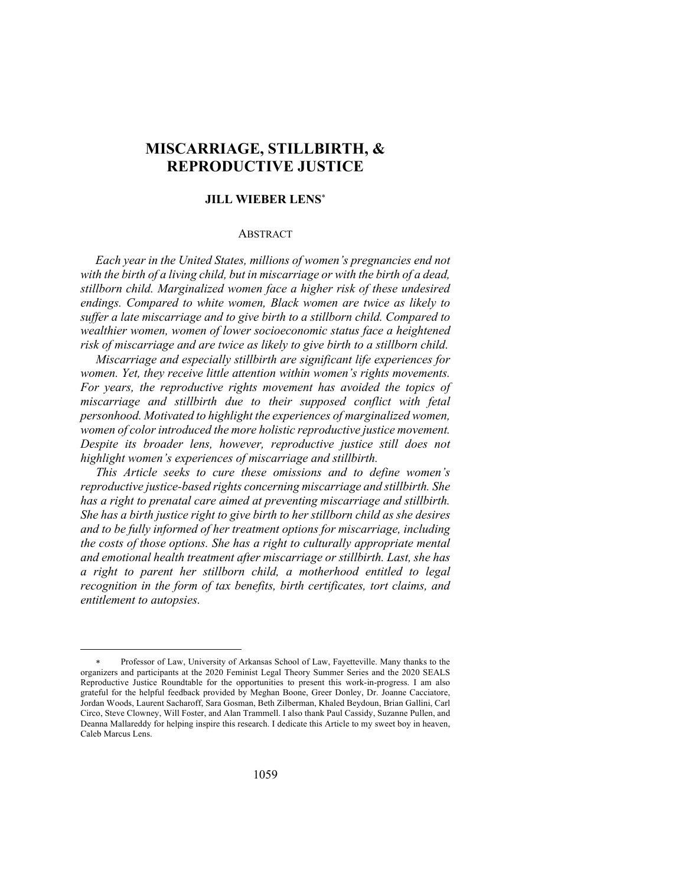# **MISCARRIAGE, STILLBIRTH, & REPRODUCTIVE JUSTICE**

#### **JILL WIEBER LENS**\*

### **ABSTRACT**

*Each year in the United States, millions of women's pregnancies end not with the birth of a living child, but in miscarriage or with the birth of a dead, stillborn child. Marginalized women face a higher risk of these undesired endings. Compared to white women, Black women are twice as likely to suffer a late miscarriage and to give birth to a stillborn child. Compared to wealthier women, women of lower socioeconomic status face a heightened risk of miscarriage and are twice as likely to give birth to a stillborn child.*

*Miscarriage and especially stillbirth are significant life experiences for women. Yet, they receive little attention within women's rights movements. For years, the reproductive rights movement has avoided the topics of miscarriage and stillbirth due to their supposed conflict with fetal personhood. Motivated to highlight the experiences of marginalized women, women of color introduced the more holistic reproductive justice movement. Despite its broader lens, however, reproductive justice still does not highlight women's experiences of miscarriage and stillbirth.*

*This Article seeks to cure these omissions and to define women's reproductive justice-based rights concerning miscarriage and stillbirth. She has a right to prenatal care aimed at preventing miscarriage and stillbirth. She has a birth justice right to give birth to her stillborn child as she desires and to be fully informed of her treatment options for miscarriage, including the costs of those options. She has a right to culturally appropriate mental and emotional health treatment after miscarriage or stillbirth. Last, she has a right to parent her stillborn child, a motherhood entitled to legal recognition in the form of tax benefits, birth certificates, tort claims, and entitlement to autopsies.*

<sup>\*</sup> Professor of Law, University of Arkansas School of Law, Fayetteville. Many thanks to the organizers and participants at the 2020 Feminist Legal Theory Summer Series and the 2020 SEALS Reproductive Justice Roundtable for the opportunities to present this work-in-progress. I am also grateful for the helpful feedback provided by Meghan Boone, Greer Donley, Dr. Joanne Cacciatore, Jordan Woods, Laurent Sacharoff, Sara Gosman, Beth Zilberman, Khaled Beydoun, Brian Gallini, Carl Circo, Steve Clowney, Will Foster, and Alan Trammell. I also thank Paul Cassidy, Suzanne Pullen, and Deanna Mallareddy for helping inspire this research. I dedicate this Article to my sweet boy in heaven, Caleb Marcus Lens.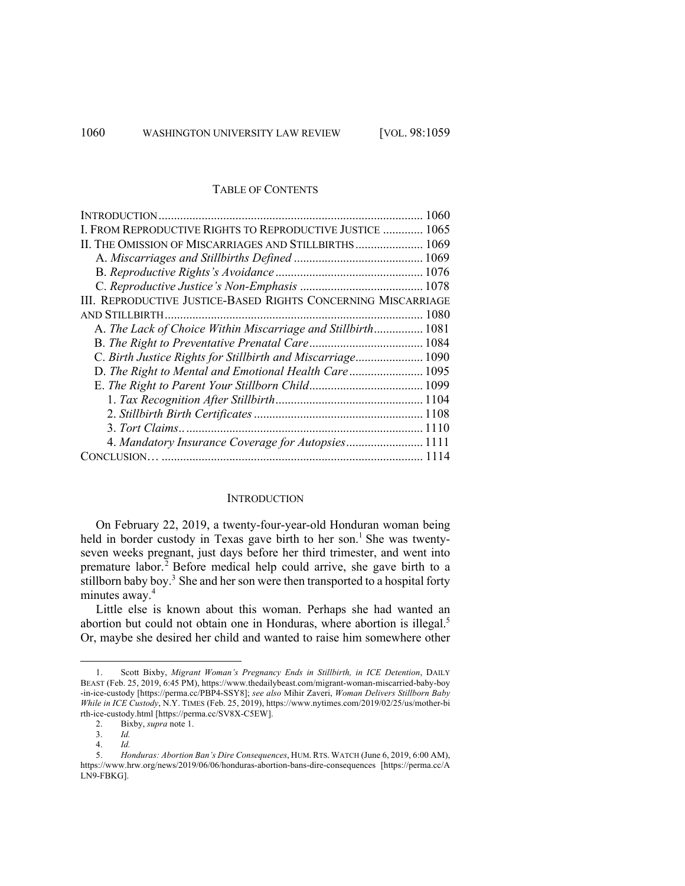#### TABLE OF CONTENTS

#### **INTRODUCTION**

On February 22, 2019, a twenty-four-year-old Honduran woman being held in border custody in Texas gave birth to her son.<sup>1</sup> She was twentyseven weeks pregnant, just days before her third trimester, and went into premature labor.<sup>2</sup> Before medical help could arrive, she gave birth to a stillborn baby boy. $3$  She and her son were then transported to a hospital forty minutes away.<sup>4</sup>

Little else is known about this woman. Perhaps she had wanted an abortion but could not obtain one in Honduras, where abortion is illegal.<sup>5</sup> Or, maybe she desired her child and wanted to raise him somewhere other

4. *Id.*

<sup>1.</sup> Scott Bixby, *Migrant Woman's Pregnancy Ends in Stillbirth, in ICE Detention*, DAILY BEAST (Feb. 25, 2019, 6:45 PM), https://www.thedailybeast.com/migrant-woman-miscarried-baby-boy -in-ice-custody [https://perma.cc/PBP4-SSY8]; *see also* Mihir Zaveri, *Woman Delivers Stillborn Baby While in ICE Custody*, N.Y. TIMES (Feb. 25, 2019), https://www.nytimes.com/2019/02/25/us/mother-bi rth-ice-custody.html [https://perma.cc/SV8X-C5EW].

<sup>2.</sup> Bixby, *supra* note 1.

<sup>3.</sup> *Id.*

<sup>5.</sup> *Honduras: Abortion Ban's Dire Consequences*, HUM. RTS. WATCH (June 6, 2019, 6:00 AM), https://www.hrw.org/news/2019/06/06/honduras-abortion-bans-dire-consequences [https://perma.cc/A LN9-FBKG].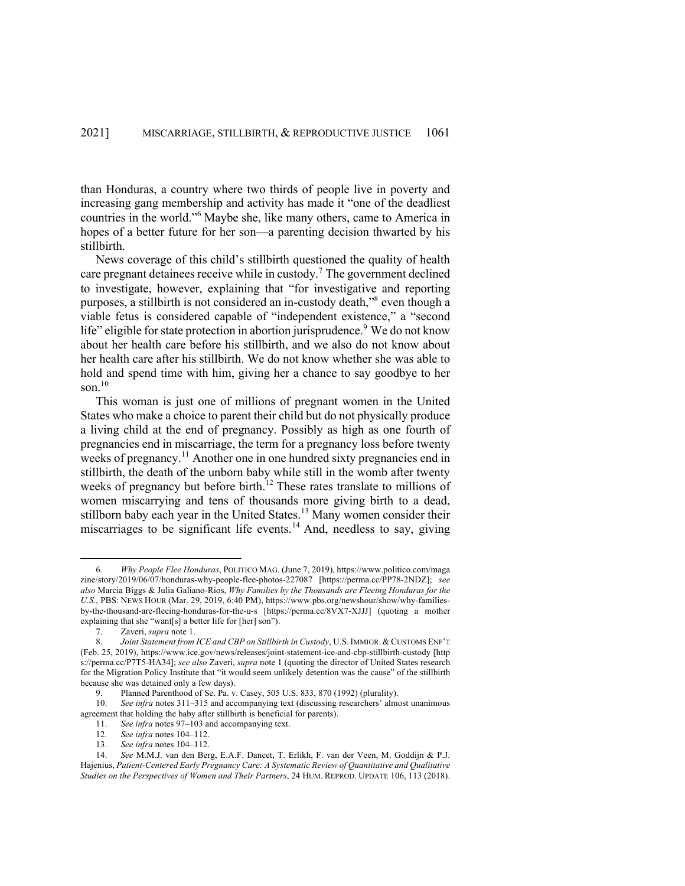than Honduras, a country where two thirds of people live in poverty and increasing gang membership and activity has made it "one of the deadliest countries in the world."<sup>6</sup> Maybe she, like many others, came to America in hopes of a better future for her son—a parenting decision thwarted by his stillbirth.

News coverage of this child's stillbirth questioned the quality of health care pregnant detainees receive while in custody. <sup>7</sup> The government declined to investigate, however, explaining that "for investigative and reporting purposes, a stillbirth is not considered an in-custody death,"8 even though a viable fetus is considered capable of "independent existence," a "second life" eligible for state protection in abortion jurisprudence.<sup>9</sup> We do not know about her health care before his stillbirth, and we also do not know about her health care after his stillbirth. We do not know whether she was able to hold and spend time with him, giving her a chance to say goodbye to her son. 10

This woman is just one of millions of pregnant women in the United States who make a choice to parent their child but do not physically produce a living child at the end of pregnancy. Possibly as high as one fourth of pregnancies end in miscarriage, the term for a pregnancy loss before twenty weeks of pregnancy.<sup>11</sup> Another one in one hundred sixty pregnancies end in stillbirth, the death of the unborn baby while still in the womb after twenty weeks of pregnancy but before birth.<sup>12</sup> These rates translate to millions of women miscarrying and tens of thousands more giving birth to a dead, stillborn baby each year in the United States.<sup>13</sup> Many women consider their miscarriages to be significant life events.<sup>14</sup> And, needless to say, giving

<sup>6.</sup> *Why People Flee Honduras*, POLITICO MAG. (June 7, 2019), https://www.politico.com/maga zine/story/2019/06/07/honduras-why-people-flee-photos-227087 [https://perma.cc/PP78-2NDZ]; *see also* Marcia Biggs & Julia Galiano-Rios, *Why Families by the Thousands are Fleeing Honduras for the U.S.*, PBS: NEWS HOUR (Mar. 29, 2019, 6:40 PM), https://www.pbs.org/newshour/show/why-familiesby-the-thousand-are-fleeing-honduras-for-the-u-s [https://perma.cc/8VX7-XJJJ] (quoting a mother explaining that she "want[s] a better life for [her] son").

<sup>7.</sup> Zaveri, *supra* note 1.

<sup>8.</sup> *Joint Statement from ICE and CBP on Stillbirth in Custody*, U.S. IMMIGR. & CUSTOMS ENF'T (Feb. 25, 2019), https://www.ice.gov/news/releases/joint-statement-ice-and-cbp-stillbirth-custody [http s://perma.cc/P7T5-HA34]; *see also* Zaveri, *supra* note 1 (quoting the director of United States research for the Migration Policy Institute that "it would seem unlikely detention was the cause" of the stillbirth because she was detained only a few days).

<sup>9.</sup> Planned Parenthood of Se. Pa. v. Casey, 505 U.S. 833, 870 (1992) (plurality).

<sup>10.</sup> *See infra* notes 311–315 and accompanying text (discussing researchers' almost unanimous agreement that holding the baby after stillbirth is beneficial for parents).

<sup>11.</sup> *See infra* notes 97–103 and accompanying text.

<sup>12.</sup> *See infra* notes 104–112.

<sup>13.</sup> *See infra* notes 104–112.

<sup>14.</sup> *See* M.M.J. van den Berg, E.A.F. Dancet, T. Erlikh, F. van der Veen, M. Goddijn & P.J. Hajenius, *Patient-Centered Early Pregnancy Care: A Systematic Review of Quantitative and Qualitative Studies on the Perspectives of Women and Their Partners*, 24 HUM. REPROD. UPDATE 106, 113 (2018).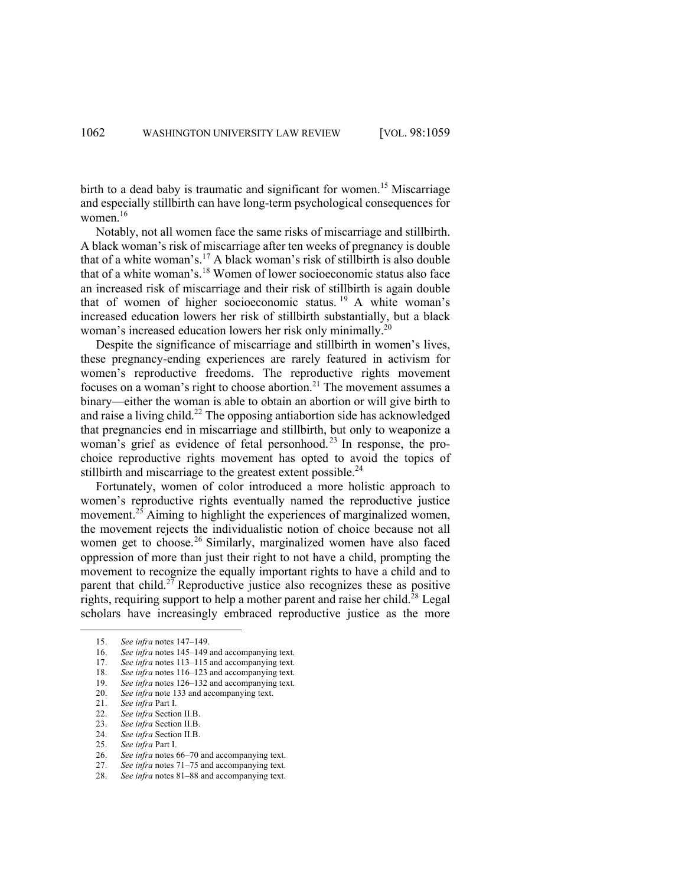birth to a dead baby is traumatic and significant for women.<sup>15</sup> Miscarriage and especially stillbirth can have long-term psychological consequences for women.<sup>16</sup>

Notably, not all women face the same risks of miscarriage and stillbirth. A black woman's risk of miscarriage after ten weeks of pregnancy is double that of a white woman's.<sup>17</sup> A black woman's risk of stillbirth is also double that of a white woman's.<sup>18</sup> Women of lower socioeconomic status also face an increased risk of miscarriage and their risk of stillbirth is again double that of women of higher socioeconomic status. <sup>19</sup> A white woman's increased education lowers her risk of stillbirth substantially, but a black woman's increased education lowers her risk only minimally.<sup>20</sup>

Despite the significance of miscarriage and stillbirth in women's lives, these pregnancy-ending experiences are rarely featured in activism for women's reproductive freedoms. The reproductive rights movement focuses on a woman's right to choose abortion.21 The movement assumes a binary—either the woman is able to obtain an abortion or will give birth to and raise a living child.<sup>22</sup> The opposing antiabortion side has acknowledged that pregnancies end in miscarriage and stillbirth, but only to weaponize a woman's grief as evidence of fetal personhood.<sup>23</sup> In response, the prochoice reproductive rights movement has opted to avoid the topics of stillbirth and miscarriage to the greatest extent possible.<sup>24</sup>

Fortunately, women of color introduced a more holistic approach to women's reproductive rights eventually named the reproductive justice movement.<sup>25</sup> Aiming to highlight the experiences of marginalized women, the movement rejects the individualistic notion of choice because not all women get to choose.<sup>26</sup> Similarly, marginalized women have also faced oppression of more than just their right to not have a child, prompting the movement to recognize the equally important rights to have a child and to parent that child.<sup>27</sup> Reproductive justice also recognizes these as positive rights, requiring support to help a mother parent and raise her child.<sup>28</sup> Legal scholars have increasingly embraced reproductive justice as the more

See infra notes 66–70 and accompanying text.

<sup>15.</sup> *See infra* notes 147–149.

<sup>16.</sup> *See infra* notes 145–149 and accompanying text.

<sup>17.</sup> *See infra* notes 113–115 and accompanying text.

<sup>18.</sup> *See infra* notes 116–123 and accompanying text.

<sup>19.</sup> *See infra* notes 126–132 and accompanying text.

<sup>20.</sup> *See infra* note 133 and accompanying text.

<sup>21.</sup> *See infra* Part I.

<sup>22.</sup> *See infra* Section II.B.

<sup>23.</sup> *See infra* Section II.B.

<sup>24.</sup> *See infra* Section II.B.

<sup>25.</sup> *See infra Part I.*<br>26. *See infra notes 6* 

<sup>27.</sup> *See infra* notes 71–75 and accompanying text.

<sup>28.</sup> *See infra* notes 81–88 and accompanying text.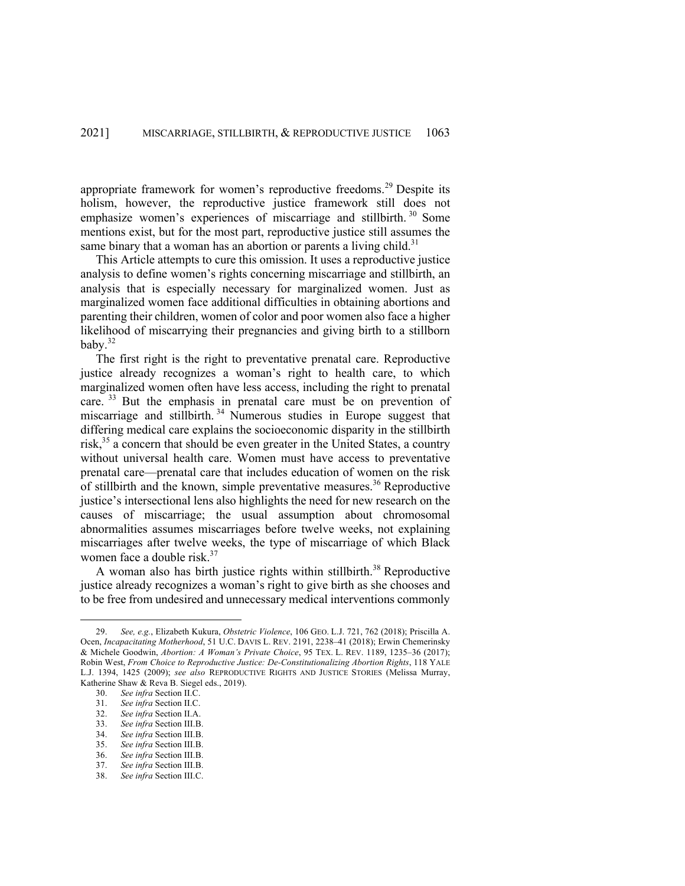appropriate framework for women's reproductive freedoms.<sup>29</sup> Despite its holism, however, the reproductive justice framework still does not emphasize women's experiences of miscarriage and stillbirth.<sup>30</sup> Some mentions exist, but for the most part, reproductive justice still assumes the same binary that a woman has an abortion or parents a living child.<sup>31</sup>

This Article attempts to cure this omission. It uses a reproductive justice analysis to define women's rights concerning miscarriage and stillbirth, an analysis that is especially necessary for marginalized women. Just as marginalized women face additional difficulties in obtaining abortions and parenting their children, women of color and poor women also face a higher likelihood of miscarrying their pregnancies and giving birth to a stillborn baby.<sup>32</sup>

The first right is the right to preventative prenatal care. Reproductive justice already recognizes a woman's right to health care, to which marginalized women often have less access, including the right to prenatal care. <sup>33</sup> But the emphasis in prenatal care must be on prevention of miscarriage and stillbirth. <sup>34</sup> Numerous studies in Europe suggest that differing medical care explains the socioeconomic disparity in the stillbirth risk, $35$  a concern that should be even greater in the United States, a country without universal health care. Women must have access to preventative prenatal care—prenatal care that includes education of women on the risk of stillbirth and the known, simple preventative measures.<sup>36</sup> Reproductive justice's intersectional lens also highlights the need for new research on the causes of miscarriage; the usual assumption about chromosomal abnormalities assumes miscarriages before twelve weeks, not explaining miscarriages after twelve weeks, the type of miscarriage of which Black women face a double risk. $37$ 

A woman also has birth justice rights within stillbirth.<sup>38</sup> Reproductive justice already recognizes a woman's right to give birth as she chooses and to be free from undesired and unnecessary medical interventions commonly

<sup>29.</sup> *See, e.g.*, Elizabeth Kukura, *Obstetric Violence*, 106 GEO. L.J. 721, 762 (2018); Priscilla A. Ocen, *Incapacitating Motherhood*, 51 U.C. DAVIS L. REV. 2191, 2238–41 (2018); Erwin Chemerinsky & Michele Goodwin, *Abortion: A Woman's Private Choice*, 95 TEX. L. REV. 1189, 1235–36 (2017); Robin West, *From Choice to Reproductive Justice: De-Constitutionalizing Abortion Rights*, 118 YALE L.J. 1394, 1425 (2009); *see also* REPRODUCTIVE RIGHTS AND JUSTICE STORIES (Melissa Murray, Katherine Shaw & Reva B. Siegel eds., 2019).

<sup>30.</sup> *See infra* Section II.C.

<sup>31.</sup> *See infra* Section II.C.

<sup>32.</sup> *See infra* Section II.A.

<sup>33.</sup> *See infra* Section III.B.

<sup>34.</sup> *See infra* Section III.B.

<sup>35.</sup> *See infra* Section III.B.

<sup>36.</sup> *See infra* Section III.B.

<sup>37.</sup> *See infra* Section III.B.

<sup>38.</sup> *See infra* Section III.C.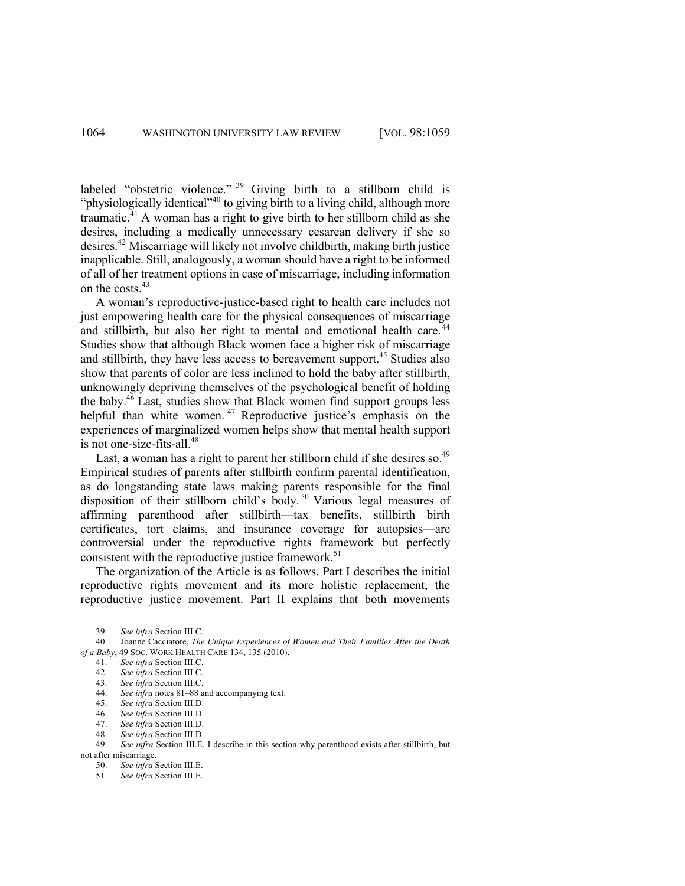labeled "obstetric violence." <sup>39</sup> Giving birth to a stillborn child is "physiologically identical"<sup>40</sup> to giving birth to a living child, although more traumatic.<sup>41</sup> A woman has a right to give birth to her stillborn child as she desires, including a medically unnecessary cesarean delivery if she so desires. <sup>42</sup> Miscarriage will likely not involve childbirth, making birth justice inapplicable. Still, analogously, a woman should have a right to be informed of all of her treatment options in case of miscarriage, including information on the costs.<sup>43</sup>

A woman's reproductive-justice-based right to health care includes not just empowering health care for the physical consequences of miscarriage and stillbirth, but also her right to mental and emotional health care.<sup>44</sup> Studies show that although Black women face a higher risk of miscarriage and stillbirth, they have less access to bereavement support.<sup>45</sup> Studies also show that parents of color are less inclined to hold the baby after stillbirth, unknowingly depriving themselves of the psychological benefit of holding the baby. $4\overline{6}$  Last, studies show that Black women find support groups less helpful than white women.<sup>47</sup> Reproductive justice's emphasis on the experiences of marginalized women helps show that mental health support is not one-size-fits-all. $48$ 

Last, a woman has a right to parent her stillborn child if she desires so.<sup>49</sup> Empirical studies of parents after stillbirth confirm parental identification, as do longstanding state laws making parents responsible for the final disposition of their stillborn child's body.<sup>50</sup> Various legal measures of affirming parenthood after stillbirth—tax benefits, stillbirth birth certificates, tort claims, and insurance coverage for autopsies—are controversial under the reproductive rights framework but perfectly consistent with the reproductive justice framework.<sup>51</sup>

The organization of the Article is as follows. Part I describes the initial reproductive rights movement and its more holistic replacement, the reproductive justice movement. Part II explains that both movements

<sup>39.</sup> *See infra Section III.C.*<br>40 **Ioanne Cacciatore** *The* 

<sup>40.</sup> Joanne Cacciatore, *The Unique Experiences of Women and Their Families After the Death of a Baby*, 49 SOC. WORK HEALTH CARE 134, 135 (2010).

<sup>41.</sup> *See infra* Section III.C.

<sup>42.</sup> *See infra* Section III.C.

<sup>43.</sup> *See infra* Section III.C.

<sup>44.</sup> *See infra* notes 81–88 and accompanying text.

<sup>45.</sup> *See infra* Section III.D.

<sup>46.</sup> *See infra* Section III.D.

<sup>47.</sup> *See infra* Section III.D.

<sup>48.</sup> *See infra* Section III.D.

<sup>49.</sup> *See infra* Section III.E. I describe in this section why parenthood exists after stillbirth, but not after miscarriage.

<sup>50.</sup> *See infra* Section III.E.

<sup>51.</sup> *See infra* Section III.E.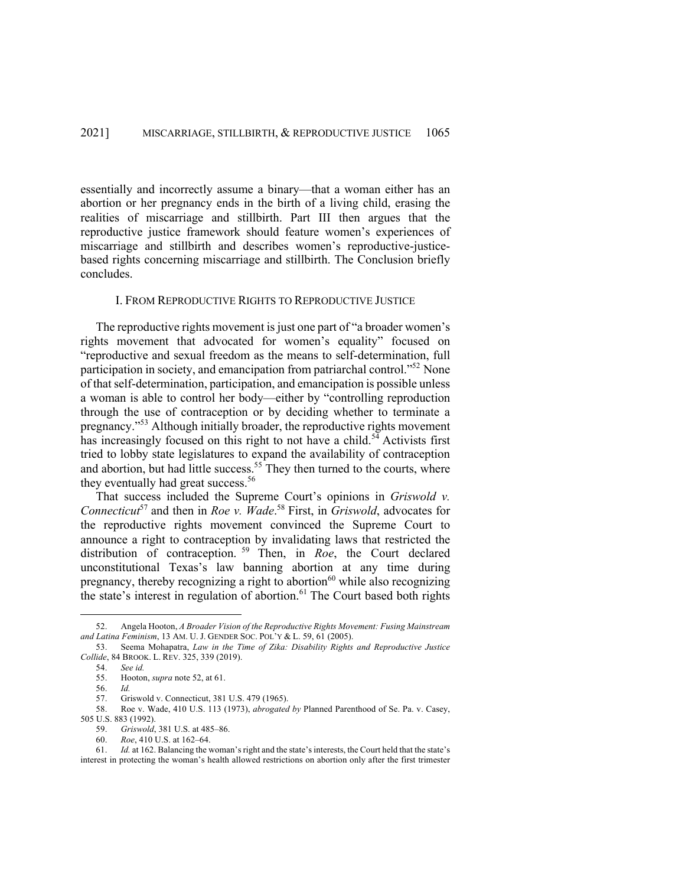essentially and incorrectly assume a binary—that a woman either has an abortion or her pregnancy ends in the birth of a living child, erasing the realities of miscarriage and stillbirth. Part III then argues that the reproductive justice framework should feature women's experiences of miscarriage and stillbirth and describes women's reproductive-justicebased rights concerning miscarriage and stillbirth. The Conclusion briefly concludes.

#### I. FROM REPRODUCTIVE RIGHTS TO REPRODUCTIVE JUSTICE

The reproductive rights movement is just one part of "a broader women's rights movement that advocated for women's equality" focused on "reproductive and sexual freedom as the means to self-determination, full participation in society, and emancipation from patriarchal control."52 None of that self-determination, participation, and emancipation is possible unless a woman is able to control her body—either by "controlling reproduction through the use of contraception or by deciding whether to terminate a pregnancy."<sup>53</sup> Although initially broader, the reproductive rights movement has increasingly focused on this right to not have a child.<sup>54</sup> Activists first tried to lobby state legislatures to expand the availability of contraception and abortion, but had little success.<sup>55</sup> They then turned to the courts, where they eventually had great success.<sup>56</sup>

That success included the Supreme Court's opinions in *Griswold v. Connecticut*<sup>57</sup> and then in *Roe v. Wade*. <sup>58</sup> First, in *Griswold*, advocates for the reproductive rights movement convinced the Supreme Court to announce a right to contraception by invalidating laws that restricted the distribution of contraception. <sup>59</sup> Then, in *Roe*, the Court declared unconstitutional Texas's law banning abortion at any time during pregnancy, thereby recognizing a right to abortion<sup>60</sup> while also recognizing the state's interest in regulation of abortion. <sup>61</sup> The Court based both rights

61. *Id.* at 162. Balancing the woman's right and the state's interests, the Court held that the state's interest in protecting the woman's health allowed restrictions on abortion only after the first trimester

<sup>52.</sup> Angela Hooton, *A Broader Vision of the Reproductive Rights Movement: Fusing Mainstream and Latina Feminism*, 13 AM. U. J. GENDER SOC. POL'Y & L. 59, 61 (2005).

<sup>53.</sup> Seema Mohapatra, *Law in the Time of Zika: Disability Rights and Reproductive Justice Collide*, 84 BROOK. L. REV. 325, 339 (2019).

<sup>54.</sup> *See id.*

<sup>55.</sup> Hooton, *supra* note 52, at 61.

<sup>56.</sup> *Id.*

<sup>57.</sup> Griswold v. Connecticut, 381 U.S. 479 (1965).

<sup>58.</sup> Roe v. Wade, 410 U.S. 113 (1973), *abrogated by* Planned Parenthood of Se. Pa. v. Casey, 505 U.S. 883 (1992).

<sup>59.</sup> *Griswold*, 381 U.S. at 485–86.

<sup>60.</sup> *Roe*, 410 U.S. at 162–64.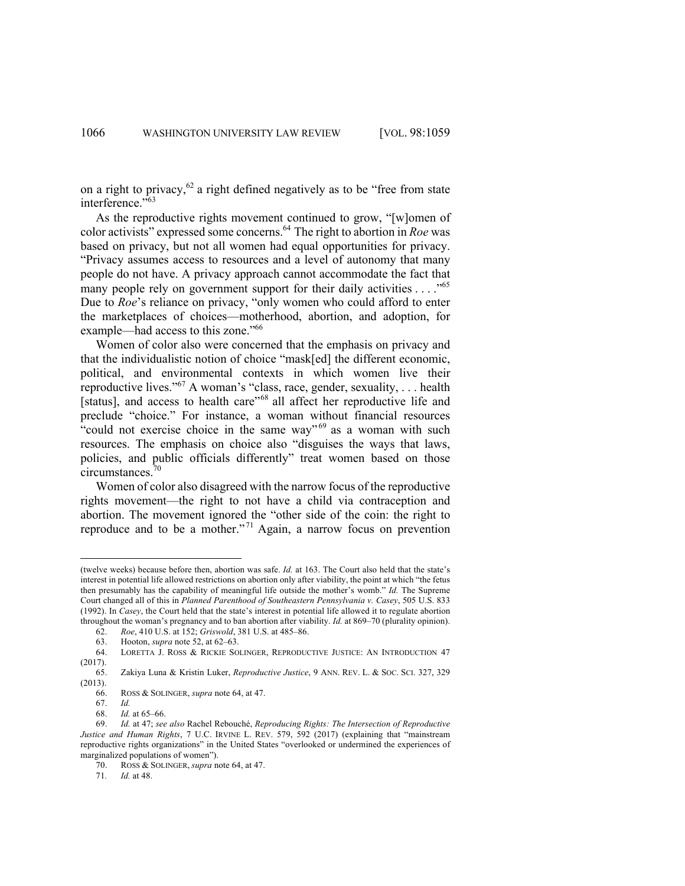on a right to privacy, $62$  a right defined negatively as to be "free from state interference."<sup>563</sup>

As the reproductive rights movement continued to grow, "[w]omen of color activists" expressed some concerns.64 The right to abortion in *Roe* was based on privacy, but not all women had equal opportunities for privacy. "Privacy assumes access to resources and a level of autonomy that many people do not have. A privacy approach cannot accommodate the fact that many people rely on government support for their daily activities  $\dots$ ."<sup>65</sup> Due to *Roe*'s reliance on privacy, "only women who could afford to enter the marketplaces of choices—motherhood, abortion, and adoption, for example—had access to this zone."66

Women of color also were concerned that the emphasis on privacy and that the individualistic notion of choice "mask[ed] the different economic, political, and environmental contexts in which women live their reproductive lives."<sup>67</sup> A woman's "class, race, gender, sexuality, . . . health [status], and access to health care"<sup>68</sup> all affect her reproductive life and preclude "choice." For instance, a woman without financial resources "could not exercise choice in the same way"  $69$  as a woman with such resources. The emphasis on choice also "disguises the ways that laws, policies, and public officials differently" treat women based on those circumstances.70

Women of color also disagreed with the narrow focus of the reproductive rights movement—the right to not have a child via contraception and abortion. The movement ignored the "other side of the coin: the right to reproduce and to be a mother."<sup>71</sup> Again, a narrow focus on prevention

<sup>(</sup>twelve weeks) because before then, abortion was safe. *Id.* at 163. The Court also held that the state's interest in potential life allowed restrictions on abortion only after viability, the point at which "the fetus then presumably has the capability of meaningful life outside the mother's womb." *Id.* The Supreme Court changed all of this in *Planned Parenthood of Southeastern Pennsylvania v. Casey*, 505 U.S. 833 (1992). In *Casey*, the Court held that the state's interest in potential life allowed it to regulate abortion throughout the woman's pregnancy and to ban abortion after viability. *Id.* at 869–70 (plurality opinion).

<sup>62.</sup> *Roe*, 410 U.S. at 152; *Griswold*, 381 U.S. at 485–86.

<sup>63.</sup> Hooton, *supra* note 52, at 62–63.

<sup>64.</sup> LORETTA J. ROSS & RICKIE SOLINGER, REPRODUCTIVE JUSTICE: AN INTRODUCTION 47 (2017).

<sup>65.</sup> Zakiya Luna & Kristin Luker, *Reproductive Justice*, 9 ANN. REV. L. & SOC. SCI. 327, 329 (2013).

<sup>66.</sup> ROSS & SOLINGER, *supra* note 64, at 47.

<sup>67.</sup> *Id.*

<sup>68.</sup> *Id.* at 65–66.

<sup>69.</sup> *Id.* at 47; *see also* Rachel Rebouché, *Reproducing Rights: The Intersection of Reproductive Justice and Human Rights*, 7 U.C. IRVINE L. REV. 579, 592 (2017) (explaining that "mainstream reproductive rights organizations" in the United States "overlooked or undermined the experiences of marginalized populations of women").

<sup>70.</sup> ROSS & SOLINGER, *supra* note 64, at 47.

<sup>71</sup>*. Id.* at 48.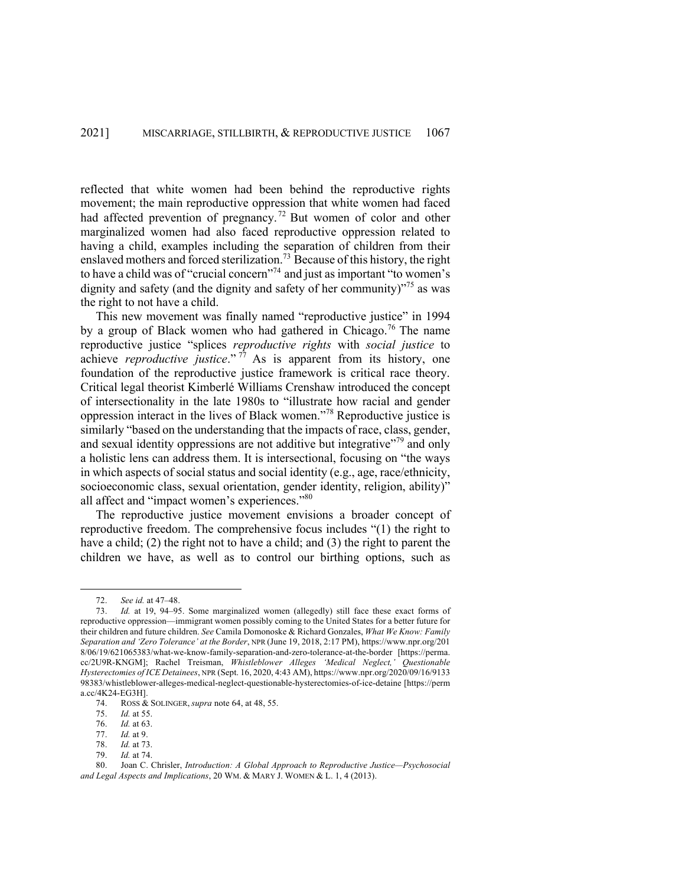reflected that white women had been behind the reproductive rights movement; the main reproductive oppression that white women had faced had affected prevention of pregnancy.<sup>72</sup> But women of color and other marginalized women had also faced reproductive oppression related to having a child, examples including the separation of children from their enslaved mothers and forced sterilization.<sup>73</sup> Because of this history, the right to have a child was of "crucial concern"<sup>74</sup> and just as important "to women's dignity and safety (and the dignity and safety of her community) $^{375}$  as was the right to not have a child.

This new movement was finally named "reproductive justice" in 1994 by a group of Black women who had gathered in Chicago.<sup>76</sup> The name reproductive justice "splices *reproductive rights* with *social justice* to achieve *reproductive justice*." <sup>77</sup> As is apparent from its history, one foundation of the reproductive justice framework is critical race theory. Critical legal theorist Kimberlé Williams Crenshaw introduced the concept of intersectionality in the late 1980s to "illustrate how racial and gender oppression interact in the lives of Black women."<sup>78</sup> Reproductive justice is similarly "based on the understanding that the impacts of race, class, gender, and sexual identity oppressions are not additive but integrative"<sup>79</sup> and only a holistic lens can address them. It is intersectional, focusing on "the ways in which aspects of social status and social identity (e.g., age, race/ethnicity, socioeconomic class, sexual orientation, gender identity, religion, ability)" all affect and "impact women's experiences."<sup>80</sup>

The reproductive justice movement envisions a broader concept of reproductive freedom. The comprehensive focus includes "(1) the right to have a child; (2) the right not to have a child; and (3) the right to parent the children we have, as well as to control our birthing options, such as

<sup>72.</sup> *See id.* at 47–48.

<sup>73.</sup> *Id.* at 19, 94–95. Some marginalized women (allegedly) still face these exact forms of reproductive oppression—immigrant women possibly coming to the United States for a better future for their children and future children. *See* Camila Domonoske & Richard Gonzales, *What We Know: Family Separation and 'Zero Tolerance' at the Border*, NPR (June 19, 2018, 2:17 PM), https://www.npr.org/201 8/06/19/621065383/what-we-know-family-separation-and-zero-tolerance-at-the-border [https://perma. cc/2U9R-KNGM]; Rachel Treisman, *Whistleblower Alleges 'Medical Neglect,' Questionable Hysterectomies of ICE Detainees*, NPR (Sept. 16, 2020, 4:43 AM), https://www.npr.org/2020/09/16/9133 98383/whistleblower-alleges-medical-neglect-questionable-hysterectomies-of-ice-detaine [https://perm a.cc/4K24-EG3H].

<sup>74.</sup> ROSS & SOLINGER, *supra* note 64, at 48, 55.

<sup>75.</sup> *Id.* at 55.

<sup>76.</sup> *Id.* at 63.

<sup>77.</sup> *Id.* at 9.

<sup>78.</sup> *Id.* at 73.

<sup>79.</sup> *Id.* at 74.

<sup>80.</sup> Joan C. Chrisler, *Introduction: A Global Approach to Reproductive Justice—Psychosocial and Legal Aspects and Implications*, 20 WM. & MARY J. WOMEN & L. 1, 4 (2013).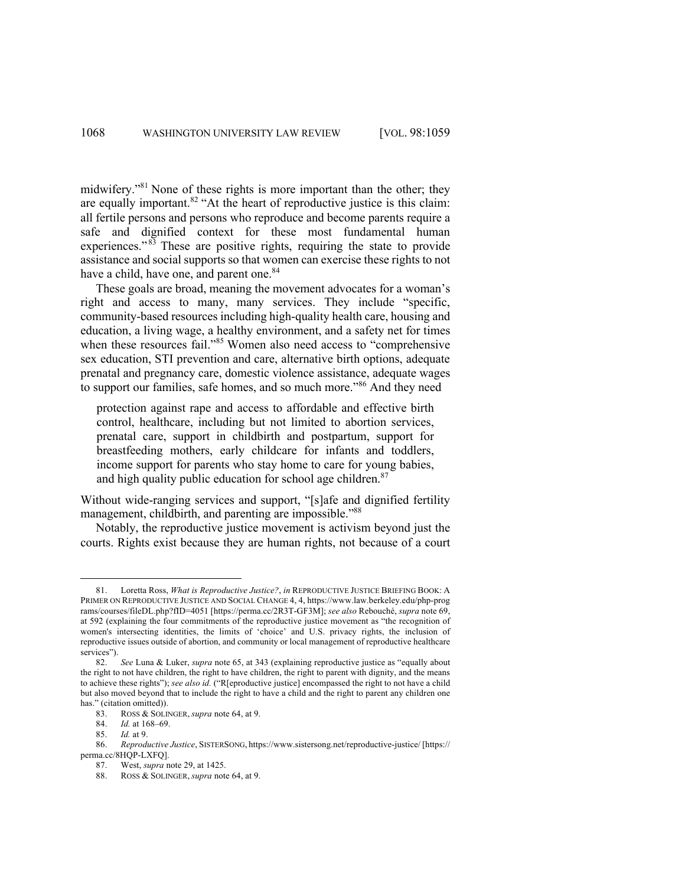midwifery."<sup>81</sup> None of these rights is more important than the other; they are equally important. $82$  "At the heart of reproductive justice is this claim: all fertile persons and persons who reproduce and become parents require a safe and dignified context for these most fundamental human experiences." $83$  These are positive rights, requiring the state to provide assistance and social supports so that women can exercise these rights to not have a child, have one, and parent one.<sup>84</sup>

These goals are broad, meaning the movement advocates for a woman's right and access to many, many services. They include "specific, community-based resources including high-quality health care, housing and education, a living wage, a healthy environment, and a safety net for times when these resources fail."<sup>85</sup> Women also need access to "comprehensive sex education, STI prevention and care, alternative birth options, adequate prenatal and pregnancy care, domestic violence assistance, adequate wages to support our families, safe homes, and so much more."<sup>86</sup> And they need

protection against rape and access to affordable and effective birth control, healthcare, including but not limited to abortion services, prenatal care, support in childbirth and postpartum, support for breastfeeding mothers, early childcare for infants and toddlers, income support for parents who stay home to care for young babies, and high quality public education for school age children.<sup>87</sup>

Without wide-ranging services and support, "[s]afe and dignified fertility management, childbirth, and parenting are impossible."<sup>88</sup>

Notably, the reproductive justice movement is activism beyond just the courts. Rights exist because they are human rights, not because of a court

<sup>81.</sup> Loretta Ross, *What is Reproductive Justice?*, *in* REPRODUCTIVE JUSTICE BRIEFING BOOK: A PRIMER ON REPRODUCTIVE JUSTICE AND SOCIAL CHANGE 4, 4, https://www.law.berkeley.edu/php-prog rams/courses/fileDL.php?fID=4051 [https://perma.cc/2R3T-GF3M]; *see also* Rebouché, *supra* note 69, at 592 (explaining the four commitments of the reproductive justice movement as "the recognition of women's intersecting identities, the limits of 'choice' and U.S. privacy rights, the inclusion of reproductive issues outside of abortion, and community or local management of reproductive healthcare services").

<sup>82.</sup> *See* Luna & Luker, *supra* note 65, at 343 (explaining reproductive justice as "equally about the right to not have children, the right to have children, the right to parent with dignity, and the means to achieve these rights"); *see also id.* ("R[eproductive justice] encompassed the right to not have a child but also moved beyond that to include the right to have a child and the right to parent any children one has." (citation omitted)).

<sup>83.</sup> ROSS & SOLINGER, *supra* note 64, at 9.

<sup>84.</sup> *Id.* at 168–69.

<sup>85.</sup> *Id.* at 9.

<sup>86.</sup> *Reproductive Justice*, SISTERSONG, https://www.sistersong.net/reproductive-justice/ [https:// perma.cc/8HQP-LXFQ].

<sup>87.</sup> West, *supra* note 29, at 1425.

<sup>88.</sup> ROSS & SOLINGER, *supra* note 64, at 9.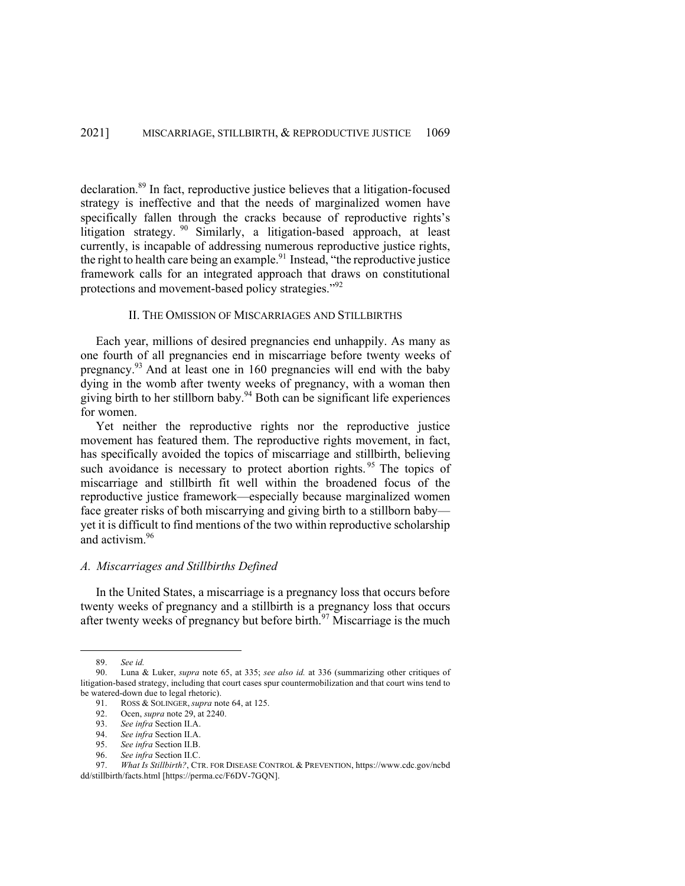declaration. <sup>89</sup> In fact, reproductive justice believes that a litigation-focused strategy is ineffective and that the needs of marginalized women have specifically fallen through the cracks because of reproductive rights's litigation strategy. <sup>90</sup> Similarly, a litigation-based approach, at least currently, is incapable of addressing numerous reproductive justice rights, the right to health care being an example.<sup>91</sup> Instead, "the reproductive justice framework calls for an integrated approach that draws on constitutional protections and movement-based policy strategies."92

#### II. THE OMISSION OF MISCARRIAGES AND STILLBIRTHS

Each year, millions of desired pregnancies end unhappily. As many as one fourth of all pregnancies end in miscarriage before twenty weeks of pregnancy.<sup>93</sup> And at least one in 160 pregnancies will end with the baby dying in the womb after twenty weeks of pregnancy, with a woman then giving birth to her stillborn baby.<sup>94</sup> Both can be significant life experiences for women.

Yet neither the reproductive rights nor the reproductive justice movement has featured them. The reproductive rights movement, in fact, has specifically avoided the topics of miscarriage and stillbirth, believing such avoidance is necessary to protect abortion rights.<sup>95</sup> The topics of miscarriage and stillbirth fit well within the broadened focus of the reproductive justice framework—especially because marginalized women face greater risks of both miscarrying and giving birth to a stillborn baby yet it is difficult to find mentions of the two within reproductive scholarship and activism.96

# *A. Miscarriages and Stillbirths Defined*

In the United States, a miscarriage is a pregnancy loss that occurs before twenty weeks of pregnancy and a stillbirth is a pregnancy loss that occurs after twenty weeks of pregnancy but before birth.<sup>97</sup> Miscarriage is the much

<sup>89.</sup> *See id.*

<sup>90.</sup> Luna & Luker, *supra* note 65, at 335; *see also id.* at 336 (summarizing other critiques of litigation-based strategy, including that court cases spur countermobilization and that court wins tend to be watered-down due to legal rhetoric).

<sup>91.</sup> ROSS & SOLINGER, *supra* note 64, at 125.

<sup>92.</sup> Ocen, *supra* note 29, at 2240.

<sup>93.</sup> *See infra* Section II.A.

<sup>94.</sup> *See infra* Section II.A.

<sup>95.</sup> *See infra* Section II.B.

<sup>96.</sup> *See infra* Section II.C.

<sup>97.</sup> *What Is Stillbirth?*, CTR. FOR DISEASE CONTROL & PREVENTION, https://www.cdc.gov/ncbd dd/stillbirth/facts.html [https://perma.cc/F6DV-7GQN].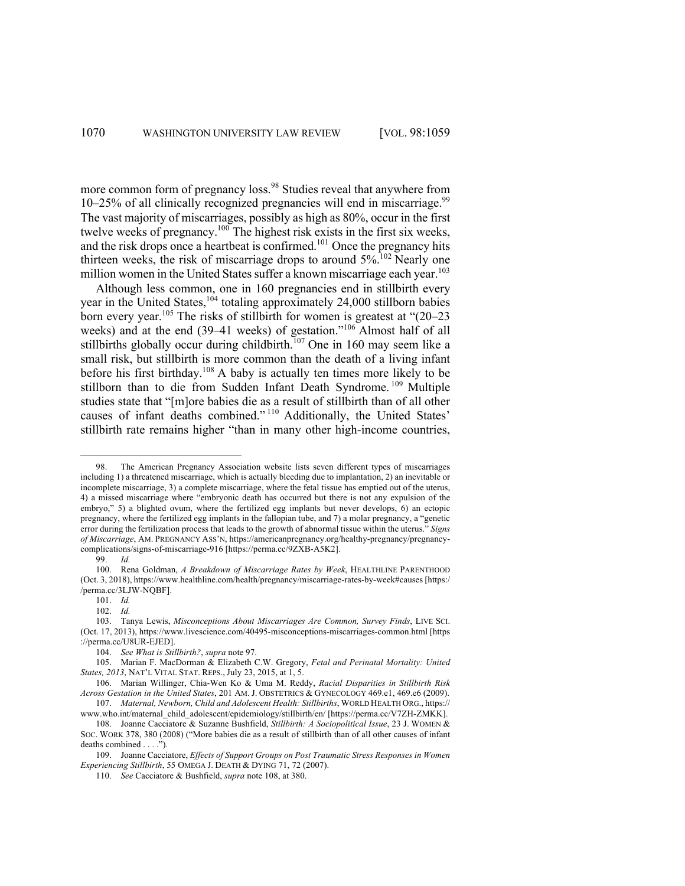more common form of pregnancy loss.<sup>98</sup> Studies reveal that anywhere from 10–25% of all clinically recognized pregnancies will end in miscarriage. 99 The vast majority of miscarriages, possibly as high as 80%, occur in the first twelve weeks of pregnancy.100 The highest risk exists in the first six weeks, and the risk drops once a heartbeat is confirmed.<sup>101</sup> Once the pregnancy hits thirteen weeks, the risk of miscarriage drops to around  $5\%$ .<sup>102</sup> Nearly one million women in the United States suffer a known miscarriage each year.<sup>103</sup>

Although less common, one in 160 pregnancies end in stillbirth every year in the United States,<sup>104</sup> totaling approximately 24,000 stillborn babies born every year.<sup>105</sup> The risks of stillbirth for women is greatest at " $(20-23)$ weeks) and at the end (39–41 weeks) of gestation."<sup>106</sup> Almost half of all stillbirths globally occur during childbirth.<sup>107</sup> One in 160 may seem like a small risk, but stillbirth is more common than the death of a living infant before his first birthday.<sup>108</sup> A baby is actually ten times more likely to be stillborn than to die from Sudden Infant Death Syndrome. <sup>109</sup> Multiple studies state that "[m]ore babies die as a result of stillbirth than of all other causes of infant deaths combined." <sup>110</sup> Additionally, the United States' stillbirth rate remains higher "than in many other high-income countries,

99. *Id.*

<sup>98.</sup> The American Pregnancy Association website lists seven different types of miscarriages including 1) a threatened miscarriage, which is actually bleeding due to implantation, 2) an inevitable or incomplete miscarriage, 3) a complete miscarriage, where the fetal tissue has emptied out of the uterus, 4) a missed miscarriage where "embryonic death has occurred but there is not any expulsion of the embryo," 5) a blighted ovum, where the fertilized egg implants but never develops, 6) an ectopic pregnancy, where the fertilized egg implants in the fallopian tube, and 7) a molar pregnancy, a "genetic error during the fertilization process that leads to the growth of abnormal tissue within the uterus." *Signs of Miscarriage*, AM. PREGNANCY ASS'N, https://americanpregnancy.org/healthy-pregnancy/pregnancycomplications/signs-of-miscarriage-916 [https://perma.cc/9ZXB-A5K2].

<sup>100.</sup> Rena Goldman, *A Breakdown of Miscarriage Rates by Week*, HEALTHLINE PARENTHOOD (Oct. 3, 2018), https://www.healthline.com/health/pregnancy/miscarriage-rates-by-week#causes [https:/ /perma.cc/3LJW-NQBF].

<sup>101.</sup> *Id.*

<sup>102.</sup> *Id.*

<sup>103.</sup> Tanya Lewis, *Misconceptions About Miscarriages Are Common, Survey Finds*, LIVE SCI. (Oct. 17, 2013), https://www.livescience.com/40495-misconceptions-miscarriages-common.html [https ://perma.cc/U8UR-EJED].

<sup>104.</sup> *See What is Stillbirth?*, *supra* note 97.

<sup>105.</sup> Marian F. MacDorman & Elizabeth C.W. Gregory, *Fetal and Perinatal Mortality: United States, 2013*, NAT'L VITAL STAT. REPS., July 23, 2015, at 1, 5.

<sup>106.</sup> Marian Willinger, Chia-Wen Ko & Uma M. Reddy, *Racial Disparities in Stillbirth Risk Across Gestation in the United States*, 201 AM. J. OBSTETRICS & GYNECOLOGY 469.e1, 469.e6 (2009). 107. *Maternal, Newborn, Child and Adolescent Health: Stillbirths*, WORLD HEALTH ORG., https://

www.who.int/maternal\_child\_adolescent/epidemiology/stillbirth/en/ [https://perma.cc/V7ZH-ZMKK].

<sup>108.</sup> Joanne Cacciatore & Suzanne Bushfield, *Stillbirth: A Sociopolitical Issue*, 23 J. WOMEN & SOC. WORK 378, 380 (2008) ("More babies die as a result of stillbirth than of all other causes of infant deaths combined . . . .").

<sup>109.</sup> Joanne Cacciatore, *Effects of Support Groups on Post Traumatic Stress Responses in Women Experiencing Stillbirth*, 55 OMEGA J. DEATH & DYING 71, 72 (2007).

<sup>110.</sup> *See* Cacciatore & Bushfield, *supra* note 108, at 380.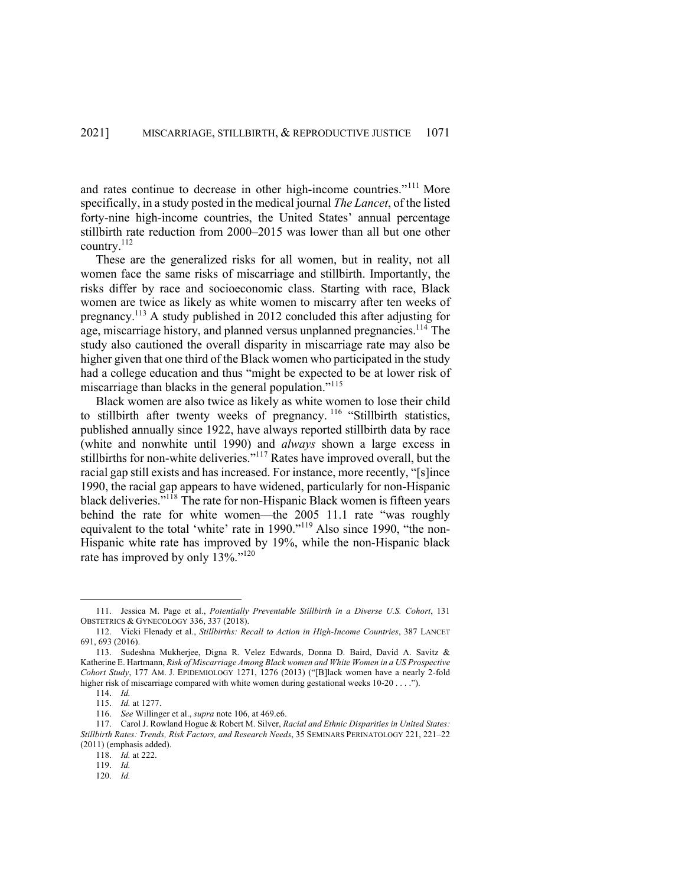and rates continue to decrease in other high-income countries."<sup>111</sup> More specifically, in a study posted in the medical journal *The Lancet*, of the listed forty-nine high-income countries, the United States' annual percentage stillbirth rate reduction from 2000–2015 was lower than all but one other country.112

These are the generalized risks for all women, but in reality, not all women face the same risks of miscarriage and stillbirth. Importantly, the risks differ by race and socioeconomic class. Starting with race, Black women are twice as likely as white women to miscarry after ten weeks of pregnancy.113 A study published in 2012 concluded this after adjusting for age, miscarriage history, and planned versus unplanned pregnancies.<sup>114</sup> The study also cautioned the overall disparity in miscarriage rate may also be higher given that one third of the Black women who participated in the study had a college education and thus "might be expected to be at lower risk of miscarriage than blacks in the general population."<sup>115</sup>

Black women are also twice as likely as white women to lose their child to stillbirth after twenty weeks of pregnancy. <sup>116</sup> "Stillbirth statistics, published annually since 1922, have always reported stillbirth data by race (white and nonwhite until 1990) and *always* shown a large excess in stillbirths for non-white deliveries."<sup>117</sup> Rates have improved overall, but the racial gap still exists and has increased. For instance, more recently, "[s]ince 1990, the racial gap appears to have widened, particularly for non-Hispanic black deliveries."<sup>118</sup> The rate for non-Hispanic Black women is fifteen years behind the rate for white women—the 2005 11.1 rate "was roughly equivalent to the total 'white' rate in 1990."<sup>119</sup> Also since 1990, "the non-Hispanic white rate has improved by 19%, while the non-Hispanic black rate has improved by only 13%."<sup>120</sup>

<sup>111.</sup> Jessica M. Page et al., *Potentially Preventable Stillbirth in a Diverse U.S. Cohort*, 131 OBSTETRICS & GYNECOLOGY 336, 337 (2018).

<sup>112.</sup> Vicki Flenady et al., *Stillbirths: Recall to Action in High-Income Countries*, 387 LANCET 691, 693 (2016).

<sup>113.</sup> Sudeshna Mukherjee, Digna R. Velez Edwards, Donna D. Baird, David A. Savitz & Katherine E. Hartmann, *Risk of Miscarriage Among Black women and White Women in a US Prospective Cohort Study*, 177 AM. J. EPIDEMIOLOGY 1271, 1276 (2013) ("[B]lack women have a nearly 2-fold higher risk of miscarriage compared with white women during gestational weeks 10-20 . . . .").

<sup>114.</sup> *Id.*

<sup>115.</sup> *Id.* at 1277.

<sup>116.</sup> *See* Willinger et al., *supra* note 106, at 469.e6.

<sup>117.</sup> Carol J. Rowland Hogue & Robert M. Silver, *Racial and Ethnic Disparities in United States: Stillbirth Rates: Trends, Risk Factors, and Research Needs*, 35 SEMINARS PERINATOLOGY 221, 221–22 (2011) (emphasis added).

<sup>118.</sup> *Id.* at 222.

<sup>119.</sup> *Id.*

<sup>120.</sup> *Id.*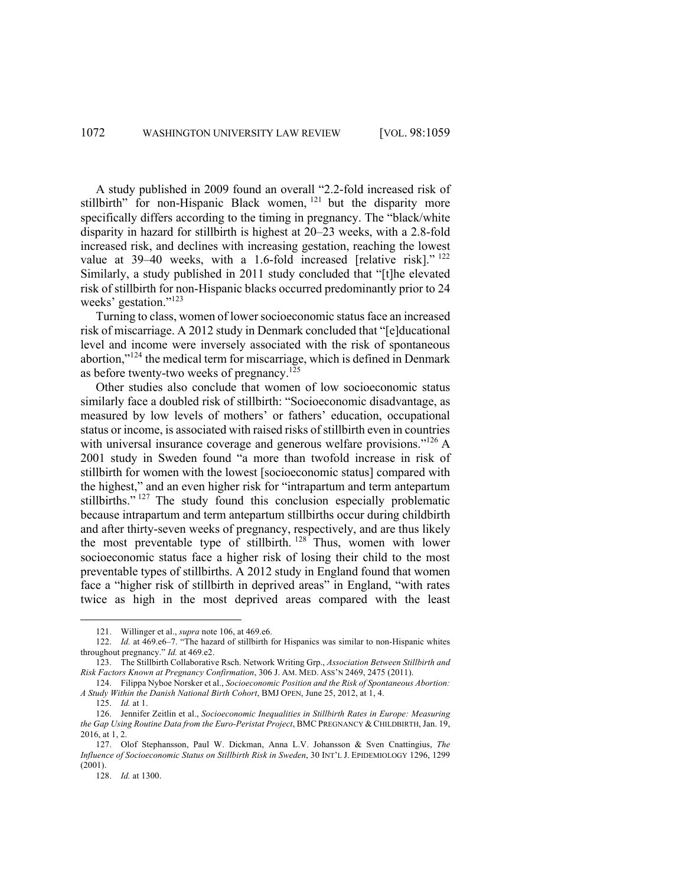A study published in 2009 found an overall "2.2-fold increased risk of stillbirth" for non-Hispanic Black women, <sup>121</sup> but the disparity more specifically differs according to the timing in pregnancy. The "black/white disparity in hazard for stillbirth is highest at 20–23 weeks, with a 2.8-fold increased risk, and declines with increasing gestation, reaching the lowest value at 39-40 weeks, with a 1.6-fold increased [relative risk]."<sup>122</sup> Similarly, a study published in 2011 study concluded that "[t]he elevated risk of stillbirth for non-Hispanic blacks occurred predominantly prior to 24 weeks' gestation."<sup>123</sup>

Turning to class, women of lower socioeconomic status face an increased risk of miscarriage. A 2012 study in Denmark concluded that "[e]ducational level and income were inversely associated with the risk of spontaneous abortion,"<sup>124</sup> the medical term for miscarriage, which is defined in Denmark as before twenty-two weeks of pregnancy.<sup>125</sup>

Other studies also conclude that women of low socioeconomic status similarly face a doubled risk of stillbirth: "Socioeconomic disadvantage, as measured by low levels of mothers' or fathers' education, occupational status or income, is associated with raised risks of stillbirth even in countries with universal insurance coverage and generous welfare provisions."<sup>126</sup> A 2001 study in Sweden found "a more than twofold increase in risk of stillbirth for women with the lowest [socioeconomic status] compared with the highest," and an even higher risk for "intrapartum and term antepartum stillbirths."<sup>127</sup> The study found this conclusion especially problematic because intrapartum and term antepartum stillbirths occur during childbirth and after thirty-seven weeks of pregnancy, respectively, and are thus likely the most preventable type of stillbirth.<sup>128</sup> Thus, women with lower socioeconomic status face a higher risk of losing their child to the most preventable types of stillbirths. A 2012 study in England found that women face a "higher risk of stillbirth in deprived areas" in England, "with rates twice as high in the most deprived areas compared with the least

<sup>121.</sup> Willinger et al., *supra* note 106, at 469.e6.

<sup>122.</sup> *Id.* at 469.e6–7. "The hazard of stillbirth for Hispanics was similar to non-Hispanic whites throughout pregnancy." *Id.* at 469.e2.

<sup>123.</sup> The Stillbirth Collaborative Rsch. Network Writing Grp., *Association Between Stillbirth and Risk Factors Known at Pregnancy Confirmation*, 306 J. AM. MED. ASS'N 2469, 2475 (2011).

<sup>124.</sup> Filippa Nyboe Norsker et al., *Socioeconomic Position and the Risk of Spontaneous Abortion: A Study Within the Danish National Birth Cohort*, BMJ OPEN, June 25, 2012, at 1, 4.

<sup>125.</sup> *Id.* at 1.

<sup>126.</sup> Jennifer Zeitlin et al., *Socioeconomic Inequalities in Stillbirth Rates in Europe: Measuring the Gap Using Routine Data from the Euro-Peristat Project*, BMC PREGNANCY & CHILDBIRTH, Jan. 19, 2016, at 1, 2.

<sup>127.</sup> Olof Stephansson, Paul W. Dickman, Anna L.V. Johansson & Sven Cnattingius, *The Influence of Socioeconomic Status on Stillbirth Risk in Sweden*, 30 INT'L J. EPIDEMIOLOGY 1296, 1299 (2001).

<sup>128.</sup> *Id.* at 1300.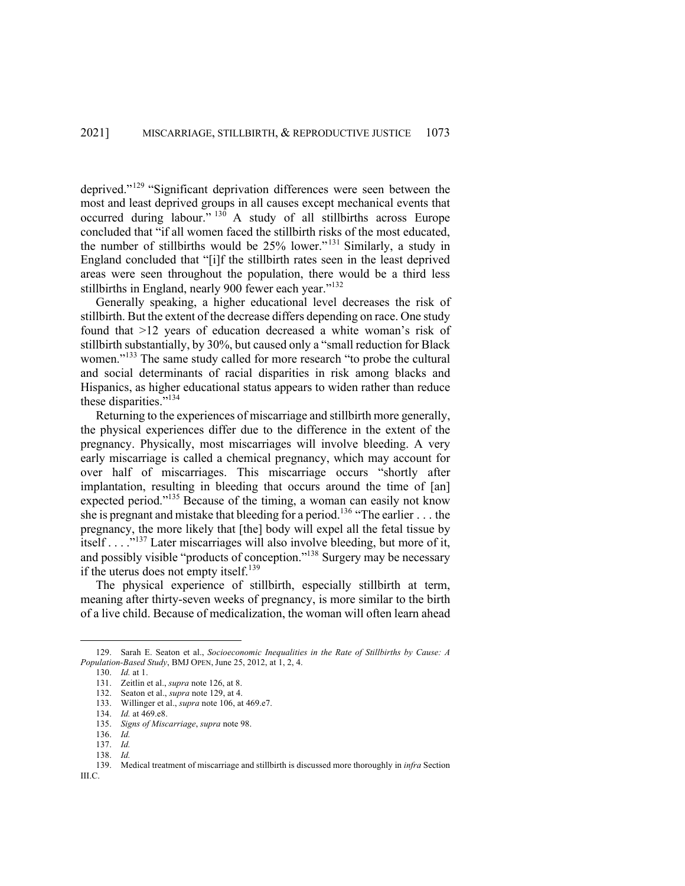deprived."<sup>129</sup> "Significant deprivation differences were seen between the most and least deprived groups in all causes except mechanical events that occurred during labour."  $130$  A study of all stillbirths across Europe concluded that "if all women faced the stillbirth risks of the most educated, the number of stillbirths would be 25% lower."<sup>131</sup> Similarly, a study in England concluded that "[i]f the stillbirth rates seen in the least deprived areas were seen throughout the population, there would be a third less stillbirths in England, nearly 900 fewer each year."<sup>132</sup>

Generally speaking, a higher educational level decreases the risk of stillbirth. But the extent of the decrease differs depending on race. One study found that >12 years of education decreased a white woman's risk of stillbirth substantially, by 30%, but caused only a "small reduction for Black women."<sup>133</sup> The same study called for more research "to probe the cultural and social determinants of racial disparities in risk among blacks and Hispanics, as higher educational status appears to widen rather than reduce these disparities."134

Returning to the experiences of miscarriage and stillbirth more generally, the physical experiences differ due to the difference in the extent of the pregnancy. Physically, most miscarriages will involve bleeding. A very early miscarriage is called a chemical pregnancy, which may account for over half of miscarriages. This miscarriage occurs "shortly after implantation, resulting in bleeding that occurs around the time of [an] expected period."<sup>135</sup> Because of the timing, a woman can easily not know she is pregnant and mistake that bleeding for a period.<sup>136</sup> "The earlier  $\dots$  the pregnancy, the more likely that [the] body will expel all the fetal tissue by itself . . . ."<sup>137</sup> Later miscarriages will also involve bleeding, but more of it, and possibly visible "products of conception."<sup>138</sup> Surgery may be necessary if the uterus does not empty itself.<sup>139</sup>

The physical experience of stillbirth, especially stillbirth at term, meaning after thirty-seven weeks of pregnancy, is more similar to the birth of a live child. Because of medicalization, the woman will often learn ahead

<sup>129.</sup> Sarah E. Seaton et al., *Socioeconomic Inequalities in the Rate of Stillbirths by Cause: A Population-Based Study*, BMJ OPEN, June 25, 2012, at 1, 2, 4.

<sup>130.</sup> *Id.* at 1.

<sup>131.</sup> Zeitlin et al., *supra* note 126, at 8.

<sup>132.</sup> Seaton et al., *supra* note 129, at 4.

<sup>133.</sup> Willinger et al., *supra* note 106, at 469.e7.

<sup>134.</sup> *Id.* at 469.e8.

<sup>135.</sup> *Signs of Miscarriage*, *supra* note 98.

<sup>136.</sup> *Id.* 

<sup>137.</sup> *Id.*  138. *Id.* 

<sup>139.</sup> Medical treatment of miscarriage and stillbirth is discussed more thoroughly in *infra* Section III.C.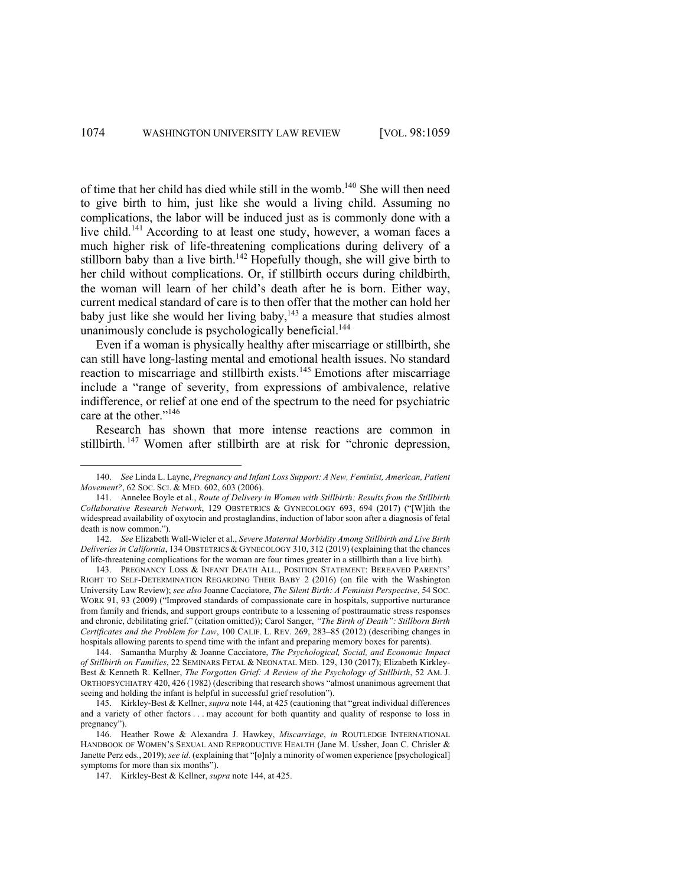of time that her child has died while still in the womb.140 She will then need to give birth to him, just like she would a living child. Assuming no complications, the labor will be induced just as is commonly done with a live child.<sup>141</sup> According to at least one study, however, a woman faces a much higher risk of life-threatening complications during delivery of a stillborn baby than a live birth.<sup>142</sup> Hopefully though, she will give birth to her child without complications. Or, if stillbirth occurs during childbirth, the woman will learn of her child's death after he is born. Either way, current medical standard of care is to then offer that the mother can hold her baby just like she would her living baby,  $143$  a measure that studies almost unanimously conclude is psychologically beneficial.<sup>144</sup>

Even if a woman is physically healthy after miscarriage or stillbirth, she can still have long-lasting mental and emotional health issues. No standard reaction to miscarriage and stillbirth exists.<sup>145</sup> Emotions after miscarriage include a "range of severity, from expressions of ambivalence, relative indifference, or relief at one end of the spectrum to the need for psychiatric care at the other."<sup>146</sup>

Research has shown that more intense reactions are common in stillbirth.<sup>147</sup> Women after stillbirth are at risk for "chronic depression,

144. Samantha Murphy & Joanne Cacciatore, *The Psychological, Social, and Economic Impact of Stillbirth on Families*, 22 SEMINARS FETAL & NEONATAL MED. 129, 130 (2017); Elizabeth Kirkley-Best & Kenneth R. Kellner, *The Forgotten Grief: A Review of the Psychology of Stillbirth*, 52 AM. J. ORTHOPSYCHIATRY 420, 426 (1982) (describing that research shows "almost unanimous agreement that seeing and holding the infant is helpful in successful grief resolution").

145. Kirkley-Best & Kellner, *supra* note 144, at 425 (cautioning that "great individual differences and a variety of other factors . . . may account for both quantity and quality of response to loss in pregnancy").

146. Heather Rowe & Alexandra J. Hawkey, *Miscarriage*, *in* ROUTLEDGE INTERNATIONAL HANDBOOK OF WOMEN'S SEXUAL AND REPRODUCTIVE HEALTH (Jane M. Ussher, Joan C. Chrisler & Janette Perz eds., 2019); *see id.* (explaining that "[o]nly a minority of women experience [psychological] symptoms for more than six months").

<sup>140.</sup> *See* Linda L. Layne, *Pregnancy and Infant Loss Support: A New, Feminist, American, Patient Movement?*, 62 SOC. SCI. & MED. 602, 603 (2006).

<sup>141.</sup> Annelee Boyle et al., *Route of Delivery in Women with Stillbirth: Results from the Stillbirth Collaborative Research Network*, 129 OBSTETRICS & GYNECOLOGY 693, 694 (2017) ("[W]ith the widespread availability of oxytocin and prostaglandins, induction of labor soon after a diagnosis of fetal death is now common.").

<sup>142.</sup> *See* Elizabeth Wall-Wieler et al., *Severe Maternal Morbidity Among Stillbirth and Live Birth Deliveries in California*, 134 OBSTETRICS & GYNECOLOGY 310, 312 (2019) (explaining that the chances of life-threatening complications for the woman are four times greater in a stillbirth than a live birth).

<sup>143.</sup> PREGNANCY LOSS & INFANT DEATH ALL., POSITION STATEMENT: BEREAVED PARENTS' RIGHT TO SELF-DETERMINATION REGARDING THEIR BABY 2 (2016) (on file with the Washington University Law Review); *see also* Joanne Cacciatore, *The Silent Birth: A Feminist Perspective*, 54 SOC. WORK 91, 93 (2009) ("Improved standards of compassionate care in hospitals, supportive nurturance from family and friends, and support groups contribute to a lessening of posttraumatic stress responses and chronic, debilitating grief." (citation omitted)); Carol Sanger, *"The Birth of Death": Stillborn Birth Certificates and the Problem for Law*, 100 CALIF. L. REV. 269, 283–85 (2012) (describing changes in hospitals allowing parents to spend time with the infant and preparing memory boxes for parents).

<sup>147.</sup> Kirkley-Best & Kellner, *supra* note 144, at 425.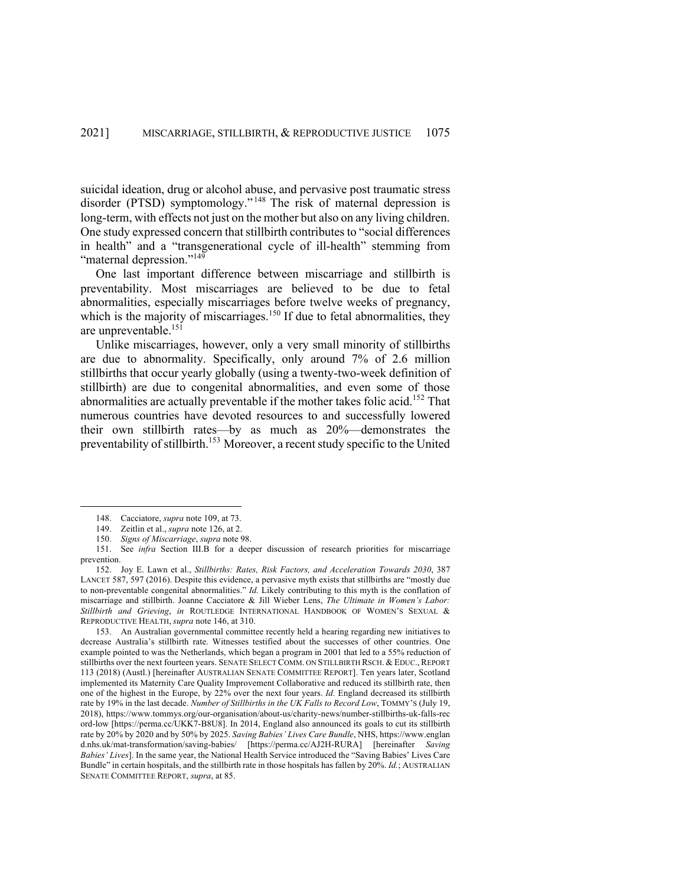suicidal ideation, drug or alcohol abuse, and pervasive post traumatic stress disorder (PTSD) symptomology."<sup>148</sup> The risk of maternal depression is long-term, with effects not just on the mother but also on any living children. One study expressed concern that stillbirth contributes to "social differences in health" and a "transgenerational cycle of ill-health" stemming from "maternal depression."<sup>149</sup>

One last important difference between miscarriage and stillbirth is preventability. Most miscarriages are believed to be due to fetal abnormalities, especially miscarriages before twelve weeks of pregnancy, which is the majority of miscarriages.<sup>150</sup> If due to fetal abnormalities, they are unpreventable.<sup>151</sup>

Unlike miscarriages, however, only a very small minority of stillbirths are due to abnormality. Specifically, only around 7% of 2.6 million stillbirths that occur yearly globally (using a twenty-two-week definition of stillbirth) are due to congenital abnormalities, and even some of those abnormalities are actually preventable if the mother takes folic acid.<sup>152</sup> That numerous countries have devoted resources to and successfully lowered their own stillbirth rates—by as much as 20%—demonstrates the preventability of stillbirth.<sup>153</sup> Moreover, a recent study specific to the United

<sup>148.</sup> Cacciatore, *supra* note 109, at 73.

<sup>149.</sup> Zeitlin et al., *supra* note 126, at 2.

<sup>150.</sup> *Signs of Miscarriage*, *supra* note 98.

<sup>151.</sup> See *infra* Section III.B for a deeper discussion of research priorities for miscarriage prevention.

<sup>152.</sup> Joy E. Lawn et al., *Stillbirths: Rates, Risk Factors, and Acceleration Towards 2030*, 387 LANCET 587, 597 (2016). Despite this evidence, a pervasive myth exists that stillbirths are "mostly due to non-preventable congenital abnormalities." *Id.* Likely contributing to this myth is the conflation of miscarriage and stillbirth. Joanne Cacciatore & Jill Wieber Lens, *The Ultimate in Women's Labor: Stillbirth and Grieving*, *in* ROUTLEDGE INTERNATIONAL HANDBOOK OF WOMEN'S SEXUAL & REPRODUCTIVE HEALTH, *supra* note 146, at 310.

<sup>153.</sup> An Australian governmental committee recently held a hearing regarding new initiatives to decrease Australia's stillbirth rate. Witnesses testified about the successes of other countries. One example pointed to was the Netherlands, which began a program in 2001 that led to a 55% reduction of stillbirths over the next fourteen years. SENATE SELECT COMM. ON STILLBIRTH RSCH. & EDUC., REPORT 113 (2018) (Austl.) [hereinafter AUSTRALIAN SENATE COMMITTEE REPORT]. Ten years later, Scotland implemented its Maternity Care Quality Improvement Collaborative and reduced its stillbirth rate, then one of the highest in the Europe, by 22% over the next four years. *Id.* England decreased its stillbirth rate by 19% in the last decade. *Number of Stillbirths in the UK Falls to Record Low*, TOMMY'S (July 19, 2018), https://www.tommys.org/our-organisation/about-us/charity-news/number-stillbirths-uk-falls-rec ord-low [https://perma.cc/UKK7-B8U8]. In 2014, England also announced its goals to cut its stillbirth rate by 20% by 2020 and by 50% by 2025. *Saving Babies' Lives Care Bundle*, NHS, https://www.englan d.nhs.uk/mat-transformation/saving-babies/ [https://perma.cc/AJ2H-RURA] [hereinafter *Saving Babies' Lives*]. In the same year, the National Health Service introduced the "Saving Babies' Lives Care Bundle" in certain hospitals, and the stillbirth rate in those hospitals has fallen by 20%. *Id.*; AUSTRALIAN SENATE COMMITTEE REPORT, *supra*, at 85.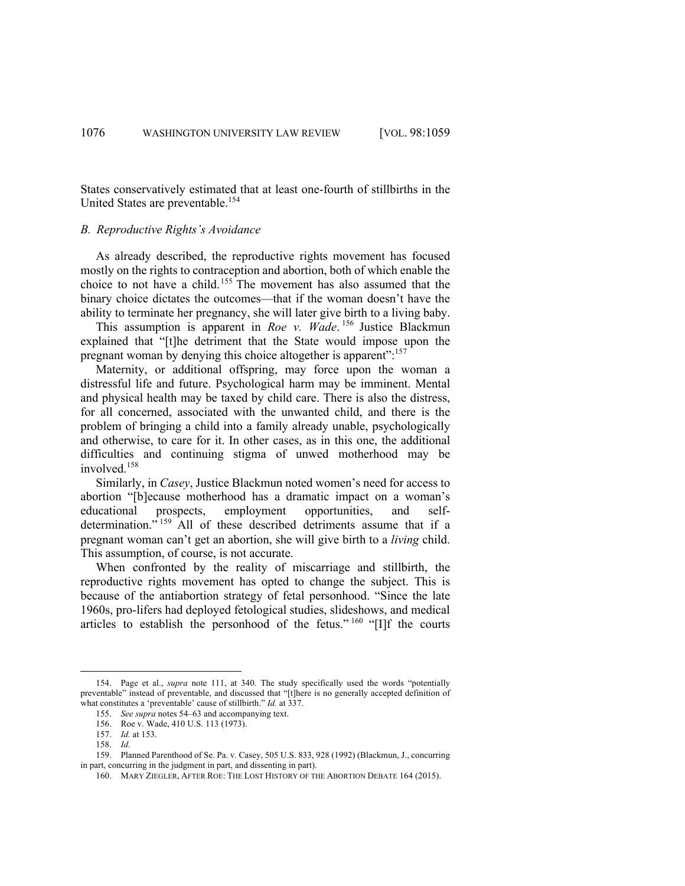States conservatively estimated that at least one-fourth of stillbirths in the United States are preventable.154

## *B. Reproductive Rights's Avoidance*

As already described, the reproductive rights movement has focused mostly on the rights to contraception and abortion, both of which enable the choice to not have a child.<sup>155</sup> The movement has also assumed that the binary choice dictates the outcomes—that if the woman doesn't have the ability to terminate her pregnancy, she will later give birth to a living baby.

This assumption is apparent in *Roe v. Wade*. <sup>156</sup> Justice Blackmun explained that "[t]he detriment that the State would impose upon the pregnant woman by denying this choice altogether is apparent":<sup>157</sup>

Maternity, or additional offspring, may force upon the woman a distressful life and future. Psychological harm may be imminent. Mental and physical health may be taxed by child care. There is also the distress, for all concerned, associated with the unwanted child, and there is the problem of bringing a child into a family already unable, psychologically and otherwise, to care for it. In other cases, as in this one, the additional difficulties and continuing stigma of unwed motherhood may be involved.<sup>158</sup>

Similarly, in *Casey*, Justice Blackmun noted women's need for access to abortion "[b]ecause motherhood has a dramatic impact on a woman's educational prospects, employment opportunities, and selfdetermination."<sup>159</sup> All of these described detriments assume that if a pregnant woman can't get an abortion, she will give birth to a *living* child. This assumption, of course, is not accurate.

When confronted by the reality of miscarriage and stillbirth, the reproductive rights movement has opted to change the subject. This is because of the antiabortion strategy of fetal personhood. "Since the late 1960s, pro-lifers had deployed fetological studies, slideshows, and medical articles to establish the personhood of the fetus."  $^{160}$  "[I]f the courts

<sup>154.</sup> Page et al., *supra* note 111, at 340. The study specifically used the words "potentially preventable" instead of preventable, and discussed that "[t]here is no generally accepted definition of what constitutes a 'preventable' cause of stillbirth." *Id.* at 337.

<sup>155.</sup> *See supra* notes 54–63 and accompanying text.

<sup>156.</sup> Roe v. Wade, 410 U.S. 113 (1973). 157. *Id.* at 153.

<sup>158.</sup> *Id.*

<sup>159.</sup> Planned Parenthood of Se. Pa. v. Casey, 505 U.S. 833, 928 (1992) (Blackmun, J., concurring in part, concurring in the judgment in part, and dissenting in part).

<sup>160.</sup> MARY ZIEGLER, AFTER ROE: THE LOST HISTORY OF THE ABORTION DEBATE 164 (2015).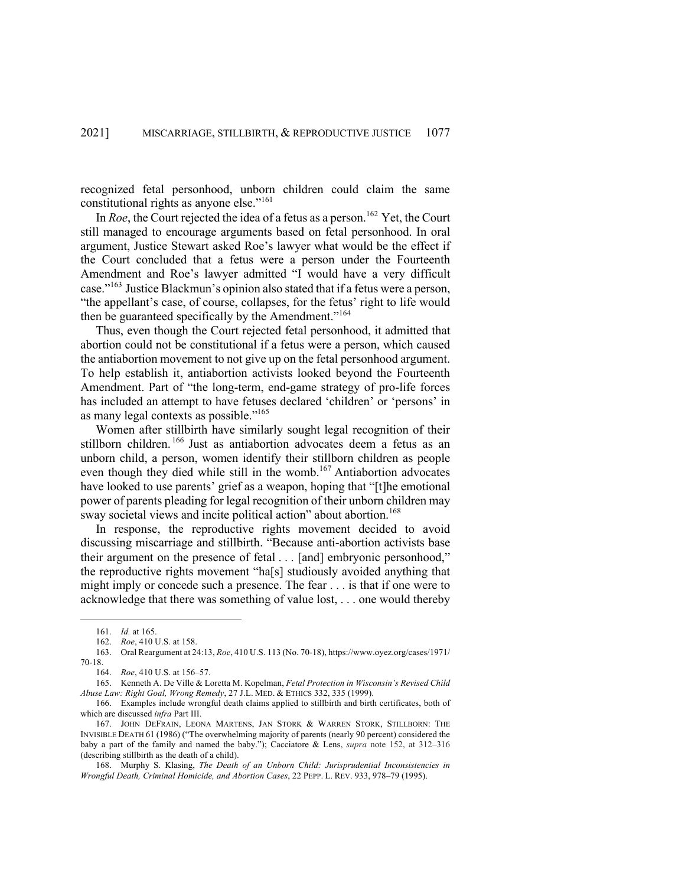recognized fetal personhood, unborn children could claim the same constitutional rights as anyone else."161

In *Roe*, the Court rejected the idea of a fetus as a person.<sup>162</sup> Yet, the Court still managed to encourage arguments based on fetal personhood. In oral argument, Justice Stewart asked Roe's lawyer what would be the effect if the Court concluded that a fetus were a person under the Fourteenth Amendment and Roe's lawyer admitted "I would have a very difficult case."<sup>163</sup> Justice Blackmun's opinion also stated that if a fetus were a person, "the appellant's case, of course, collapses, for the fetus' right to life would then be guaranteed specifically by the Amendment."<sup>164</sup>

Thus, even though the Court rejected fetal personhood, it admitted that abortion could not be constitutional if a fetus were a person, which caused the antiabortion movement to not give up on the fetal personhood argument. To help establish it, antiabortion activists looked beyond the Fourteenth Amendment. Part of "the long-term, end-game strategy of pro-life forces has included an attempt to have fetuses declared 'children' or 'persons' in as many legal contexts as possible."165

Women after stillbirth have similarly sought legal recognition of their stillborn children.<sup>166</sup> Just as antiabortion advocates deem a fetus as an unborn child, a person, women identify their stillborn children as people even though they died while still in the womb.<sup>167</sup> Antiabortion advocates have looked to use parents' grief as a weapon, hoping that "[t]he emotional power of parents pleading for legal recognition of their unborn children may sway societal views and incite political action" about abortion.<sup>168</sup>

In response, the reproductive rights movement decided to avoid discussing miscarriage and stillbirth. "Because anti-abortion activists base their argument on the presence of fetal . . . [and] embryonic personhood," the reproductive rights movement "ha[s] studiously avoided anything that might imply or concede such a presence. The fear . . . is that if one were to acknowledge that there was something of value lost, . . . one would thereby

167. JOHN DEFRAIN, LEONA MARTENS, JAN STORK & WARREN STORK, STILLBORN: THE INVISIBLE DEATH 61 (1986) ("The overwhelming majority of parents (nearly 90 percent) considered the baby a part of the family and named the baby."); Cacciatore & Lens, *supra* note 152, at 312–316 (describing stillbirth as the death of a child).

168. Murphy S. Klasing, *The Death of an Unborn Child: Jurisprudential Inconsistencies in Wrongful Death, Criminal Homicide, and Abortion Cases*, 22 PEPP. L. REV. 933, 978–79 (1995).

<sup>161.</sup> *Id.* at 165.

<sup>162.</sup> *Roe*, 410 U.S. at 158.

<sup>163.</sup> Oral Reargument at 24:13, *Roe*, 410 U.S. 113 (No. 70-18), https://www.oyez.org/cases/1971/ 70-18.

<sup>164.</sup> *Roe*, 410 U.S. at 156–57.

<sup>165.</sup> Kenneth A. De Ville & Loretta M. Kopelman, *Fetal Protection in Wisconsin's Revised Child Abuse Law: Right Goal, Wrong Remedy*, 27 J.L. MED. & ETHICS 332, 335 (1999).

<sup>166.</sup> Examples include wrongful death claims applied to stillbirth and birth certificates, both of which are discussed *infra* Part III.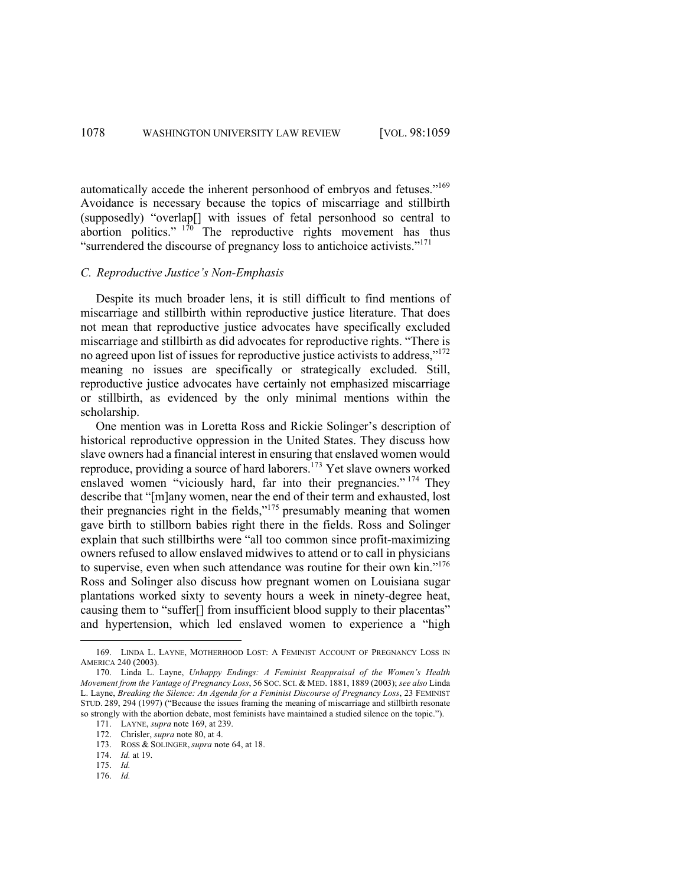automatically accede the inherent personhood of embryos and fetuses."169 Avoidance is necessary because the topics of miscarriage and stillbirth (supposedly) "overlap[] with issues of fetal personhood so central to abortion politics."  $1^{70}$  The reproductive rights movement has thus "surrendered the discourse of pregnancy loss to antichoice activists."<sup>171</sup>

### *C. Reproductive Justice's Non-Emphasis*

Despite its much broader lens, it is still difficult to find mentions of miscarriage and stillbirth within reproductive justice literature. That does not mean that reproductive justice advocates have specifically excluded miscarriage and stillbirth as did advocates for reproductive rights. "There is no agreed upon list of issues for reproductive justice activists to address,"172 meaning no issues are specifically or strategically excluded. Still, reproductive justice advocates have certainly not emphasized miscarriage or stillbirth, as evidenced by the only minimal mentions within the scholarship.

One mention was in Loretta Ross and Rickie Solinger's description of historical reproductive oppression in the United States. They discuss how slave owners had a financial interest in ensuring that enslaved women would reproduce, providing a source of hard laborers.<sup>173</sup> Yet slave owners worked enslaved women "viciously hard, far into their pregnancies."<sup>174</sup> They describe that "[m]any women, near the end of their term and exhausted, lost their pregnancies right in the fields, $v<sup>175</sup>$  presumably meaning that women gave birth to stillborn babies right there in the fields. Ross and Solinger explain that such stillbirths were "all too common since profit-maximizing owners refused to allow enslaved midwives to attend or to call in physicians to supervise, even when such attendance was routine for their own kin."<sup>176</sup> Ross and Solinger also discuss how pregnant women on Louisiana sugar plantations worked sixty to seventy hours a week in ninety-degree heat, causing them to "suffer[] from insufficient blood supply to their placentas" and hypertension, which led enslaved women to experience a "high

<sup>169.</sup> LINDA L. LAYNE, MOTHERHOOD LOST: A FEMINIST ACCOUNT OF PREGNANCY LOSS IN AMERICA 240 (2003).

<sup>170.</sup> Linda L. Layne, *Unhappy Endings: A Feminist Reappraisal of the Women's Health Movement from the Vantage of Pregnancy Loss*, 56 SOC. SCI. & MED. 1881, 1889 (2003); *see also* Linda L. Layne, *Breaking the Silence: An Agenda for a Feminist Discourse of Pregnancy Loss*, 23 FEMINIST STUD. 289, 294 (1997) ("Because the issues framing the meaning of miscarriage and stillbirth resonate so strongly with the abortion debate, most feminists have maintained a studied silence on the topic.").

<sup>171.</sup> LAYNE, *supra* note 169, at 239.

<sup>172.</sup> Chrisler, *supra* note 80, at 4.

<sup>173.</sup> ROSS & SOLINGER, *supra* note 64, at 18.

<sup>174.</sup> *Id.* at 19.

<sup>175.</sup> *Id.*

<sup>176.</sup> *Id.*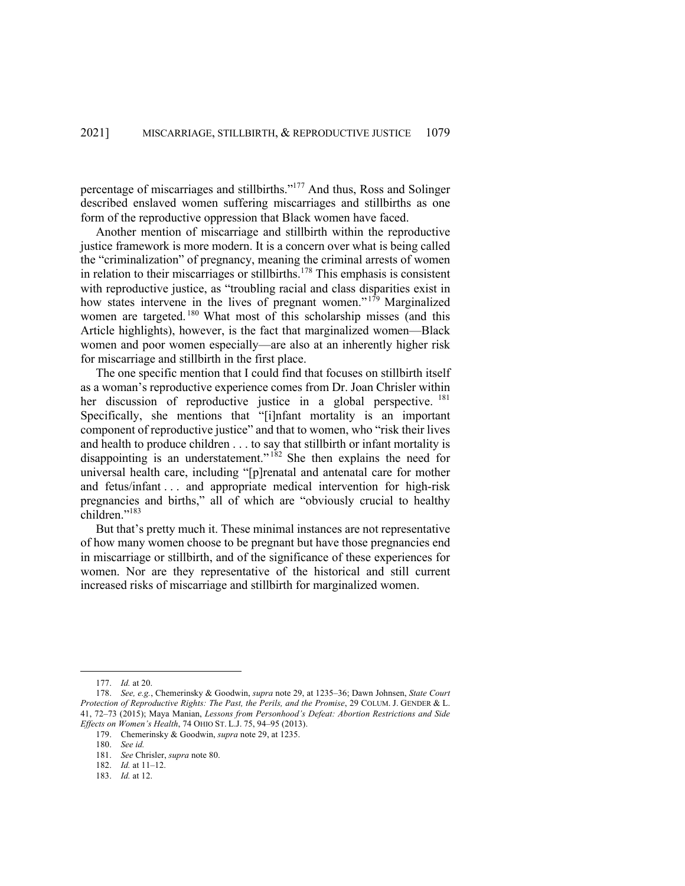percentage of miscarriages and stillbirths."177 And thus, Ross and Solinger described enslaved women suffering miscarriages and stillbirths as one form of the reproductive oppression that Black women have faced.

Another mention of miscarriage and stillbirth within the reproductive justice framework is more modern. It is a concern over what is being called the "criminalization" of pregnancy, meaning the criminal arrests of women in relation to their miscarriages or stillbirths.<sup>178</sup> This emphasis is consistent with reproductive justice, as "troubling racial and class disparities exist in how states intervene in the lives of pregnant women."<sup>179</sup> Marginalized women are targeted.<sup>180</sup> What most of this scholarship misses (and this Article highlights), however, is the fact that marginalized women—Black women and poor women especially—are also at an inherently higher risk for miscarriage and stillbirth in the first place.

The one specific mention that I could find that focuses on stillbirth itself as a woman's reproductive experience comes from Dr. Joan Chrisler within her discussion of reproductive justice in a global perspective. <sup>181</sup> Specifically, she mentions that "[i]nfant mortality is an important component of reproductive justice" and that to women, who "risk their lives and health to produce children . . . to say that stillbirth or infant mortality is disappointing is an understatement."  $182$  She then explains the need for universal health care, including "[p]renatal and antenatal care for mother and fetus/infant . . . and appropriate medical intervention for high-risk pregnancies and births," all of which are "obviously crucial to healthy children."<sup>183</sup>

But that's pretty much it. These minimal instances are not representative of how many women choose to be pregnant but have those pregnancies end in miscarriage or stillbirth, and of the significance of these experiences for women. Nor are they representative of the historical and still current increased risks of miscarriage and stillbirth for marginalized women.

179. Chemerinsky & Goodwin, *supra* note 29, at 1235.

<sup>177.</sup> *Id.* at 20.

<sup>178.</sup> *See, e.g.*, Chemerinsky & Goodwin, *supra* note 29, at 1235–36; Dawn Johnsen, *State Court Protection of Reproductive Rights: The Past, the Perils, and the Promise*, 29 COLUM. J. GENDER & L. 41, 72–73 (2015); Maya Manian, *Lessons from Personhood's Defeat: Abortion Restrictions and Side Effects on Women's Health*, 74 OHIO ST. L.J. 75, 94–95 (2013).

<sup>180.</sup> *See id.*

<sup>181.</sup> *See* Chrisler, *supra* note 80.

<sup>182.</sup> *Id.* at 11–12.

<sup>183.</sup> *Id.* at 12.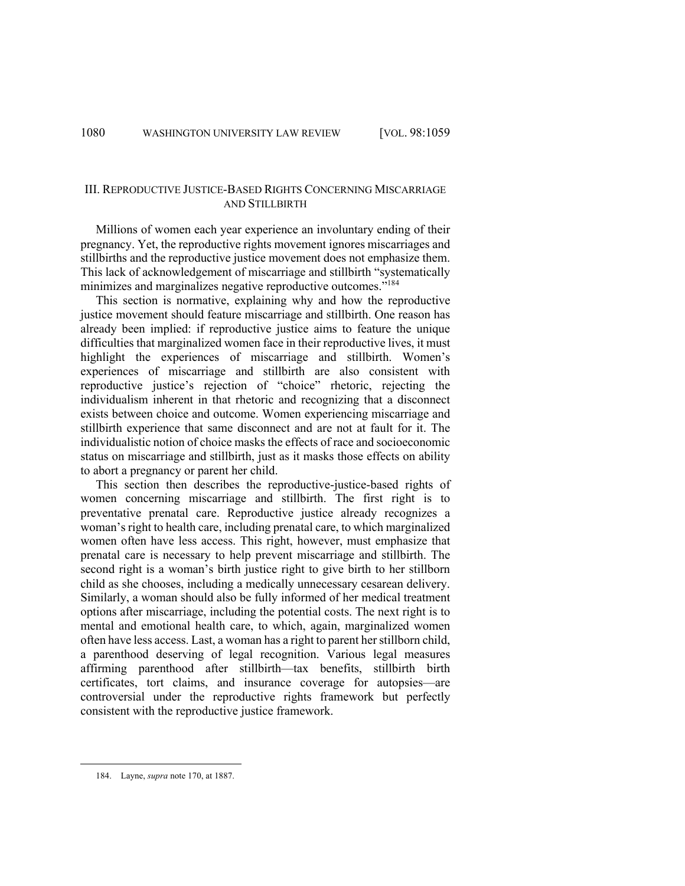# III. REPRODUCTIVE JUSTICE-BASED RIGHTS CONCERNING MISCARRIAGE AND STILLBIRTH

Millions of women each year experience an involuntary ending of their pregnancy. Yet, the reproductive rights movement ignores miscarriages and stillbirths and the reproductive justice movement does not emphasize them. This lack of acknowledgement of miscarriage and stillbirth "systematically minimizes and marginalizes negative reproductive outcomes."<sup>184</sup>

This section is normative, explaining why and how the reproductive justice movement should feature miscarriage and stillbirth. One reason has already been implied: if reproductive justice aims to feature the unique difficulties that marginalized women face in their reproductive lives, it must highlight the experiences of miscarriage and stillbirth. Women's experiences of miscarriage and stillbirth are also consistent with reproductive justice's rejection of "choice" rhetoric, rejecting the individualism inherent in that rhetoric and recognizing that a disconnect exists between choice and outcome. Women experiencing miscarriage and stillbirth experience that same disconnect and are not at fault for it. The individualistic notion of choice masks the effects of race and socioeconomic status on miscarriage and stillbirth, just as it masks those effects on ability to abort a pregnancy or parent her child.

This section then describes the reproductive-justice-based rights of women concerning miscarriage and stillbirth. The first right is to preventative prenatal care. Reproductive justice already recognizes a woman's right to health care, including prenatal care, to which marginalized women often have less access. This right, however, must emphasize that prenatal care is necessary to help prevent miscarriage and stillbirth. The second right is a woman's birth justice right to give birth to her stillborn child as she chooses, including a medically unnecessary cesarean delivery. Similarly, a woman should also be fully informed of her medical treatment options after miscarriage, including the potential costs. The next right is to mental and emotional health care, to which, again, marginalized women often have less access. Last, a woman has a right to parent her stillborn child, a parenthood deserving of legal recognition. Various legal measures affirming parenthood after stillbirth—tax benefits, stillbirth birth certificates, tort claims, and insurance coverage for autopsies—are controversial under the reproductive rights framework but perfectly consistent with the reproductive justice framework.

<sup>184.</sup> Layne, *supra* note 170, at 1887.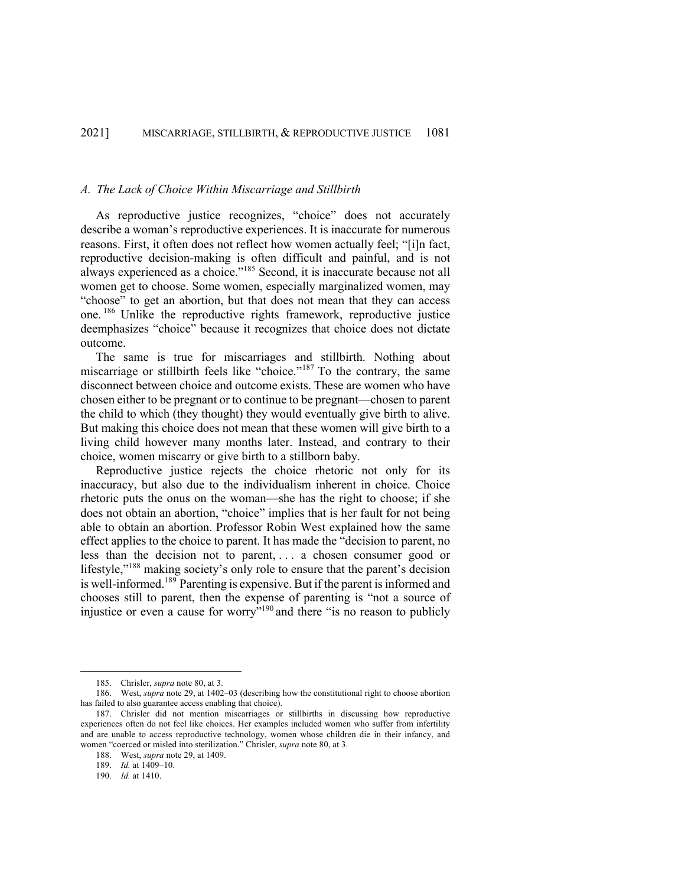#### *A. The Lack of Choice Within Miscarriage and Stillbirth*

As reproductive justice recognizes, "choice" does not accurately describe a woman's reproductive experiences. It is inaccurate for numerous reasons. First, it often does not reflect how women actually feel; "[i]n fact, reproductive decision-making is often difficult and painful, and is not always experienced as a choice."185 Second, it is inaccurate because not all women get to choose. Some women, especially marginalized women, may "choose" to get an abortion, but that does not mean that they can access one. <sup>186</sup> Unlike the reproductive rights framework, reproductive justice deemphasizes "choice" because it recognizes that choice does not dictate outcome.

The same is true for miscarriages and stillbirth. Nothing about miscarriage or stillbirth feels like "choice."<sup>187</sup> To the contrary, the same disconnect between choice and outcome exists. These are women who have chosen either to be pregnant or to continue to be pregnant—chosen to parent the child to which (they thought) they would eventually give birth to alive. But making this choice does not mean that these women will give birth to a living child however many months later. Instead, and contrary to their choice, women miscarry or give birth to a stillborn baby.

Reproductive justice rejects the choice rhetoric not only for its inaccuracy, but also due to the individualism inherent in choice. Choice rhetoric puts the onus on the woman—she has the right to choose; if she does not obtain an abortion, "choice" implies that is her fault for not being able to obtain an abortion. Professor Robin West explained how the same effect applies to the choice to parent. It has made the "decision to parent, no less than the decision not to parent, . . . a chosen consumer good or lifestyle,"<sup>188</sup> making society's only role to ensure that the parent's decision is well-informed.<sup>189</sup> Parenting is expensive. But if the parent is informed and chooses still to parent, then the expense of parenting is "not a source of injustice or even a cause for worry"190 and there "is no reason to publicly

189. *Id.* at 1409–10.

<sup>185.</sup> Chrisler, *supra* note 80, at 3.

<sup>186.</sup> West, *supra* note 29, at 1402–03 (describing how the constitutional right to choose abortion has failed to also guarantee access enabling that choice).

<sup>187.</sup> Chrisler did not mention miscarriages or stillbirths in discussing how reproductive experiences often do not feel like choices. Her examples included women who suffer from infertility and are unable to access reproductive technology, women whose children die in their infancy, and women "coerced or misled into sterilization." Chrisler, *supra* note 80, at 3.

<sup>188.</sup> West, *supra* note 29, at 1409.

<sup>190.</sup> *Id.* at 1410.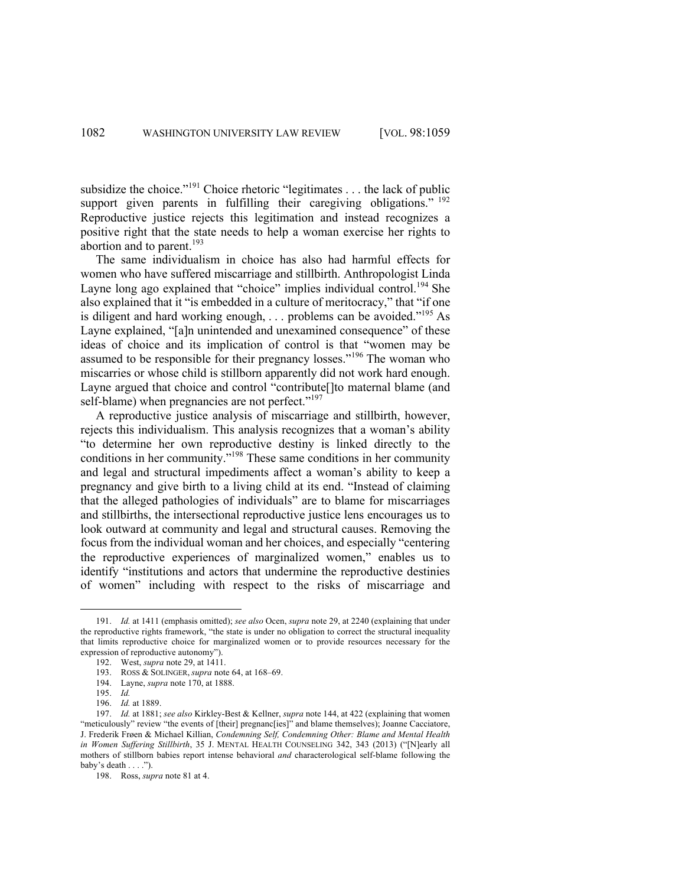subsidize the choice."<sup>191</sup> Choice rhetoric "legitimates . . . the lack of public support given parents in fulfilling their caregiving obligations." <sup>192</sup> Reproductive justice rejects this legitimation and instead recognizes a positive right that the state needs to help a woman exercise her rights to abortion and to parent.<sup>193</sup>

The same individualism in choice has also had harmful effects for women who have suffered miscarriage and stillbirth. Anthropologist Linda Layne long ago explained that "choice" implies individual control.<sup>194</sup> She also explained that it "is embedded in a culture of meritocracy," that "if one is diligent and hard working enough,  $\ldots$  problems can be avoided."<sup>195</sup> As Layne explained, "[a]n unintended and unexamined consequence" of these ideas of choice and its implication of control is that "women may be assumed to be responsible for their pregnancy losses."<sup>196</sup> The woman who miscarries or whose child is stillborn apparently did not work hard enough. Layne argued that choice and control "contribute[]to maternal blame (and self-blame) when pregnancies are not perfect."<sup>197</sup>

A reproductive justice analysis of miscarriage and stillbirth, however, rejects this individualism. This analysis recognizes that a woman's ability "to determine her own reproductive destiny is linked directly to the conditions in her community."198 These same conditions in her community and legal and structural impediments affect a woman's ability to keep a pregnancy and give birth to a living child at its end. "Instead of claiming that the alleged pathologies of individuals" are to blame for miscarriages and stillbirths, the intersectional reproductive justice lens encourages us to look outward at community and legal and structural causes. Removing the focus from the individual woman and her choices, and especially "centering the reproductive experiences of marginalized women," enables us to identify "institutions and actors that undermine the reproductive destinies of women" including with respect to the risks of miscarriage and

<sup>191.</sup> *Id.* at 1411 (emphasis omitted); *see also* Ocen, *supra* note 29, at 2240 (explaining that under the reproductive rights framework, "the state is under no obligation to correct the structural inequality that limits reproductive choice for marginalized women or to provide resources necessary for the expression of reproductive autonomy").

<sup>192.</sup> West, *supra* note 29, at 1411.

<sup>193.</sup> ROSS & SOLINGER, *supra* note 64, at 168–69.

<sup>194.</sup> Layne, *supra* note 170, at 1888.

<sup>195.</sup> *Id.* 

<sup>196.</sup> *Id.* at 1889.

<sup>197.</sup> *Id.* at 1881; *see also* Kirkley-Best & Kellner, *supra* note 144, at 422 (explaining that women "meticulously" review "the events of [their] pregnanc[ies]" and blame themselves); Joanne Cacciatore, J. Frederik Frøen & Michael Killian, *Condemning Self, Condemning Other: Blame and Mental Health in Women Suffering Stillbirth*, 35 J. MENTAL HEALTH COUNSELING 342, 343 (2013) ("[N]early all mothers of stillborn babies report intense behavioral *and* characterological self-blame following the baby's death . . . .").

<sup>198.</sup> Ross, *supra* note 81 at 4.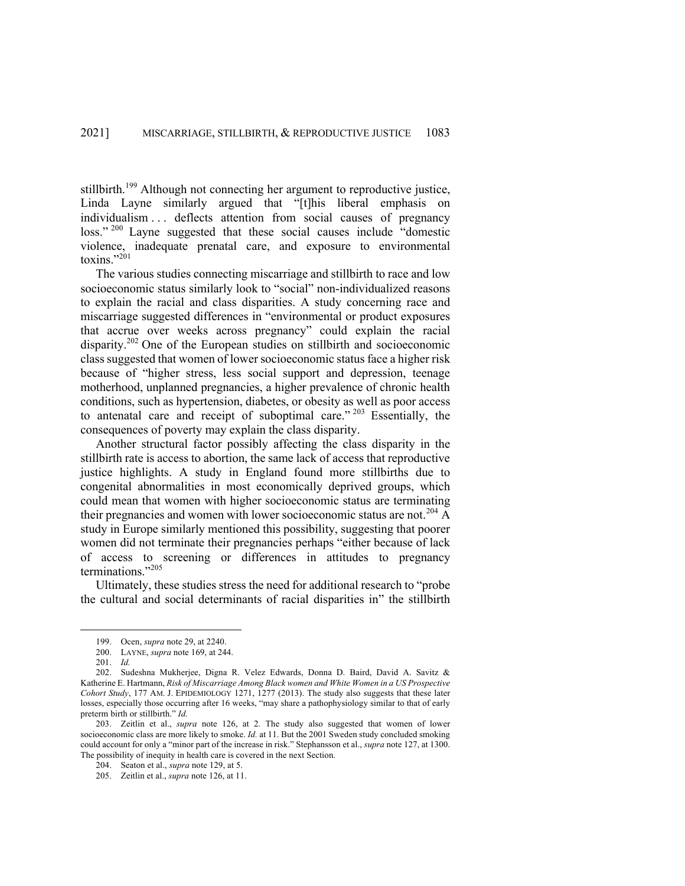stillbirth.<sup>199</sup> Although not connecting her argument to reproductive justice, Linda Layne similarly argued that "[t]his liberal emphasis on individualism . . . deflects attention from social causes of pregnancy loss."<sup>200</sup> Layne suggested that these social causes include "domestic violence, inadequate prenatal care, and exposure to environmental toxins."<sup>201</sup>

The various studies connecting miscarriage and stillbirth to race and low socioeconomic status similarly look to "social" non-individualized reasons to explain the racial and class disparities. A study concerning race and miscarriage suggested differences in "environmental or product exposures that accrue over weeks across pregnancy" could explain the racial disparity.<sup>202</sup> One of the European studies on stillbirth and socioeconomic class suggested that women of lower socioeconomic status face a higher risk because of "higher stress, less social support and depression, teenage motherhood, unplanned pregnancies, a higher prevalence of chronic health conditions, such as hypertension, diabetes, or obesity as well as poor access to antenatal care and receipt of suboptimal care."  $203$  Essentially, the consequences of poverty may explain the class disparity.

Another structural factor possibly affecting the class disparity in the stillbirth rate is access to abortion, the same lack of access that reproductive justice highlights. A study in England found more stillbirths due to congenital abnormalities in most economically deprived groups, which could mean that women with higher socioeconomic status are terminating their pregnancies and women with lower socioeconomic status are not.<sup>204</sup> A study in Europe similarly mentioned this possibility, suggesting that poorer women did not terminate their pregnancies perhaps "either because of lack of access to screening or differences in attitudes to pregnancy terminations."<sup>205</sup>

Ultimately, these studies stress the need for additional research to "probe the cultural and social determinants of racial disparities in" the stillbirth

<sup>199.</sup> Ocen, *supra* note 29, at 2240.

<sup>200.</sup> LAYNE, *supra* note 169, at 244.

<sup>201.</sup> *Id.*

<sup>202.</sup> Sudeshna Mukherjee, Digna R. Velez Edwards, Donna D. Baird, David A. Savitz & Katherine E. Hartmann, *Risk of Miscarriage Among Black women and White Women in a US Prospective Cohort Study*, 177 AM. J. EPIDEMIOLOGY 1271, 1277 (2013). The study also suggests that these later losses, especially those occurring after 16 weeks, "may share a pathophysiology similar to that of early preterm birth or stillbirth." *Id.*

<sup>203.</sup> Zeitlin et al., *supra* note 126, at 2*.* The study also suggested that women of lower socioeconomic class are more likely to smoke. *Id.* at 11. But the 2001 Sweden study concluded smoking could account for only a "minor part of the increase in risk." Stephansson et al., *supra* note 127, at 1300. The possibility of inequity in health care is covered in the next Section.

<sup>204.</sup> Seaton et al., *supra* note 129, at 5.

<sup>205.</sup> Zeitlin et al., *supra* note 126, at 11.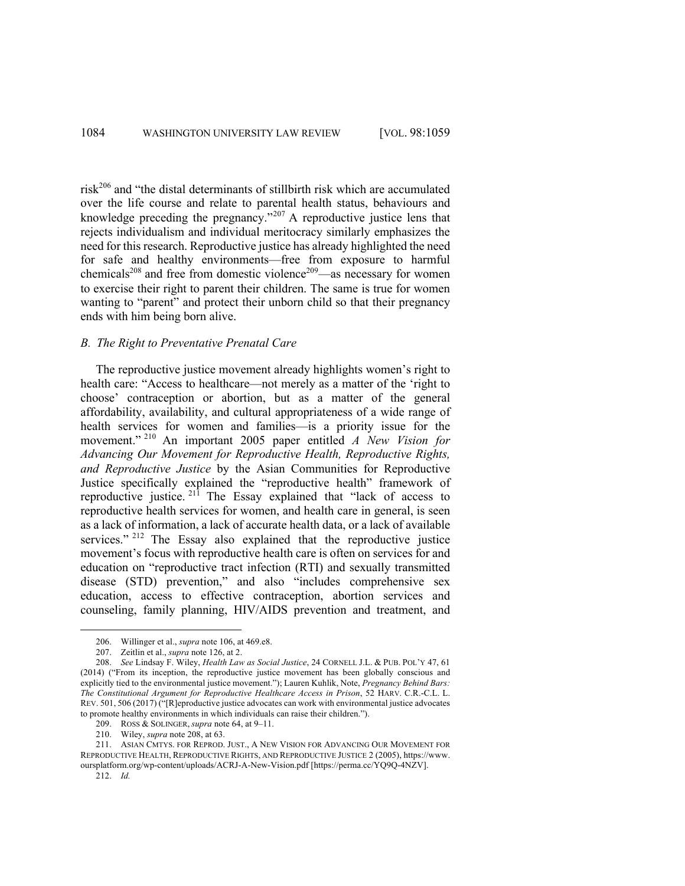risk<sup>206</sup> and "the distal determinants of stillbirth risk which are accumulated over the life course and relate to parental health status, behaviours and knowledge preceding the pregnancy."<sup>207</sup> A reproductive justice lens that rejects individualism and individual meritocracy similarly emphasizes the need for this research. Reproductive justice has already highlighted the need for safe and healthy environments—free from exposure to harmful chemicals<sup>208</sup> and free from domestic violence<sup>209</sup>—as necessary for women to exercise their right to parent their children. The same is true for women wanting to "parent" and protect their unborn child so that their pregnancy ends with him being born alive.

# *B. The Right to Preventative Prenatal Care*

The reproductive justice movement already highlights women's right to health care: "Access to healthcare—not merely as a matter of the 'right to choose' contraception or abortion, but as a matter of the general affordability, availability, and cultural appropriateness of a wide range of health services for women and families—is a priority issue for the movement." <sup>210</sup> An important 2005 paper entitled *A New Vision for Advancing Our Movement for Reproductive Health, Reproductive Rights, and Reproductive Justice* by the Asian Communities for Reproductive Justice specifically explained the "reproductive health" framework of reproductive justice. <sup>211</sup> The Essay explained that "lack of access to reproductive health services for women, and health care in general, is seen as a lack of information, a lack of accurate health data, or a lack of available services."<sup>212</sup> The Essay also explained that the reproductive justice movement's focus with reproductive health care is often on services for and education on "reproductive tract infection (RTI) and sexually transmitted disease (STD) prevention," and also "includes comprehensive sex education, access to effective contraception, abortion services and counseling, family planning, HIV/AIDS prevention and treatment, and

<sup>206.</sup> Willinger et al., *supra* note 106, at 469.e8.

<sup>207.</sup> Zeitlin et al., *supra* note 126, at 2.

<sup>208.</sup> *See* Lindsay F. Wiley, *Health Law as Social Justice*, 24 CORNELL J.L. & PUB. POL'Y 47, 61 (2014) ("From its inception, the reproductive justice movement has been globally conscious and explicitly tied to the environmental justice movement."); Lauren Kuhlik, Note, *Pregnancy Behind Bars: The Constitutional Argument for Reproductive Healthcare Access in Prison*, 52 HARV. C.R.-C.L. L. REV. 501, 506 (2017) ("[R]eproductive justice advocates can work with environmental justice advocates to promote healthy environments in which individuals can raise their children.").

<sup>209.</sup> ROSS & SOLINGER, *supra* note 64, at 9–11.

<sup>210.</sup> Wiley, *supra* note 208, at 63.

<sup>211.</sup> ASIAN CMTYS. FOR REPROD. JUST., A NEW VISION FOR ADVANCING OUR MOVEMENT FOR REPRODUCTIVE HEALTH, REPRODUCTIVE RIGHTS, AND REPRODUCTIVE JUSTICE 2 (2005), https://www. oursplatform.org/wp-content/uploads/ACRJ-A-New-Vision.pdf [https://perma.cc/YQ9Q-4NZV].

<sup>212.</sup> *Id.*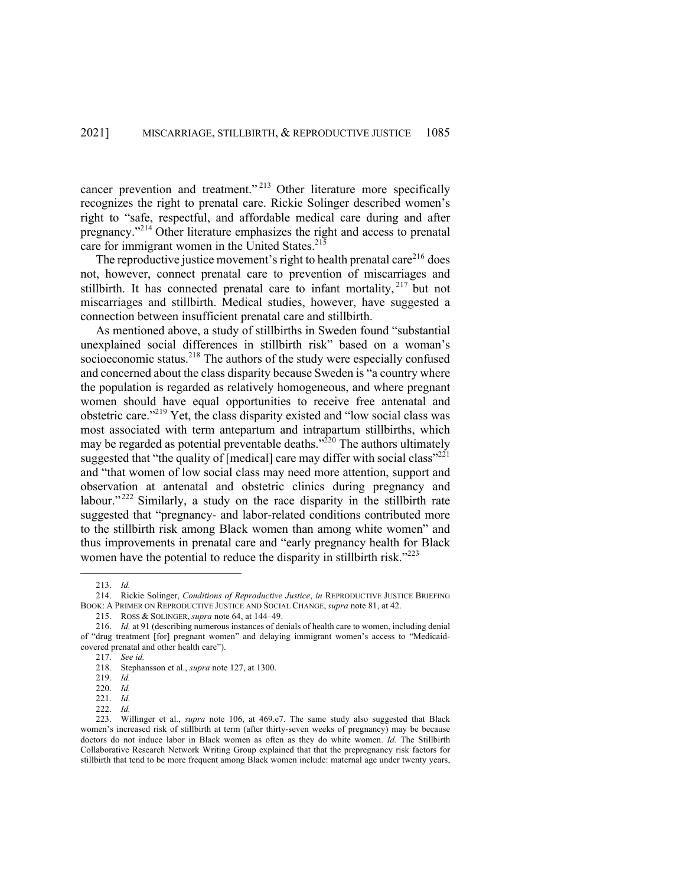cancer prevention and treatment." <sup>213</sup> Other literature more specifically recognizes the right to prenatal care. Rickie Solinger described women's right to "safe, respectful, and affordable medical care during and after pregnancy."<sup>214</sup> Other literature emphasizes the right and access to prenatal care for immigrant women in the United States. $21\overline{5}$ 

The reproductive justice movement's right to health prenatal care $^{216}$  does not, however, connect prenatal care to prevention of miscarriages and stillbirth. It has connected prenatal care to infant mortality,  $217$  but not miscarriages and stillbirth. Medical studies, however, have suggested a connection between insufficient prenatal care and stillbirth.

As mentioned above, a study of stillbirths in Sweden found "substantial unexplained social differences in stillbirth risk" based on a woman's socioeconomic status.<sup>218</sup> The authors of the study were especially confused and concerned about the class disparity because Sweden is "a country where the population is regarded as relatively homogeneous, and where pregnant women should have equal opportunities to receive free antenatal and obstetric care."219 Yet, the class disparity existed and "low social class was most associated with term antepartum and intrapartum stillbirths, which may be regarded as potential preventable deaths." $^{220}$  The authors ultimately suggested that "the quality of [medical] care may differ with social class"<sup>221</sup> and "that women of low social class may need more attention, support and observation at antenatal and obstetric clinics during pregnancy and labour." $222$  Similarly, a study on the race disparity in the stillbirth rate suggested that "pregnancy- and labor-related conditions contributed more to the stillbirth risk among Black women than among white women" and thus improvements in prenatal care and "early pregnancy health for Black women have the potential to reduce the disparity in still birth risk." $223$ 

<sup>213.</sup> *Id.*

<sup>214.</sup> Rickie Solinger, *Conditions of Reproductive Justice*, *in* REPRODUCTIVE JUSTICE BRIEFING BOOK: A PRIMER ON REPRODUCTIVE JUSTICE AND SOCIAL CHANGE, *supra* note 81, at 42.

<sup>215.</sup> ROSS & SOLINGER, *supra* note 64, at 144–49.

<sup>216.</sup> *Id.* at 91 (describing numerous instances of denials of health care to women, including denial of "drug treatment [for] pregnant women" and delaying immigrant women's access to "Medicaidcovered prenatal and other health care").

<sup>217.</sup> *See id.* 

<sup>218.</sup> Stephansson et al., *supra* note 127, at 1300.

<sup>219.</sup> *Id.* 

<sup>220.</sup> *Id.* 

<sup>221.</sup> *Id.* 

<sup>222.</sup> *Id.* 

<sup>223.</sup> Willinger et al., *supra* note 106, at 469.e7. The same study also suggested that Black women's increased risk of stillbirth at term (after thirty-seven weeks of pregnancy) may be because doctors do not induce labor in Black women as often as they do white women. *Id.* The Stillbirth Collaborative Research Network Writing Group explained that that the prepregnancy risk factors for stillbirth that tend to be more frequent among Black women include: maternal age under twenty years,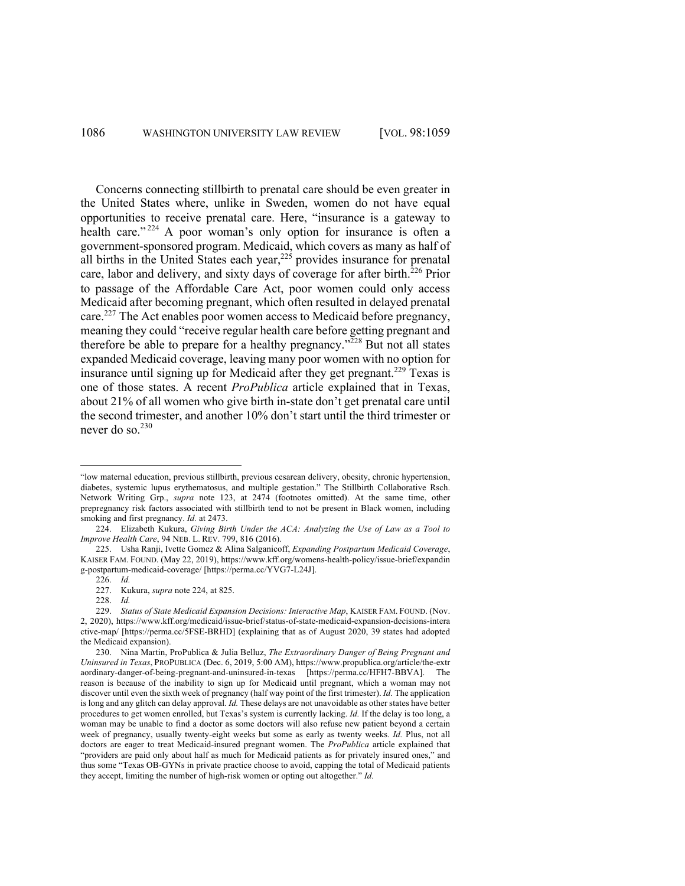Concerns connecting stillbirth to prenatal care should be even greater in the United States where, unlike in Sweden, women do not have equal opportunities to receive prenatal care. Here, "insurance is a gateway to health care."<sup>224</sup> A poor woman's only option for insurance is often a government-sponsored program. Medicaid, which covers as many as half of all births in the United States each year,  $225$  provides insurance for prenatal care, labor and delivery, and sixty days of coverage for after birth.<sup>226</sup> Prior to passage of the Affordable Care Act, poor women could only access Medicaid after becoming pregnant, which often resulted in delayed prenatal care.<sup>227</sup> The Act enables poor women access to Medicaid before pregnancy, meaning they could "receive regular health care before getting pregnant and therefore be able to prepare for a healthy pregnancy."<sup>228</sup> But not all states expanded Medicaid coverage, leaving many poor women with no option for insurance until signing up for Medicaid after they get pregnant.<sup>229</sup> Texas is one of those states. A recent *ProPublica* article explained that in Texas, about 21% of all women who give birth in-state don't get prenatal care until the second trimester, and another 10% don't start until the third trimester or never do so. $^{230}$ 

<sup>&</sup>quot;low maternal education, previous stillbirth, previous cesarean delivery, obesity, chronic hypertension, diabetes, systemic lupus erythematosus, and multiple gestation." The Stillbirth Collaborative Rsch. Network Writing Grp., *supra* note 123, at 2474 (footnotes omitted). At the same time, other prepregnancy risk factors associated with stillbirth tend to not be present in Black women, including smoking and first pregnancy. *Id.* at 2473.

<sup>224.</sup> Elizabeth Kukura, *Giving Birth Under the ACA: Analyzing the Use of Law as a Tool to Improve Health Care*, 94 NEB. L. REV. 799, 816 (2016).

<sup>225.</sup> Usha Ranji, Ivette Gomez & Alina Salganicoff, *Expanding Postpartum Medicaid Coverage*, KAISER FAM. FOUND. (May 22, 2019), https://www.kff.org/womens-health-policy/issue-brief/expandin g-postpartum-medicaid-coverage/ [https://perma.cc/YVG7-L24J].

<sup>226.</sup> *Id.*

<sup>227.</sup> Kukura, *supra* note 224, at 825.

<sup>228.</sup> *Id.* 

<sup>229.</sup> *Status of State Medicaid Expansion Decisions: Interactive Map*, KAISER FAM. FOUND. (Nov. 2, 2020), https://www.kff.org/medicaid/issue-brief/status-of-state-medicaid-expansion-decisions-intera ctive-map/ [https://perma.cc/5FSE-BRHD] (explaining that as of August 2020, 39 states had adopted the Medicaid expansion).

<sup>230.</sup> Nina Martin, ProPublica & Julia Belluz, *The Extraordinary Danger of Being Pregnant and Uninsured in Texas*, PROPUBLICA (Dec. 6, 2019, 5:00 AM), https://www.propublica.org/article/the-extr aordinary-danger-of-being-pregnant-and-uninsured-in-texas [https://perma.cc/HFH7-BBVA]. The reason is because of the inability to sign up for Medicaid until pregnant, which a woman may not discover until even the sixth week of pregnancy (half way point of the first trimester). *Id.* The application is long and any glitch can delay approval. *Id.* These delays are not unavoidable as other states have better procedures to get women enrolled, but Texas's system is currently lacking. *Id.* If the delay is too long, a woman may be unable to find a doctor as some doctors will also refuse new patient beyond a certain week of pregnancy, usually twenty-eight weeks but some as early as twenty weeks. *Id.* Plus, not all doctors are eager to treat Medicaid-insured pregnant women. The *ProPublica* article explained that "providers are paid only about half as much for Medicaid patients as for privately insured ones," and thus some "Texas OB-GYNs in private practice choose to avoid, capping the total of Medicaid patients they accept, limiting the number of high-risk women or opting out altogether." *Id.*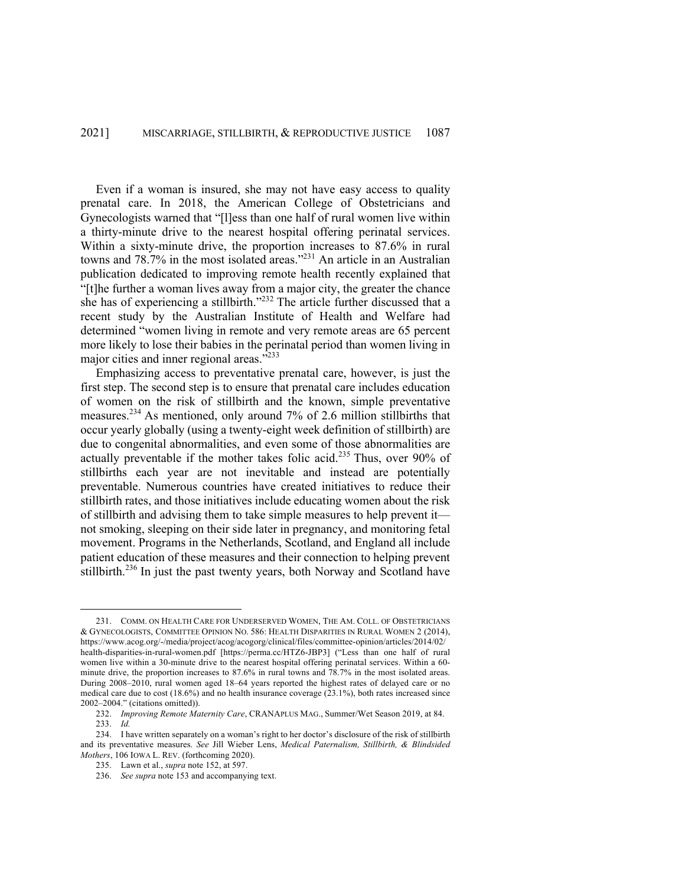Even if a woman is insured, she may not have easy access to quality prenatal care. In 2018, the American College of Obstetricians and Gynecologists warned that "[l]ess than one half of rural women live within a thirty-minute drive to the nearest hospital offering perinatal services. Within a sixty-minute drive, the proportion increases to 87.6% in rural towns and 78.7% in the most isolated areas."231 An article in an Australian publication dedicated to improving remote health recently explained that "[t]he further a woman lives away from a major city, the greater the chance she has of experiencing a stillbirth."<sup>232</sup> The article further discussed that a recent study by the Australian Institute of Health and Welfare had determined "women living in remote and very remote areas are 65 percent more likely to lose their babies in the perinatal period than women living in major cities and inner regional areas."<sup>233</sup>

Emphasizing access to preventative prenatal care, however, is just the first step. The second step is to ensure that prenatal care includes education of women on the risk of stillbirth and the known, simple preventative measures.<sup>234</sup> As mentioned, only around 7% of 2.6 million stillbirths that occur yearly globally (using a twenty-eight week definition of stillbirth) are due to congenital abnormalities, and even some of those abnormalities are actually preventable if the mother takes folic acid.<sup>235</sup> Thus, over 90% of stillbirths each year are not inevitable and instead are potentially preventable. Numerous countries have created initiatives to reduce their stillbirth rates, and those initiatives include educating women about the risk of stillbirth and advising them to take simple measures to help prevent it not smoking, sleeping on their side later in pregnancy, and monitoring fetal movement. Programs in the Netherlands, Scotland, and England all include patient education of these measures and their connection to helping prevent stillbirth.<sup>236</sup> In just the past twenty years, both Norway and Scotland have

<sup>231.</sup> COMM. ON HEALTH CARE FOR UNDERSERVED WOMEN, THE AM. COLL. OF OBSTETRICIANS & GYNECOLOGISTS, COMMITTEE OPINION NO. 586: HEALTH DISPARITIES IN RURAL WOMEN 2 (2014), https://www.acog.org/-/media/project/acog/acogorg/clinical/files/committee-opinion/articles/2014/02/ health-disparities-in-rural-women.pdf [https://perma.cc/HTZ6-JBP3] ("Less than one half of rural women live within a 30-minute drive to the nearest hospital offering perinatal services. Within a 60 minute drive, the proportion increases to 87.6% in rural towns and 78.7% in the most isolated areas. During 2008–2010, rural women aged 18–64 years reported the highest rates of delayed care or no medical care due to cost (18.6%) and no health insurance coverage (23.1%), both rates increased since 2002–2004." (citations omitted)).

<sup>232.</sup> *Improving Remote Maternity Care*, CRANAPLUS MAG., Summer/Wet Season 2019, at 84. 233. *Id.*

<sup>234.</sup> I have written separately on a woman's right to her doctor's disclosure of the risk of stillbirth and its preventative measures. *See* Jill Wieber Lens, *Medical Paternalism, Stillbirth, & Blindsided Mothers*, 106 IOWA L. REV. (forthcoming 2020).

<sup>235.</sup> Lawn et al., *supra* note 152, at 597.

<sup>236.</sup> *See supra* note 153 and accompanying text.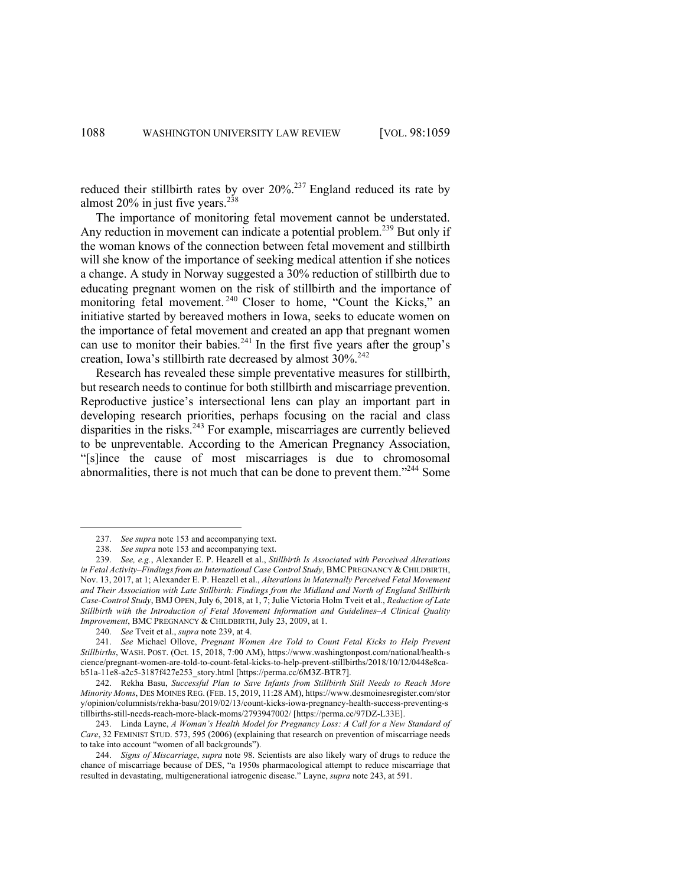reduced their stillbirth rates by over  $20\%$ <sup>237</sup> England reduced its rate by almost  $20\%$  in just five years.<sup>238</sup>

The importance of monitoring fetal movement cannot be understated. Any reduction in movement can indicate a potential problem.<sup>239</sup> But only if the woman knows of the connection between fetal movement and stillbirth will she know of the importance of seeking medical attention if she notices a change. A study in Norway suggested a 30% reduction of stillbirth due to educating pregnant women on the risk of stillbirth and the importance of monitoring fetal movement.<sup>240</sup> Closer to home, "Count the Kicks," an initiative started by bereaved mothers in Iowa, seeks to educate women on the importance of fetal movement and created an app that pregnant women can use to monitor their babies.<sup>241</sup> In the first five years after the group's creation, Iowa's stillbirth rate decreased by almost 30%.<sup>242</sup>

Research has revealed these simple preventative measures for stillbirth, but research needs to continue for both stillbirth and miscarriage prevention. Reproductive justice's intersectional lens can play an important part in developing research priorities, perhaps focusing on the racial and class disparities in the risks.<sup>243</sup> For example, miscarriages are currently believed to be unpreventable. According to the American Pregnancy Association, "[s]ince the cause of most miscarriages is due to chromosomal abnormalities, there is not much that can be done to prevent them."244 Some

243. Linda Layne, *A Woman's Health Model for Pregnancy Loss: A Call for a New Standard of Care*, 32 FEMINIST STUD. 573, 595 (2006) (explaining that research on prevention of miscarriage needs to take into account "women of all backgrounds").

<sup>237.</sup> *See supra* note 153 and accompanying text.

<sup>238.</sup> *See supra* note 153 and accompanying text.

<sup>239.</sup> *See, e.g.*, Alexander E. P. Heazell et al., *Stillbirth Is Associated with Perceived Alterations in Fetal Activity–Findings from an International Case Control Study*, BMC PREGNANCY & CHILDBIRTH, Nov. 13, 2017, at 1; Alexander E. P. Heazell et al., *Alterations in Maternally Perceived Fetal Movement and Their Association with Late Stillbirth: Findings from the Midland and North of England Stillbirth Case-Control Study*, BMJ OPEN,July 6, 2018, at 1, 7; Julie Victoria Holm Tveit et al., *Reduction of Late Stillbirth with the Introduction of Fetal Movement Information and Guidelines–A Clinical Quality Improvement*, BMC PREGNANCY & CHILDBIRTH, July 23, 2009, at 1.

<sup>240.</sup> *See* Tveit et al., *supra* note 239, at 4.

<sup>241.</sup> *See* Michael Ollove, *Pregnant Women Are Told to Count Fetal Kicks to Help Prevent Stillbirths*, WASH. POST. (Oct. 15, 2018, 7:00 AM), https://www.washingtonpost.com/national/health-s cience/pregnant-women-are-told-to-count-fetal-kicks-to-help-prevent-stillbirths/2018/10/12/0448e8cab51a-11e8-a2c5-3187f427e253\_story.html [https://perma.cc/6M3Z-BTR7].

<sup>242.</sup> Rekha Basu, *Successful Plan to Save Infants from Stillbirth Still Needs to Reach More Minority Moms*, DES MOINES REG. (FEB. 15, 2019, 11:28 AM), https://www.desmoinesregister.com/stor y/opinion/columnists/rekha-basu/2019/02/13/count-kicks-iowa-pregnancy-health-success-preventing-s tillbirths-still-needs-reach-more-black-moms/2793947002/ [https://perma.cc/97DZ-L33E].

<sup>244.</sup> *Signs of Miscarriage*, *supra* note 98. Scientists are also likely wary of drugs to reduce the chance of miscarriage because of DES, "a 1950s pharmacological attempt to reduce miscarriage that resulted in devastating, multigenerational iatrogenic disease." Layne, *supra* note 243, at 591.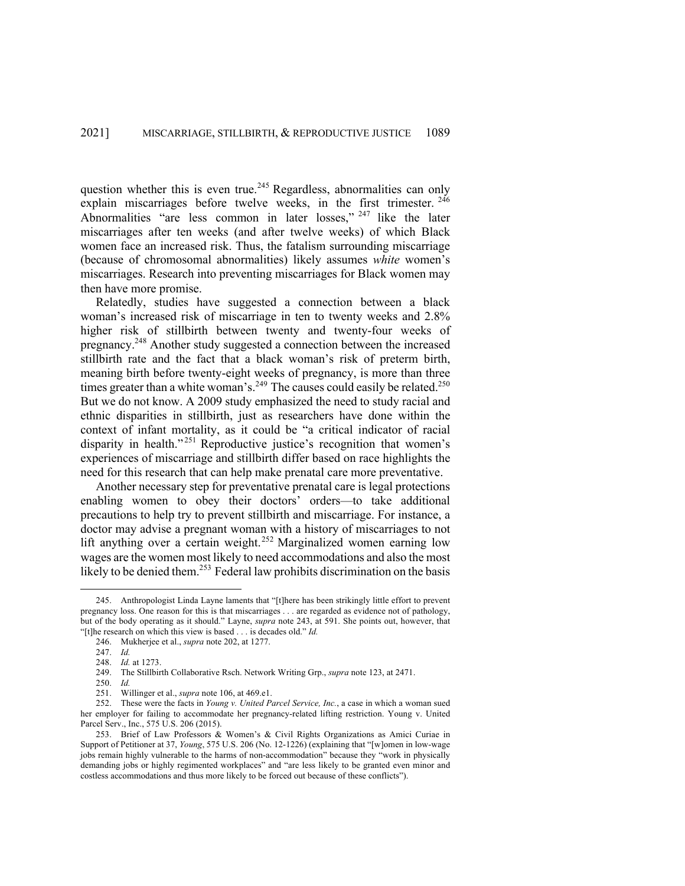question whether this is even true.<sup>245</sup> Regardless, abnormalities can only explain miscarriages before twelve weeks, in the first trimester. <sup>246</sup> Abnormalities "are less common in later losses," <sup>247</sup> like the later miscarriages after ten weeks (and after twelve weeks) of which Black women face an increased risk. Thus, the fatalism surrounding miscarriage (because of chromosomal abnormalities) likely assumes *white* women's miscarriages. Research into preventing miscarriages for Black women may then have more promise.

Relatedly, studies have suggested a connection between a black woman's increased risk of miscarriage in ten to twenty weeks and 2.8% higher risk of stillbirth between twenty and twenty-four weeks of pregnancy.248 Another study suggested a connection between the increased stillbirth rate and the fact that a black woman's risk of preterm birth, meaning birth before twenty-eight weeks of pregnancy, is more than three times greater than a white woman's.<sup>249</sup> The causes could easily be related.<sup>250</sup> But we do not know. A 2009 study emphasized the need to study racial and ethnic disparities in stillbirth, just as researchers have done within the context of infant mortality, as it could be "a critical indicator of racial disparity in health."<sup>251</sup> Reproductive justice's recognition that women's experiences of miscarriage and stillbirth differ based on race highlights the need for this research that can help make prenatal care more preventative.

Another necessary step for preventative prenatal care is legal protections enabling women to obey their doctors' orders—to take additional precautions to help try to prevent stillbirth and miscarriage. For instance, a doctor may advise a pregnant woman with a history of miscarriages to not lift anything over a certain weight.<sup>252</sup> Marginalized women earning low wages are the women most likely to need accommodations and also the most likely to be denied them.<sup>253</sup> Federal law prohibits discrimination on the basis

<sup>245.</sup> Anthropologist Linda Layne laments that "[t]here has been strikingly little effort to prevent pregnancy loss. One reason for this is that miscarriages . . . are regarded as evidence not of pathology, but of the body operating as it should." Layne, *supra* note 243, at 591. She points out, however, that "[t]he research on which this view is based . . . is decades old." *Id.*

<sup>246.</sup> Mukherjee et al., *supra* note 202, at 1277.

<sup>247.</sup> *Id.*

<sup>248.</sup> *Id.* at 1273.

<sup>249.</sup> The Stillbirth Collaborative Rsch. Network Writing Grp., *supra* note 123, at 2471.

<sup>250.</sup> *Id.*

<sup>251.</sup> Willinger et al., *supra* note 106, at 469.e1.

<sup>252.</sup> These were the facts in *Young v. United Parcel Service, Inc.*, a case in which a woman sued her employer for failing to accommodate her pregnancy-related lifting restriction. Young v. United Parcel Serv., Inc., 575 U.S. 206 (2015).

<sup>253.</sup> Brief of Law Professors & Women's & Civil Rights Organizations as Amici Curiae in Support of Petitioner at 37, *Young*, 575 U.S. 206 (No. 12-1226) (explaining that "[w]omen in low-wage jobs remain highly vulnerable to the harms of non-accommodation" because they "work in physically demanding jobs or highly regimented workplaces" and "are less likely to be granted even minor and costless accommodations and thus more likely to be forced out because of these conflicts").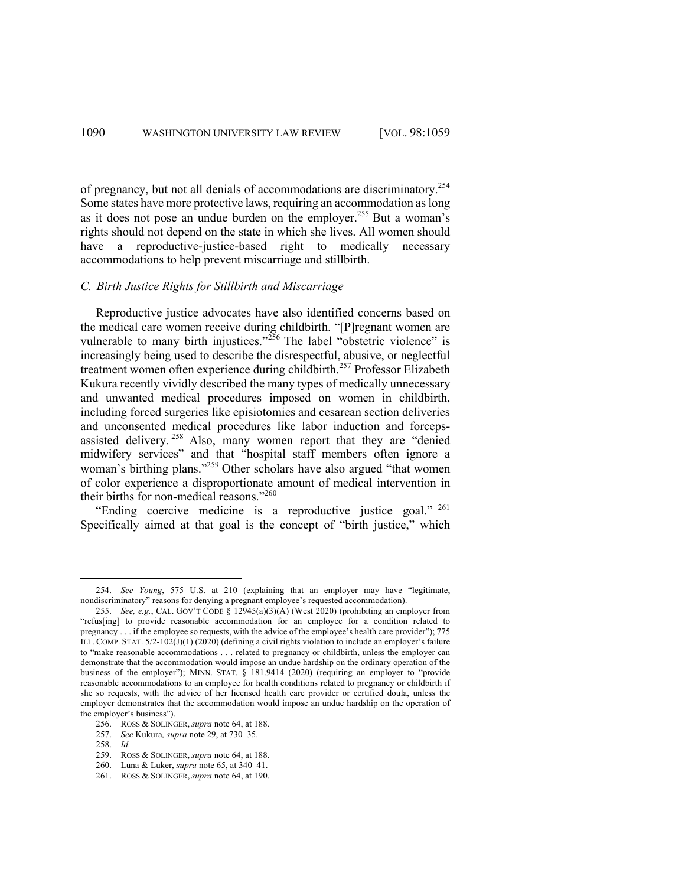of pregnancy, but not all denials of accommodations are discriminatory.<sup>254</sup> Some states have more protective laws, requiring an accommodation as long as it does not pose an undue burden on the employer.<sup>255</sup> But a woman's rights should not depend on the state in which she lives. All women should have a reproductive-justice-based right to medically necessary accommodations to help prevent miscarriage and stillbirth.

#### *C. Birth Justice Rights for Stillbirth and Miscarriage*

Reproductive justice advocates have also identified concerns based on the medical care women receive during childbirth. "[P]regnant women are vulnerable to many birth injustices."<sup>256</sup> The label "obstetric violence" is increasingly being used to describe the disrespectful, abusive, or neglectful treatment women often experience during childbirth.<sup>257</sup> Professor Elizabeth Kukura recently vividly described the many types of medically unnecessary and unwanted medical procedures imposed on women in childbirth, including forced surgeries like episiotomies and cesarean section deliveries and unconsented medical procedures like labor induction and forcepsassisted delivery. <sup>258</sup> Also, many women report that they are "denied midwifery services" and that "hospital staff members often ignore a woman's birthing plans."<sup>259</sup> Other scholars have also argued "that women of color experience a disproportionate amount of medical intervention in their births for non-medical reasons."<sup>260</sup>

"Ending coercive medicine is a reproductive justice goal." <sup>261</sup> Specifically aimed at that goal is the concept of "birth justice," which

<sup>254.</sup> *See Young*, 575 U.S. at 210 (explaining that an employer may have "legitimate, nondiscriminatory" reasons for denying a pregnant employee's requested accommodation).

<sup>255.</sup> *See, e.g.*, CAL. GOV'T CODE § 12945(a)(3)(A) (West 2020) (prohibiting an employer from "refus[ing] to provide reasonable accommodation for an employee for a condition related to pregnancy . . . if the employee so requests, with the advice of the employee's health care provider"); 775 ILL. COMP. STAT. 5/2-102(J)(1) (2020) (defining a civil rights violation to include an employer's failure to "make reasonable accommodations . . . related to pregnancy or childbirth, unless the employer can demonstrate that the accommodation would impose an undue hardship on the ordinary operation of the business of the employer"); MINN. STAT. § 181.9414 (2020) (requiring an employer to "provide reasonable accommodations to an employee for health conditions related to pregnancy or childbirth if she so requests, with the advice of her licensed health care provider or certified doula, unless the employer demonstrates that the accommodation would impose an undue hardship on the operation of the employer's business").

<sup>256.</sup> ROSS & SOLINGER, *supra* note 64, at 188.

<sup>257.</sup> *See* Kukura*, supra* note 29, at 730–35.

<sup>258.</sup> *Id.* 

<sup>259.</sup> ROSS & SOLINGER, *supra* note 64, at 188.

<sup>260.</sup> Luna & Luker, *supra* note 65, at 340–41.

<sup>261.</sup> ROSS & SOLINGER, *supra* note 64, at 190.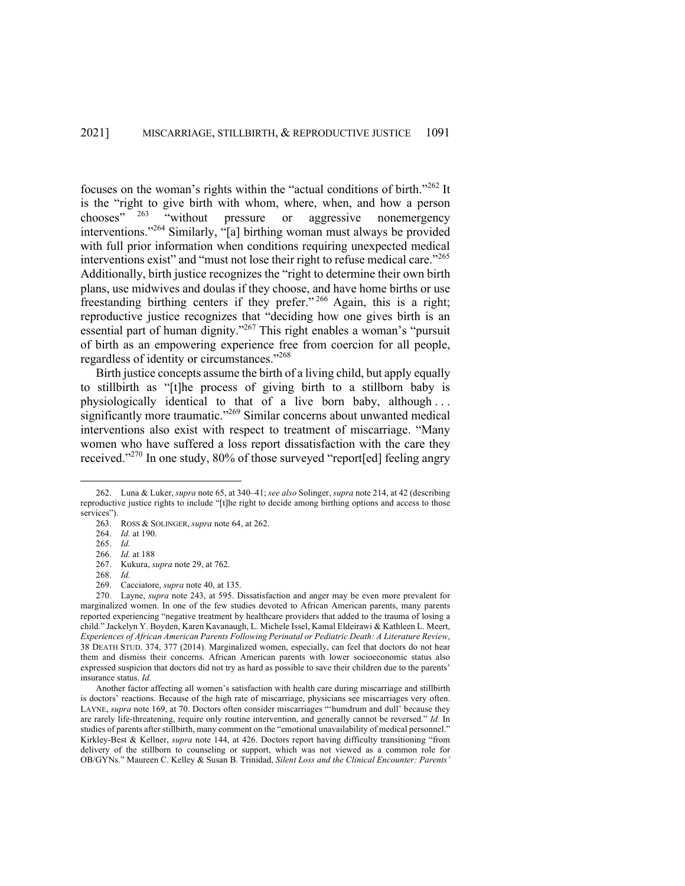focuses on the woman's rights within the "actual conditions of birth."<sup>262</sup> It is the "right to give birth with whom, where, when, and how a person chooses" <sup>263</sup> "without pressure or aggressive nonemergency interventions."264 Similarly, "[a] birthing woman must always be provided with full prior information when conditions requiring unexpected medical interventions exist" and "must not lose their right to refuse medical care."<sup>265</sup> Additionally, birth justice recognizes the "right to determine their own birth plans, use midwives and doulas if they choose, and have home births or use freestanding birthing centers if they prefer." <sup>266</sup> Again, this is a right; reproductive justice recognizes that "deciding how one gives birth is an essential part of human dignity."267 This right enables a woman's "pursuit of birth as an empowering experience free from coercion for all people, regardless of identity or circumstances."268

Birth justice concepts assume the birth of a living child, but apply equally to stillbirth as "[t]he process of giving birth to a stillborn baby is physiologically identical to that of a live born baby, although ... significantly more traumatic."<sup>269</sup> Similar concerns about unwanted medical interventions also exist with respect to treatment of miscarriage. "Many women who have suffered a loss report dissatisfaction with the care they received."<sup>270</sup> In one study, 80% of those surveyed "report[ed] feeling angry

<sup>262.</sup> Luna & Luker, *supra* note 65, at 340–41; *see also* Solinger, *supra* note 214, at 42 (describing reproductive justice rights to include "[t]he right to decide among birthing options and access to those services").

<sup>263.</sup> ROSS & SOLINGER, *supra* note 64, at 262.

<sup>264.</sup> *Id.* at 190.

<sup>265.</sup> *Id.*

<sup>266.</sup> *Id.* at 188

<sup>267.</sup> Kukura, *supra* note 29, at 762.

<sup>268.</sup> *Id.*

<sup>269.</sup> Cacciatore, *supra* note 40, at 135.

<sup>270.</sup> Layne, *supra* note 243, at 595. Dissatisfaction and anger may be even more prevalent for marginalized women. In one of the few studies devoted to African American parents, many parents reported experiencing "negative treatment by healthcare providers that added to the trauma of losing a child." Jackelyn Y. Boyden, Karen Kavanaugh, L. Michele Issel, Kamal Eldeirawi & Kathleen L. Meert, *Experiences of African American Parents Following Perinatal or Pediatric Death: A Literature Review*, 38 DEATH STUD. 374, 377 (2014). Marginalized women, especially, can feel that doctors do not hear them and dismiss their concerns. African American parents with lower socioeconomic status also expressed suspicion that doctors did not try as hard as possible to save their children due to the parents' insurance status. *Id.*

Another factor affecting all women's satisfaction with health care during miscarriage and stillbirth is doctors' reactions. Because of the high rate of miscarriage, physicians see miscarriages very often. LAYNE, *supra* note 169, at 70. Doctors often consider miscarriages "'humdrum and dull' because they are rarely life-threatening, require only routine intervention, and generally cannot be reversed." *Id.* In studies of parents after stillbirth, many comment on the "emotional unavailability of medical personnel." Kirkley-Best & Kellner, *supra* note 144, at 426. Doctors report having difficulty transitioning "from delivery of the stillborn to counseling or support, which was not viewed as a common role for OB/GYNs." Maureen C. Kelley & Susan B. Trinidad, *Silent Loss and the Clinical Encounter: Parents'*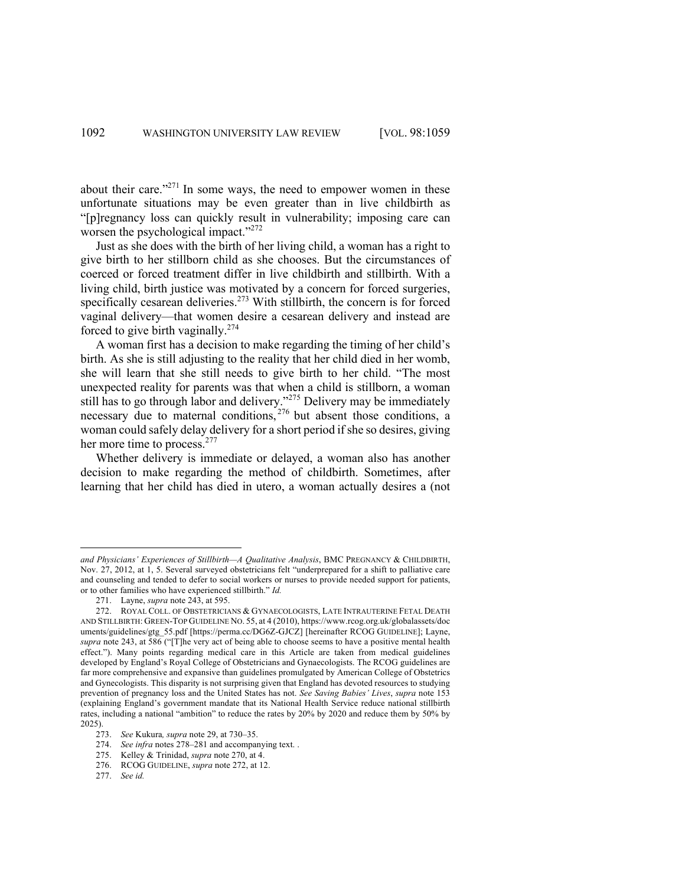about their care."<sup>271</sup> In some ways, the need to empower women in these unfortunate situations may be even greater than in live childbirth as "[p]regnancy loss can quickly result in vulnerability; imposing care can worsen the psychological impact."<sup>272</sup>

Just as she does with the birth of her living child, a woman has a right to give birth to her stillborn child as she chooses. But the circumstances of coerced or forced treatment differ in live childbirth and stillbirth. With a living child, birth justice was motivated by a concern for forced surgeries, specifically cesarean deliveries.<sup>273</sup> With stillbirth, the concern is for forced vaginal delivery—that women desire a cesarean delivery and instead are forced to give birth vaginally. $274$ 

A woman first has a decision to make regarding the timing of her child's birth. As she is still adjusting to the reality that her child died in her womb, she will learn that she still needs to give birth to her child. "The most unexpected reality for parents was that when a child is stillborn, a woman still has to go through labor and delivery."<sup>275</sup> Delivery may be immediately necessary due to maternal conditions, <sup>276</sup> but absent those conditions, a woman could safely delay delivery for a short period if she so desires, giving her more time to process.<sup>277</sup>

Whether delivery is immediate or delayed, a woman also has another decision to make regarding the method of childbirth. Sometimes, after learning that her child has died in utero, a woman actually desires a (not

*and Physicians' Experiences of Stillbirth—A Qualitative Analysis*, BMC PREGNANCY & CHILDBIRTH, Nov. 27, 2012, at 1, 5. Several surveyed obstetricians felt "underprepared for a shift to palliative care and counseling and tended to defer to social workers or nurses to provide needed support for patients, or to other families who have experienced stillbirth." *Id.* 

<sup>271.</sup> Layne, *supra* note 243, at 595.

<sup>272.</sup> ROYAL COLL. OF OBSTETRICIANS & GYNAECOLOGISTS, LATE INTRAUTERINE FETAL DEATH AND STILLBIRTH: GREEN-TOP GUIDELINE NO. 55, at 4 (2010), https://www.rcog.org.uk/globalassets/doc uments/guidelines/gtg\_55.pdf [https://perma.cc/DG6Z-GJCZ] [hereinafter RCOG GUIDELINE]; Layne, *supra* note 243, at 586 ("[T]he very act of being able to choose seems to have a positive mental health effect."). Many points regarding medical care in this Article are taken from medical guidelines developed by England's Royal College of Obstetricians and Gynaecologists. The RCOG guidelines are far more comprehensive and expansive than guidelines promulgated by American College of Obstetrics and Gynecologists. This disparity is not surprising given that England has devoted resources to studying prevention of pregnancy loss and the United States has not. *See Saving Babies' Lives*, *supra* note 153 (explaining England's government mandate that its National Health Service reduce national stillbirth rates, including a national "ambition" to reduce the rates by 20% by 2020 and reduce them by 50% by 2025).

<sup>273.</sup> *See* Kukura*, supra* note 29, at 730–35.

<sup>274.</sup> *See infra* notes 278–281 and accompanying text. .

<sup>275.</sup> Kelley & Trinidad, *supra* note 270, at 4.

<sup>276.</sup> RCOG GUIDELINE, *supra* note 272, at 12.

<sup>277.</sup> *See id.*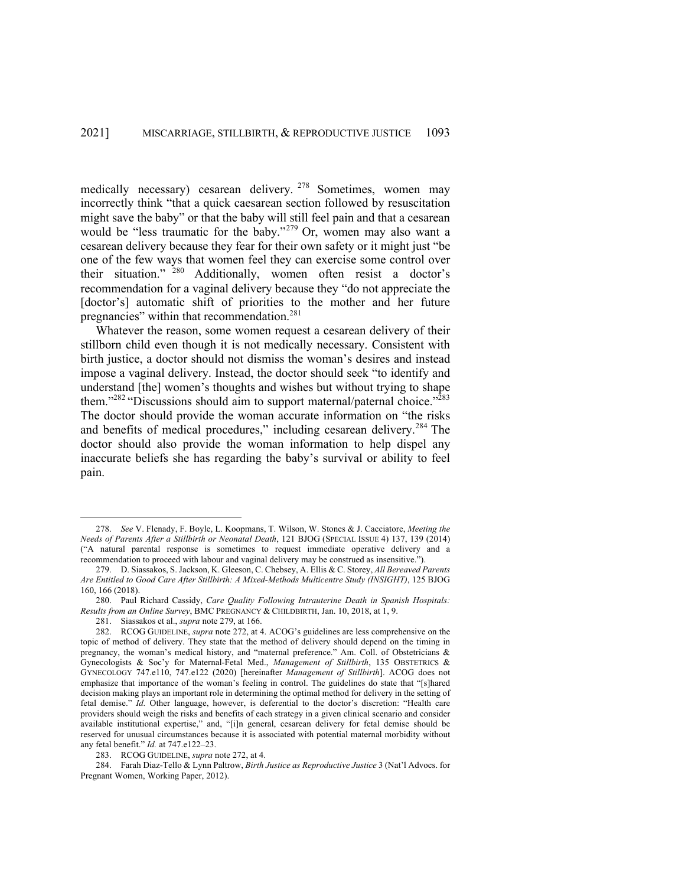medically necessary) cesarean delivery. <sup>278</sup> Sometimes, women may incorrectly think "that a quick caesarean section followed by resuscitation might save the baby" or that the baby will still feel pain and that a cesarean would be "less traumatic for the baby."<sup>279</sup> Or, women may also want a cesarean delivery because they fear for their own safety or it might just "be one of the few ways that women feel they can exercise some control over their situation." <sup>280</sup> Additionally, women often resist a doctor's recommendation for a vaginal delivery because they "do not appreciate the [doctor's] automatic shift of priorities to the mother and her future pregnancies" within that recommendation.<sup>281</sup>

Whatever the reason, some women request a cesarean delivery of their stillborn child even though it is not medically necessary. Consistent with birth justice, a doctor should not dismiss the woman's desires and instead impose a vaginal delivery. Instead, the doctor should seek "to identify and understand [the] women's thoughts and wishes but without trying to shape them."<sup>282</sup> "Discussions should aim to support maternal/paternal choice."<sup>283</sup> The doctor should provide the woman accurate information on "the risks and benefits of medical procedures," including cesarean delivery.<sup>284</sup> The doctor should also provide the woman information to help dispel any inaccurate beliefs she has regarding the baby's survival or ability to feel pain.

<sup>278.</sup> *See* V. Flenady, F. Boyle, L. Koopmans, T. Wilson, W. Stones & J. Cacciatore, *Meeting the Needs of Parents After a Stillbirth or Neonatal Death*, 121 BJOG (SPECIAL ISSUE 4) 137, 139 (2014) ("A natural parental response is sometimes to request immediate operative delivery and a recommendation to proceed with labour and vaginal delivery may be construed as insensitive.").

<sup>279.</sup> D. Siassakos, S. Jackson, K. Gleeson, C. Chebsey, A. Ellis & C. Storey, *All Bereaved Parents Are Entitled to Good Care After Stillbirth: A Mixed-Methods Multicentre Study (INSIGHT)*, 125 BJOG 160, 166 (2018).

<sup>280.</sup> Paul Richard Cassidy, *Care Quality Following Intrauterine Death in Spanish Hospitals: Results from an Online Survey*, BMC PREGNANCY & CHILDBIRTH, Jan. 10, 2018, at 1, 9.

<sup>281.</sup> Siassakos et al., *supra* note 279, at 166.

<sup>282.</sup> RCOG GUIDELINE, *supra* note 272, at 4. ACOG's guidelines are less comprehensive on the topic of method of delivery. They state that the method of delivery should depend on the timing in pregnancy, the woman's medical history, and "maternal preference." Am. Coll. of Obstetricians & Gynecologists & Soc'y for Maternal-Fetal Med., *Management of Stillbirth*, 135 OBSTETRICS & GYNECOLOGY 747.e110, 747.e122 (2020) [hereinafter *Management of Stillbirth*]. ACOG does not emphasize that importance of the woman's feeling in control. The guidelines do state that "[s]hared decision making plays an important role in determining the optimal method for delivery in the setting of fetal demise." *Id.* Other language, however, is deferential to the doctor's discretion: "Health care providers should weigh the risks and benefits of each strategy in a given clinical scenario and consider available institutional expertise," and, "[i]n general, cesarean delivery for fetal demise should be reserved for unusual circumstances because it is associated with potential maternal morbidity without any fetal benefit." *Id.* at 747.e122–23.

<sup>283.</sup> RCOG GUIDELINE, *supra* note 272, at 4.

<sup>284.</sup> Farah Diaz-Tello & Lynn Paltrow, *Birth Justice as Reproductive Justice* 3 (Nat'l Advocs. for Pregnant Women, Working Paper, 2012).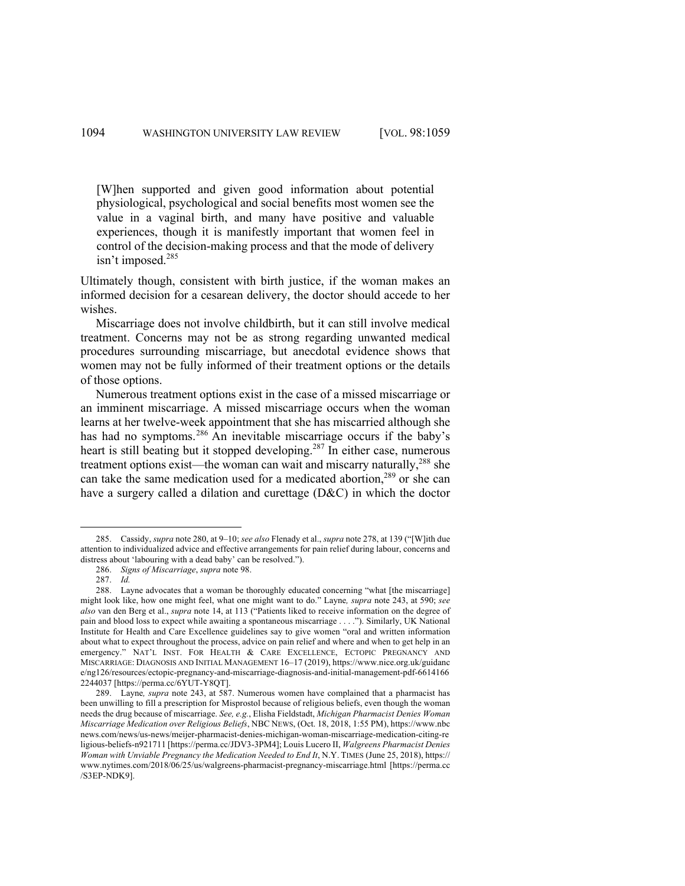[W]hen supported and given good information about potential physiological, psychological and social benefits most women see the value in a vaginal birth, and many have positive and valuable experiences, though it is manifestly important that women feel in control of the decision-making process and that the mode of delivery isn't imposed.<sup>285</sup>

Ultimately though, consistent with birth justice, if the woman makes an informed decision for a cesarean delivery, the doctor should accede to her wishes.

Miscarriage does not involve childbirth, but it can still involve medical treatment. Concerns may not be as strong regarding unwanted medical procedures surrounding miscarriage, but anecdotal evidence shows that women may not be fully informed of their treatment options or the details of those options.

Numerous treatment options exist in the case of a missed miscarriage or an imminent miscarriage. A missed miscarriage occurs when the woman learns at her twelve-week appointment that she has miscarried although she has had no symptoms.<sup>286</sup> An inevitable miscarriage occurs if the baby's heart is still beating but it stopped developing.<sup>287</sup> In either case, numerous treatment options exist—the woman can wait and miscarry naturally,<sup>288</sup> she can take the same medication used for a medicated abortion,<sup>289</sup> or she can have a surgery called a dilation and curettage (D&C) in which the doctor

<sup>285.</sup> Cassidy, *supra* note 280, at 9–10; *see also* Flenady et al., *supra* note 278, at 139 ("[W]ith due attention to individualized advice and effective arrangements for pain relief during labour, concerns and distress about 'labouring with a dead baby' can be resolved.").

<sup>286.</sup> *Signs of Miscarriage*, *supra* note 98.

<sup>287.</sup> *Id.*

<sup>288.</sup> Layne advocates that a woman be thoroughly educated concerning "what [the miscarriage] might look like, how one might feel, what one might want to do." Layne*, supra* note 243, at 590; *see also* van den Berg et al., *supra* note 14, at 113 ("Patients liked to receive information on the degree of pain and blood loss to expect while awaiting a spontaneous miscarriage . . . ."). Similarly, UK National Institute for Health and Care Excellence guidelines say to give women "oral and written information about what to expect throughout the process, advice on pain relief and where and when to get help in an emergency." NAT'L INST. FOR HEALTH & CARE EXCELLENCE, ECTOPIC PREGNANCY AND MISCARRIAGE: DIAGNOSIS AND INITIAL MANAGEMENT 16–17 (2019), https://www.nice.org.uk/guidanc e/ng126/resources/ectopic-pregnancy-and-miscarriage-diagnosis-and-initial-management-pdf-6614166 2244037 [https://perma.cc/6YUT-Y8QT].

<sup>289.</sup> Layne*, supra* note 243, at 587. Numerous women have complained that a pharmacist has been unwilling to fill a prescription for Misprostol because of religious beliefs, even though the woman needs the drug because of miscarriage. *See, e.g.*, Elisha Fieldstadt, *Michigan Pharmacist Denies Woman Miscarriage Medication over Religious Beliefs*, NBC NEWS, (Oct. 18, 2018, 1:55 PM), https://www.nbc news.com/news/us-news/meijer-pharmacist-denies-michigan-woman-miscarriage-medication-citing-re ligious-beliefs-n921711 [https://perma.cc/JDV3-3PM4]; Louis Lucero II, *Walgreens Pharmacist Denies Woman with Unviable Pregnancy the Medication Needed to End It*, N.Y. TIMES (June 25, 2018), https:// www.nytimes.com/2018/06/25/us/walgreens-pharmacist-pregnancy-miscarriage.html [https://perma.cc /S3EP-NDK9].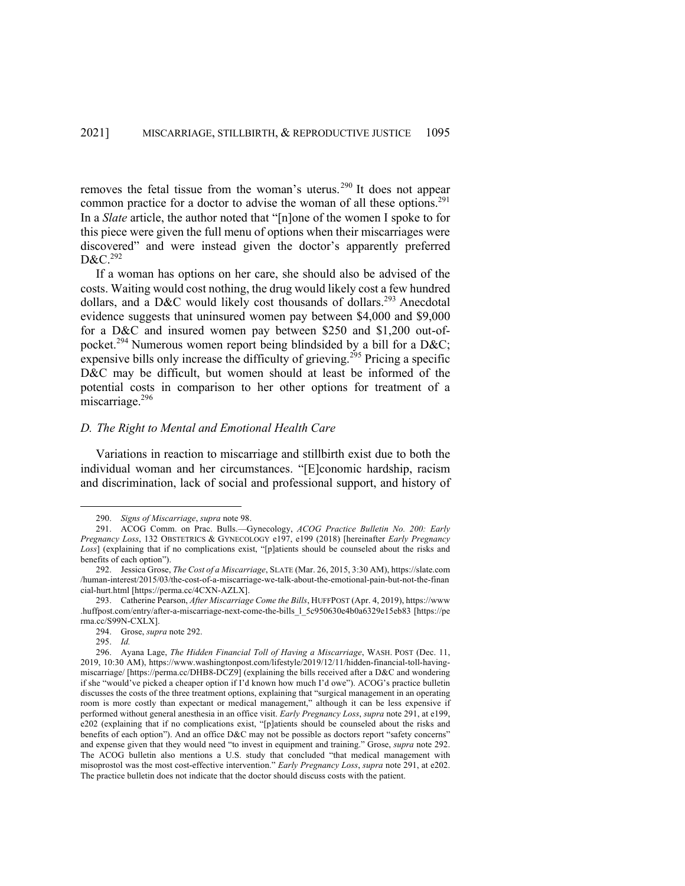removes the fetal tissue from the woman's uterus.<sup>290</sup> It does not appear common practice for a doctor to advise the woman of all these options.<sup>291</sup> In a *Slate* article, the author noted that "[n]one of the women I spoke to for this piece were given the full menu of options when their miscarriages were discovered" and were instead given the doctor's apparently preferred D&C.<sup>292</sup>

If a woman has options on her care, she should also be advised of the costs. Waiting would cost nothing, the drug would likely cost a few hundred dollars, and a D&C would likely cost thousands of dollars.<sup>293</sup> Anecdotal evidence suggests that uninsured women pay between \$4,000 and \$9,000 for a D&C and insured women pay between \$250 and \$1,200 out-ofpocket.<sup>294</sup> Numerous women report being blindsided by a bill for a D&C; expensive bills only increase the difficulty of grieving.<sup>295</sup> Pricing a specific D&C may be difficult, but women should at least be informed of the potential costs in comparison to her other options for treatment of a miscarriage.<sup>296</sup>

# *D. The Right to Mental and Emotional Health Care*

Variations in reaction to miscarriage and stillbirth exist due to both the individual woman and her circumstances. "[E]conomic hardship, racism and discrimination, lack of social and professional support, and history of

<sup>290.</sup> *Signs of Miscarriage*, *supra* note 98.

<sup>291.</sup> ACOG Comm. on Prac. Bulls.—Gynecology, *ACOG Practice Bulletin No. 200: Early Pregnancy Loss*, 132 OBSTETRICS & GYNECOLOGY e197, e199 (2018) [hereinafter *Early Pregnancy Loss*] (explaining that if no complications exist, "[p]atients should be counseled about the risks and benefits of each option").

<sup>292.</sup> Jessica Grose, *The Cost of a Miscarriage*, SLATE (Mar. 26, 2015, 3:30 AM), https://slate.com /human-interest/2015/03/the-cost-of-a-miscarriage-we-talk-about-the-emotional-pain-but-not-the-finan cial-hurt.html [https://perma.cc/4CXN-AZLX].

<sup>293.</sup> Catherine Pearson, *After Miscarriage Come the Bills*, HUFFPOST (Apr. 4, 2019), https://www .huffpost.com/entry/after-a-miscarriage-next-come-the-bills\_l\_5c950630e4b0a6329e15eb83 [https://pe rma.cc/S99N-CXLX].

<sup>294.</sup> Grose, *supra* note 292.

<sup>295.</sup> *Id.*

<sup>296.</sup> Ayana Lage, *The Hidden Financial Toll of Having a Miscarriage*, WASH. POST (Dec. 11, 2019, 10:30 AM), https://www.washingtonpost.com/lifestyle/2019/12/11/hidden-financial-toll-havingmiscarriage/ [https://perma.cc/DHB8-DCZ9] (explaining the bills received after a D&C and wondering if she "would've picked a cheaper option if I'd known how much I'd owe"). ACOG's practice bulletin discusses the costs of the three treatment options, explaining that "surgical management in an operating room is more costly than expectant or medical management," although it can be less expensive if performed without general anesthesia in an office visit. *Early Pregnancy Loss*, *supra* note 291, at e199, e202 (explaining that if no complications exist, "[p]atients should be counseled about the risks and benefits of each option"). And an office D&C may not be possible as doctors report "safety concerns" and expense given that they would need "to invest in equipment and training." Grose, *supra* note 292. The ACOG bulletin also mentions a U.S. study that concluded "that medical management with misoprostol was the most cost-effective intervention." *Early Pregnancy Loss*, *supra* note 291, at e202. The practice bulletin does not indicate that the doctor should discuss costs with the patient.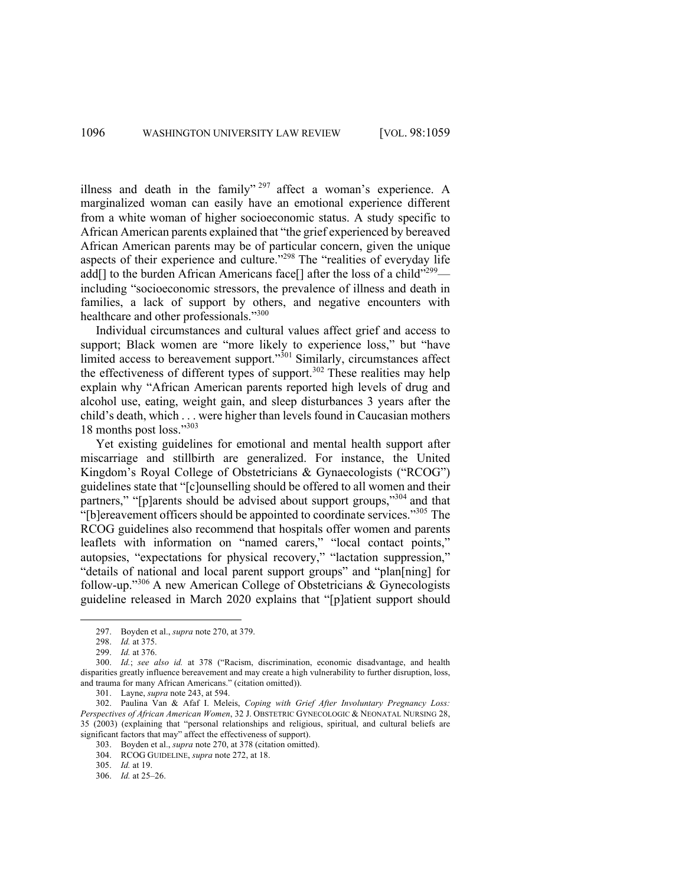illness and death in the family"  $297$  affect a woman's experience. A marginalized woman can easily have an emotional experience different from a white woman of higher socioeconomic status. A study specific to African American parents explained that "the grief experienced by bereaved African American parents may be of particular concern, given the unique aspects of their experience and culture."<sup>298</sup> The "realities of everyday life add[] to the burden African Americans face[] after the loss of a child"<sup>299</sup> including "socioeconomic stressors, the prevalence of illness and death in families, a lack of support by others, and negative encounters with healthcare and other professionals."<sup>300</sup>

Individual circumstances and cultural values affect grief and access to support; Black women are "more likely to experience loss," but "have limited access to bereavement support."<sup>301</sup> Similarly, circumstances affect the effectiveness of different types of support.<sup>302</sup> These realities may help explain why "African American parents reported high levels of drug and alcohol use, eating, weight gain, and sleep disturbances 3 years after the child's death, which . . . were higher than levels found in Caucasian mothers 18 months post loss."<sup>303</sup>

Yet existing guidelines for emotional and mental health support after miscarriage and stillbirth are generalized. For instance, the United Kingdom's Royal College of Obstetricians & Gynaecologists ("RCOG") guidelines state that "[c]ounselling should be offered to all women and their partners," "[p]arents should be advised about support groups,"<sup>304</sup> and that "[b]ereavement officers should be appointed to coordinate services."305 The RCOG guidelines also recommend that hospitals offer women and parents leaflets with information on "named carers," "local contact points," autopsies, "expectations for physical recovery," "lactation suppression," "details of national and local parent support groups" and "plan[ning] for follow-up."<sup>306</sup> A new American College of Obstetricians & Gynecologists guideline released in March 2020 explains that "[p]atient support should

<sup>297.</sup> Boyden et al., *supra* note 270, at 379.

<sup>298.</sup> *Id.* at 375.

<sup>299.</sup> *Id.* at 376.

<sup>300.</sup> *Id.*; *see also id.* at 378 ("Racism, discrimination, economic disadvantage, and health disparities greatly influence bereavement and may create a high vulnerability to further disruption, loss, and trauma for many African Americans." (citation omitted)).

<sup>301.</sup> Layne, *supra* note 243, at 594.

<sup>302.</sup> Paulina Van & Afaf I. Meleis, *Coping with Grief After Involuntary Pregnancy Loss: Perspectives of African American Women*, 32 J. OBSTETRIC GYNECOLOGIC & NEONATAL NURSING 28, 35 (2003) (explaining that "personal relationships and religious, spiritual, and cultural beliefs are significant factors that may" affect the effectiveness of support).

<sup>303.</sup> Boyden et al., *supra* note 270, at 378 (citation omitted).

<sup>304.</sup> RCOG GUIDELINE, *supra* note 272, at 18.

<sup>305.</sup> *Id.* at 19.

<sup>306.</sup> *Id.* at 25–26.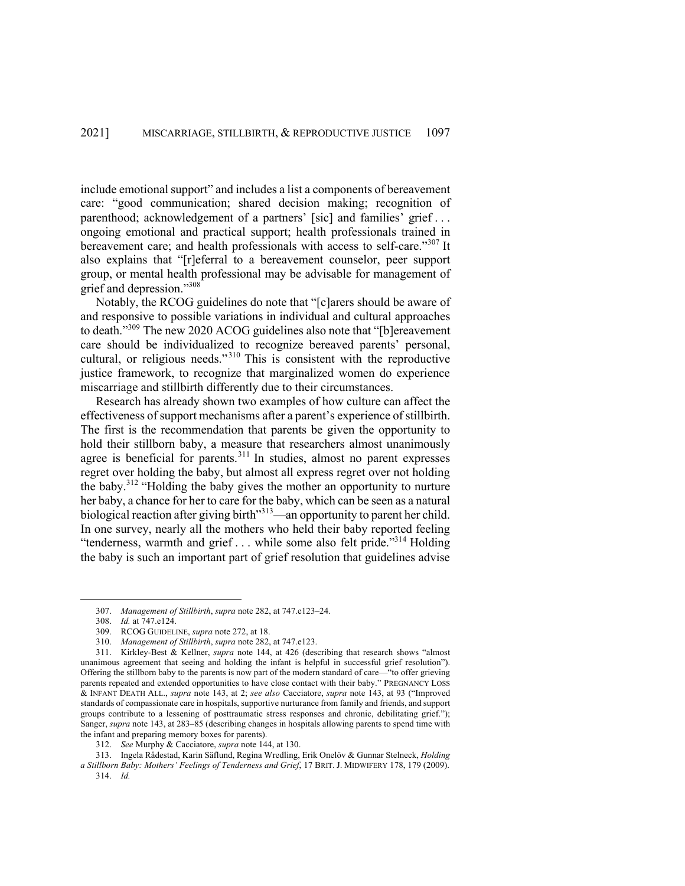include emotional support" and includes a list a components of bereavement care: "good communication; shared decision making; recognition of parenthood; acknowledgement of a partners' [sic] and families' grief . . . ongoing emotional and practical support; health professionals trained in bereavement care; and health professionals with access to self-care."<sup>307</sup> It also explains that "[r]eferral to a bereavement counselor, peer support group, or mental health professional may be advisable for management of grief and depression."308

Notably, the RCOG guidelines do note that "[c]arers should be aware of and responsive to possible variations in individual and cultural approaches to death."<sup>309</sup> The new 2020 ACOG guidelines also note that "[b]ereavement care should be individualized to recognize bereaved parents' personal, cultural, or religious needs."<sup>310</sup> This is consistent with the reproductive justice framework, to recognize that marginalized women do experience miscarriage and stillbirth differently due to their circumstances.

Research has already shown two examples of how culture can affect the effectiveness of support mechanisms after a parent's experience of stillbirth. The first is the recommendation that parents be given the opportunity to hold their stillborn baby, a measure that researchers almost unanimously agree is beneficial for parents.<sup>311</sup> In studies, almost no parent expresses regret over holding the baby, but almost all express regret over not holding the baby.<sup>312</sup> "Holding the baby gives the mother an opportunity to nurture her baby, a chance for her to care for the baby, which can be seen as a natural biological reaction after giving birth<sup>313</sup>—an opportunity to parent her child. In one survey, nearly all the mothers who held their baby reported feeling "tenderness, warmth and grief . . . while some also felt pride."<sup>314</sup> Holding the baby is such an important part of grief resolution that guidelines advise

313. Ingela Rådestad, Karin Säflund, Regina Wredling, Erik Onelöv & Gunnar Stelneck, *Holding a Stillborn Baby: Mothers' Feelings of Tenderness and Grief*, 17 BRIT. J. MIDWIFERY 178, 179 (2009).

<sup>307.</sup> *Management of Stillbirth*, *supra* note 282, at 747.e123–24.

<sup>308.</sup> *Id.* at 747.e124.

<sup>309.</sup> RCOG GUIDELINE, *supra* note 272, at 18.

<sup>310.</sup> *Management of Stillbirth*, *supra* note 282, at 747.e123.

<sup>311.</sup> Kirkley-Best & Kellner, *supra* note 144, at 426 (describing that research shows "almost unanimous agreement that seeing and holding the infant is helpful in successful grief resolution"). Offering the stillborn baby to the parents is now part of the modern standard of care—"to offer grieving parents repeated and extended opportunities to have close contact with their baby." PREGNANCY LOSS & INFANT DEATH ALL., *supra* note 143, at 2; *see also* Cacciatore, *supra* note 143, at 93 ("Improved standards of compassionate care in hospitals, supportive nurturance from family and friends, and support groups contribute to a lessening of posttraumatic stress responses and chronic, debilitating grief."); Sanger, *supra* note 143, at 283–85 (describing changes in hospitals allowing parents to spend time with the infant and preparing memory boxes for parents).

<sup>312.</sup> *See* Murphy & Cacciatore, *supra* note 144, at 130.

<sup>314.</sup> *Id.*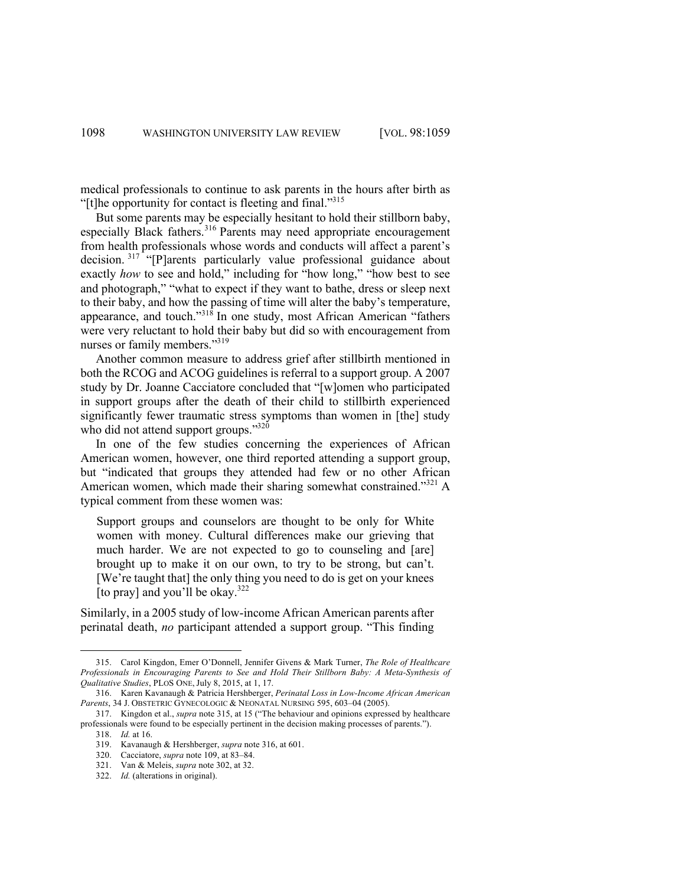medical professionals to continue to ask parents in the hours after birth as "[t]he opportunity for contact is fleeting and final."315

But some parents may be especially hesitant to hold their stillborn baby, especially Black fathers.<sup>316</sup> Parents may need appropriate encouragement from health professionals whose words and conducts will affect a parent's decision. <sup>317</sup> "[P]arents particularly value professional guidance about exactly *how* to see and hold," including for "how long," "how best to see and photograph," "what to expect if they want to bathe, dress or sleep next to their baby, and how the passing of time will alter the baby's temperature, appearance, and touch."<sup>318</sup> In one study, most African American "fathers were very reluctant to hold their baby but did so with encouragement from nurses or family members."319

Another common measure to address grief after stillbirth mentioned in both the RCOG and ACOG guidelines is referral to a support group. A 2007 study by Dr. Joanne Cacciatore concluded that "[w]omen who participated in support groups after the death of their child to stillbirth experienced significantly fewer traumatic stress symptoms than women in [the] study who did not attend support groups."320

In one of the few studies concerning the experiences of African American women, however, one third reported attending a support group, but "indicated that groups they attended had few or no other African American women, which made their sharing somewhat constrained."<sup>321</sup> A typical comment from these women was:

Support groups and counselors are thought to be only for White women with money. Cultural differences make our grieving that much harder. We are not expected to go to counseling and [are] brought up to make it on our own, to try to be strong, but can't. [We're taught that] the only thing you need to do is get on your knees [to pray] and you'll be okay. $322$ 

Similarly, in a 2005 study of low-income African American parents after perinatal death, *no* participant attended a support group. "This finding

<sup>315.</sup> Carol Kingdon, Emer O'Donnell, Jennifer Givens & Mark Turner, *The Role of Healthcare Professionals in Encouraging Parents to See and Hold Their Stillborn Baby: A Meta-Synthesis of Qualitative Studies*, PLOS ONE, July 8, 2015, at 1, 17.

<sup>316.</sup> Karen Kavanaugh & Patricia Hershberger, *Perinatal Loss in Low-Income African American Parents*, 34 J. OBSTETRIC GYNECOLOGIC & NEONATAL NURSING 595, 603–04 (2005).

<sup>317.</sup> Kingdon et al., *supra* note 315, at 15 ("The behaviour and opinions expressed by healthcare professionals were found to be especially pertinent in the decision making processes of parents.").

<sup>318.</sup> *Id.* at 16.

<sup>319.</sup> Kavanaugh & Hershberger, *supra* note 316, at 601.

<sup>320.</sup> Cacciatore, *supra* note 109, at 83–84.

<sup>321.</sup> Van & Meleis, *supra* note 302, at 32.

<sup>322.</sup> *Id.* (alterations in original).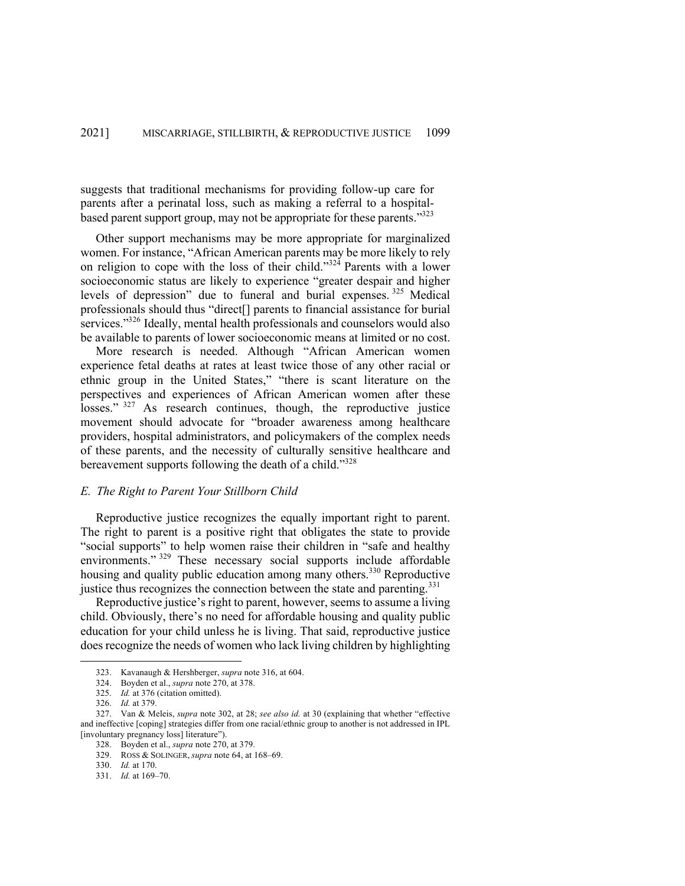suggests that traditional mechanisms for providing follow-up care for parents after a perinatal loss, such as making a referral to a hospitalbased parent support group, may not be appropriate for these parents."323

Other support mechanisms may be more appropriate for marginalized women. For instance, "African American parents may be more likely to rely on religion to cope with the loss of their child."<sup>324</sup> Parents with a lower socioeconomic status are likely to experience "greater despair and higher levels of depression" due to funeral and burial expenses. <sup>325</sup> Medical professionals should thus "direct[] parents to financial assistance for burial services."<sup>326</sup> Ideally, mental health professionals and counselors would also be available to parents of lower socioeconomic means at limited or no cost.

More research is needed. Although "African American women experience fetal deaths at rates at least twice those of any other racial or ethnic group in the United States," "there is scant literature on the perspectives and experiences of African American women after these losses." <sup>327</sup> As research continues, though, the reproductive justice movement should advocate for "broader awareness among healthcare providers, hospital administrators, and policymakers of the complex needs of these parents, and the necessity of culturally sensitive healthcare and bereavement supports following the death of a child."<sup>328</sup>

# *E. The Right to Parent Your Stillborn Child*

Reproductive justice recognizes the equally important right to parent. The right to parent is a positive right that obligates the state to provide "social supports" to help women raise their children in "safe and healthy environments."<sup>329</sup> These necessary social supports include affordable housing and quality public education among many others.<sup>330</sup> Reproductive justice thus recognizes the connection between the state and parenting.<sup>331</sup>

Reproductive justice's right to parent, however, seems to assume a living child. Obviously, there's no need for affordable housing and quality public education for your child unless he is living. That said, reproductive justice does recognize the needs of women who lack living children by highlighting

<sup>323.</sup> Kavanaugh & Hershberger, *supra* note 316, at 604.

<sup>324.</sup> Boyden et al., *supra* note 270, at 378.

<sup>325.</sup> *Id.* at 376 (citation omitted).

<sup>326.</sup> *Id.* at 379.

<sup>327.</sup> Van & Meleis, *supra* note 302, at 28; *see also id.* at 30 (explaining that whether "effective and ineffective [coping] strategies differ from one racial/ethnic group to another is not addressed in IPL [involuntary pregnancy loss] literature").

<sup>328.</sup> Boyden et al., *supra* note 270, at 379.

<sup>329.</sup> ROSS & SOLINGER, *supra* note 64, at 168–69.

<sup>330.</sup> *Id.* at 170.

<sup>331.</sup> *Id.* at 169–70.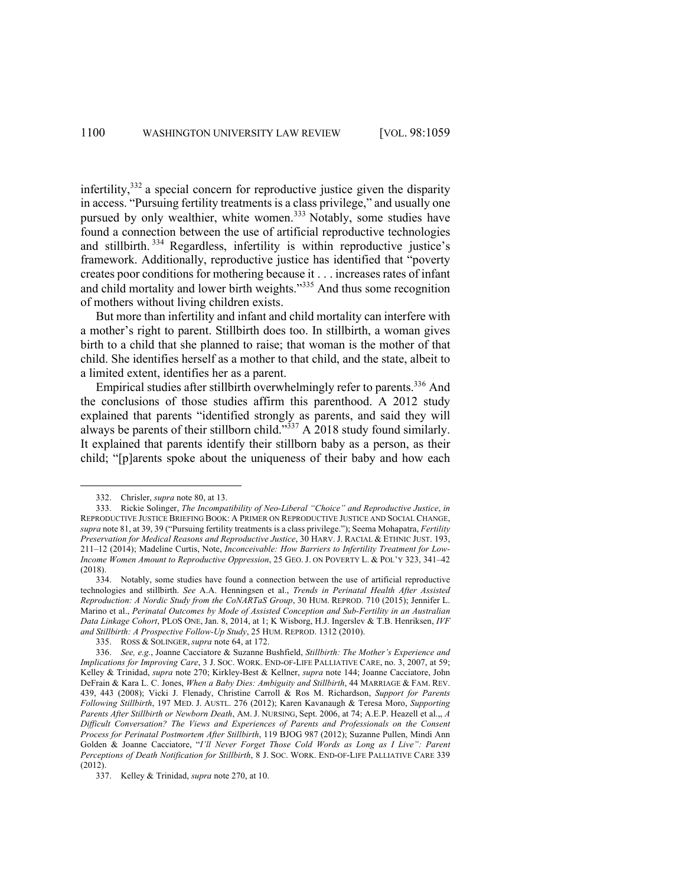infertility,<sup>332</sup> a special concern for reproductive justice given the disparity in access. "Pursuing fertility treatments is a class privilege," and usually one pursued by only wealthier, white women.<sup>333</sup> Notably, some studies have found a connection between the use of artificial reproductive technologies and stillbirth. <sup>334</sup> Regardless, infertility is within reproductive justice's framework. Additionally, reproductive justice has identified that "poverty creates poor conditions for mothering because it . . . increases rates of infant and child mortality and lower birth weights."<sup>335</sup> And thus some recognition of mothers without living children exists.

But more than infertility and infant and child mortality can interfere with a mother's right to parent. Stillbirth does too. In stillbirth, a woman gives birth to a child that she planned to raise; that woman is the mother of that child. She identifies herself as a mother to that child, and the state, albeit to a limited extent, identifies her as a parent.

Empirical studies after stillbirth overwhelmingly refer to parents.<sup>336</sup> And the conclusions of those studies affirm this parenthood. A 2012 study explained that parents "identified strongly as parents, and said they will always be parents of their stillborn child."<sup>337</sup> A 2018 study found similarly. It explained that parents identify their stillborn baby as a person, as their child; "[p]arents spoke about the uniqueness of their baby and how each

<sup>332.</sup> Chrisler, *supra* note 80, at 13.

<sup>333.</sup> Rickie Solinger, *The Incompatibility of Neo-Liberal "Choice" and Reproductive Justice*, *in*  REPRODUCTIVE JUSTICE BRIEFING BOOK: A PRIMER ON REPRODUCTIVE JUSTICE AND SOCIAL CHANGE, *supra* note 81, at 39, 39 ("Pursuing fertility treatments is a class privilege."); Seema Mohapatra, *Fertility Preservation for Medical Reasons and Reproductive Justice*, 30 HARV. J. RACIAL & ETHNIC JUST. 193, 211–12 (2014); Madeline Curtis, Note, *Inconceivable: How Barriers to Infertility Treatment for Low-Income Women Amount to Reproductive Oppression*, 25 GEO. J. ON POVERTY L. & POL'Y 323, 341–42 (2018).

<sup>334.</sup> Notably, some studies have found a connection between the use of artificial reproductive technologies and stillbirth. *See* A.A. Henningsen et al., *Trends in Perinatal Health After Assisted Reproduction: A Nordic Study from the CoNARTaS Group*, 30 HUM. REPROD. 710 (2015); Jennifer L. Marino et al., *Perinatal Outcomes by Mode of Assisted Conception and Sub-Fertility in an Australian Data Linkage Cohort*, PLOS ONE, Jan. 8, 2014, at 1; K Wisborg, H.J. Ingerslev & T.B. Henriksen, *IVF and Stillbirth: A Prospective Follow-Up Study*, 25 HUM. REPROD. 1312 (2010).

<sup>335.</sup> ROSS & SOLINGER, *supra* note 64, at 172.

<sup>336.</sup> *See, e.g.*, Joanne Cacciatore & Suzanne Bushfield, *Stillbirth: The Mother's Experience and Implications for Improving Care*, 3 J. SOC. WORK. END-OF-LIFE PALLIATIVE CARE, no. 3, 2007, at 59; Kelley & Trinidad, *supra* note 270; Kirkley-Best & Kellner, *supra* note 144; Joanne Cacciatore, John DeFrain & Kara L. C. Jones, *When a Baby Dies: Ambiguity and Stillbirth*, 44 MARRIAGE & FAM. REV. 439, 443 (2008); Vicki J. Flenady, Christine Carroll & Ros M. Richardson, *Support for Parents Following Stillbirth*, 197 MED. J. AUSTL. 276 (2012); Karen Kavanaugh & Teresa Moro, *Supporting Parents After Stillbirth or Newborn Death*, AM. J. NURSING, Sept. 2006, at 74; A.E.P. Heazell et al.,, *A Difficult Conversation? The Views and Experiences of Parents and Professionals on the Consent Process for Perinatal Postmortem After Stillbirth*, 119 BJOG 987 (2012); Suzanne Pullen, Mindi Ann Golden & Joanne Cacciatore, "*I'll Never Forget Those Cold Words as Long as I Live": Parent Perceptions of Death Notification for Stillbirth*, 8 J. SOC. WORK. END-OF-LIFE PALLIATIVE CARE 339 (2012).

<sup>337.</sup> Kelley & Trinidad, *supra* note 270, at 10.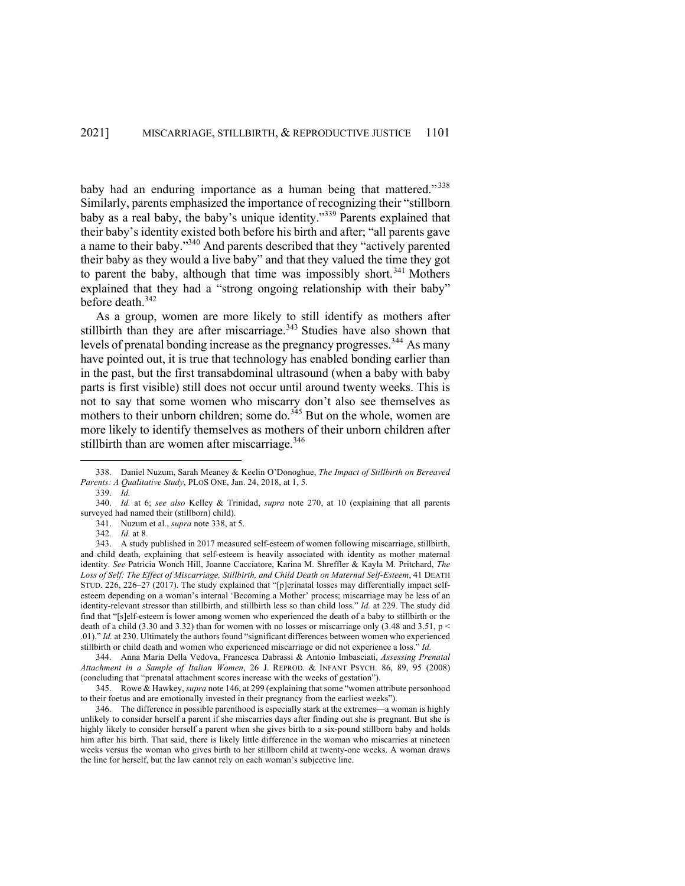baby had an enduring importance as a human being that mattered."<sup>338</sup> Similarly, parents emphasized the importance of recognizing their "stillborn baby as a real baby, the baby's unique identity."339 Parents explained that their baby's identity existed both before his birth and after; "all parents gave a name to their baby."340 And parents described that they "actively parented their baby as they would a live baby" and that they valued the time they got to parent the baby, although that time was impossibly short.<sup>341</sup> Mothers explained that they had a "strong ongoing relationship with their baby" before death.<sup>342</sup>

As a group, women are more likely to still identify as mothers after stillbirth than they are after miscarriage.<sup>343</sup> Studies have also shown that levels of prenatal bonding increase as the pregnancy progresses.<sup>344</sup> As many have pointed out, it is true that technology has enabled bonding earlier than in the past, but the first transabdominal ultrasound (when a baby with baby parts is first visible) still does not occur until around twenty weeks. This is not to say that some women who miscarry don't also see themselves as mothers to their unborn children; some do.<sup>345</sup> But on the whole, women are more likely to identify themselves as mothers of their unborn children after stillbirth than are women after miscarriage.<sup>346</sup>

<sup>338.</sup> Daniel Nuzum, Sarah Meaney & Keelin O'Donoghue, *The Impact of Stillbirth on Bereaved Parents: A Qualitative Study*, PLOS ONE, Jan. 24, 2018, at 1, 5.

<sup>339.</sup> *Id.*

<sup>340.</sup> *Id.* at 6; *see also* Kelley & Trinidad, *supra* note 270, at 10 (explaining that all parents surveyed had named their (stillborn) child).

<sup>341.</sup> Nuzum et al., *supra* note 338, at 5.

<sup>342.</sup> *Id.* at 8.

<sup>343.</sup> A study published in 2017 measured self-esteem of women following miscarriage, stillbirth, and child death, explaining that self-esteem is heavily associated with identity as mother maternal identity. *See* Patricia Wonch Hill, Joanne Cacciatore, Karina M. Shreffler & Kayla M. Pritchard, *The Loss of Self: The Effect of Miscarriage, Stillbirth, and Child Death on Maternal Self-Esteem*, 41 DEATH STUD. 226, 226–27 (2017). The study explained that "[p]erinatal losses may differentially impact selfesteem depending on a woman's internal 'Becoming a Mother' process; miscarriage may be less of an identity-relevant stressor than stillbirth, and stillbirth less so than child loss." *Id.* at 229. The study did find that "[s]elf-esteem is lower among women who experienced the death of a baby to stillbirth or the death of a child (3.30 and 3.32) than for women with no losses or miscarriage only (3.48 and 3.51,  $p \le$ .01)." *Id.* at 230. Ultimately the authors found "significant differences between women who experienced stillbirth or child death and women who experienced miscarriage or did not experience a loss." *Id.*

<sup>344.</sup> Anna Maria Della Vedova, Francesca Dabrassi & Antonio Imbasciati, *Assessing Prenatal Attachment in a Sample of Italian Women*, 26 J. REPROD. & INFANT PSYCH. 86, 89, 95 (2008) (concluding that "prenatal attachment scores increase with the weeks of gestation").

<sup>345.</sup> Rowe & Hawkey, *supra* note 146, at 299 (explaining that some "women attribute personhood to their foetus and are emotionally invested in their pregnancy from the earliest weeks").

<sup>346.</sup> The difference in possible parenthood is especially stark at the extremes—a woman is highly unlikely to consider herself a parent if she miscarries days after finding out she is pregnant. But she is highly likely to consider herself a parent when she gives birth to a six-pound stillborn baby and holds him after his birth. That said, there is likely little difference in the woman who miscarries at nineteen weeks versus the woman who gives birth to her stillborn child at twenty-one weeks. A woman draws the line for herself, but the law cannot rely on each woman's subjective line.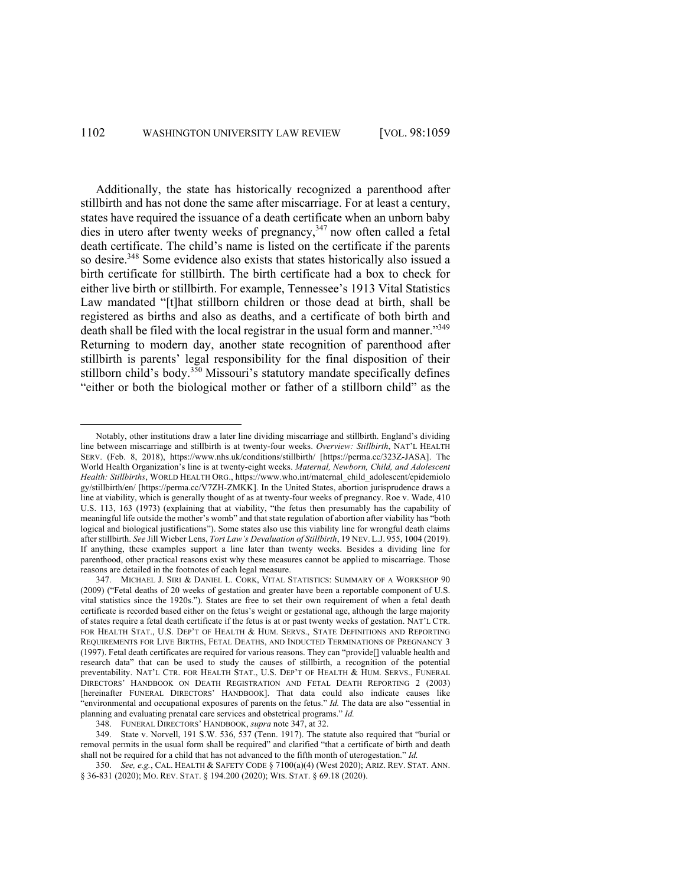Additionally, the state has historically recognized a parenthood after stillbirth and has not done the same after miscarriage. For at least a century, states have required the issuance of a death certificate when an unborn baby dies in utero after twenty weeks of pregnancy,<sup>347</sup> now often called a fetal death certificate. The child's name is listed on the certificate if the parents so desire.<sup>348</sup> Some evidence also exists that states historically also issued a birth certificate for stillbirth. The birth certificate had a box to check for either live birth or stillbirth. For example, Tennessee's 1913 Vital Statistics Law mandated "[t]hat stillborn children or those dead at birth, shall be registered as births and also as deaths, and a certificate of both birth and death shall be filed with the local registrar in the usual form and manner."<sup>349</sup> Returning to modern day, another state recognition of parenthood after stillbirth is parents' legal responsibility for the final disposition of their stillborn child's body.<sup>350</sup> Missouri's statutory mandate specifically defines "either or both the biological mother or father of a stillborn child" as the

Notably, other institutions draw a later line dividing miscarriage and stillbirth. England's dividing line between miscarriage and stillbirth is at twenty-four weeks. *Overview: Stillbirth*, NAT'L HEALTH SERV. (Feb. 8, 2018), https://www.nhs.uk/conditions/stillbirth/ [https://perma.cc/323Z-JASA]. The World Health Organization's line is at twenty-eight weeks. *Maternal, Newborn, Child, and Adolescent Health: Stillbirths*, WORLD HEALTH ORG., https://www.who.int/maternal\_child\_adolescent/epidemiolo gy/stillbirth/en/ [https://perma.cc/V7ZH-ZMKK]. In the United States, abortion jurisprudence draws a line at viability, which is generally thought of as at twenty-four weeks of pregnancy. Roe v. Wade, 410 U.S. 113, 163 (1973) (explaining that at viability, "the fetus then presumably has the capability of meaningful life outside the mother's womb" and that state regulation of abortion after viability has "both logical and biological justifications"). Some states also use this viability line for wrongful death claims after stillbirth. *See* Jill Wieber Lens, *Tort Law's Devaluation of Stillbirth*, 19 NEV. L.J. 955, 1004 (2019). If anything, these examples support a line later than twenty weeks. Besides a dividing line for parenthood, other practical reasons exist why these measures cannot be applied to miscarriage. Those reasons are detailed in the footnotes of each legal measure.

<sup>347.</sup> MICHAEL J. SIRI & DANIEL L. CORK, VITAL STATISTICS: SUMMARY OF A WORKSHOP 90 (2009) ("Fetal deaths of 20 weeks of gestation and greater have been a reportable component of U.S. vital statistics since the 1920s."). States are free to set their own requirement of when a fetal death certificate is recorded based either on the fetus's weight or gestational age, although the large majority of states require a fetal death certificate if the fetus is at or past twenty weeks of gestation. NAT'L CTR. FOR HEALTH STAT., U.S. DEP'T OF HEALTH & HUM. SERVS., STATE DEFINITIONS AND REPORTING REQUIREMENTS FOR LIVE BIRTHS, FETAL DEATHS, AND INDUCTED TERMINATIONS OF PREGNANCY 3 (1997). Fetal death certificates are required for various reasons. They can "provide[] valuable health and research data" that can be used to study the causes of stillbirth, a recognition of the potential preventability. NAT'L CTR. FOR HEALTH STAT., U.S. DEP'T OF HEALTH & HUM. SERVS., FUNERAL DIRECTORS' HANDBOOK ON DEATH REGISTRATION AND FETAL DEATH REPORTING 2 (2003) [hereinafter FUNERAL DIRECTORS' HANDBOOK]. That data could also indicate causes like "environmental and occupational exposures of parents on the fetus." *Id.* The data are also "essential in planning and evaluating prenatal care services and obstetrical programs." *Id.*

<sup>348.</sup> FUNERAL DIRECTORS' HANDBOOK, *supra* note 347, at 32.

<sup>349.</sup> State v. Norvell, 191 S.W. 536, 537 (Tenn. 1917). The statute also required that "burial or removal permits in the usual form shall be required" and clarified "that a certificate of birth and death shall not be required for a child that has not advanced to the fifth month of uterogestation." *Id.*

<sup>350.</sup> *See, e.g.*, CAL. HEALTH & SAFETY CODE § 7100(a)(4) (West 2020); ARIZ. REV. STAT. ANN. § 36-831 (2020); MO. REV. STAT. § 194.200 (2020); WIS. STAT. § 69.18 (2020).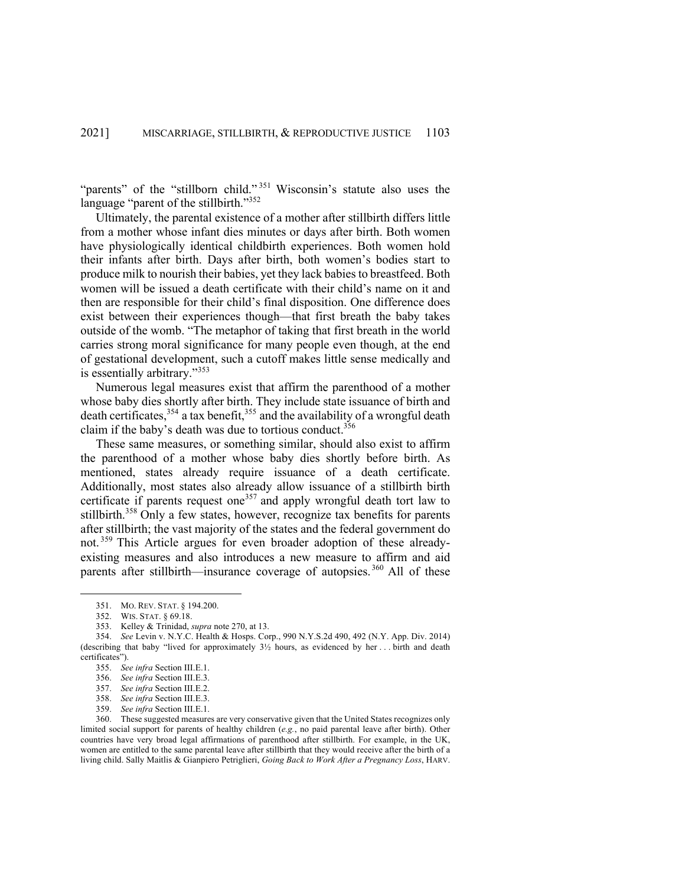"parents" of the "stillborn child."<sup>351</sup> Wisconsin's statute also uses the language "parent of the stillbirth."<sup>352</sup>

Ultimately, the parental existence of a mother after stillbirth differs little from a mother whose infant dies minutes or days after birth. Both women have physiologically identical childbirth experiences. Both women hold their infants after birth. Days after birth, both women's bodies start to produce milk to nourish their babies, yet they lack babies to breastfeed. Both women will be issued a death certificate with their child's name on it and then are responsible for their child's final disposition. One difference does exist between their experiences though—that first breath the baby takes outside of the womb. "The metaphor of taking that first breath in the world carries strong moral significance for many people even though, at the end of gestational development, such a cutoff makes little sense medically and is essentially arbitrary."<sup>353</sup>

Numerous legal measures exist that affirm the parenthood of a mother whose baby dies shortly after birth. They include state issuance of birth and death certificates,<sup>354</sup> a tax benefit,<sup>355</sup> and the availability of a wrongful death claim if the baby's death was due to tortious conduct.<sup>356</sup>

These same measures, or something similar, should also exist to affirm the parenthood of a mother whose baby dies shortly before birth. As mentioned, states already require issuance of a death certificate. Additionally, most states also already allow issuance of a stillbirth birth certificate if parents request one<sup>357</sup> and apply wrongful death tort law to stillbirth.<sup>358</sup> Only a few states, however, recognize tax benefits for parents after stillbirth; the vast majority of the states and the federal government do not. <sup>359</sup> This Article argues for even broader adoption of these alreadyexisting measures and also introduces a new measure to affirm and aid parents after stillbirth—insurance coverage of autopsies.  $360$  All of these

<sup>351.</sup> MO. REV. STAT. § 194.200.

<sup>352.</sup> WIS. STAT. § 69.18.

<sup>353.</sup> Kelley & Trinidad, *supra* note 270, at 13.

<sup>354.</sup> *See* Levin v. N.Y.C. Health & Hosps. Corp., 990 N.Y.S.2d 490, 492 (N.Y. App. Div. 2014) (describing that baby "lived for approximately 3½ hours, as evidenced by her . . . birth and death certificates").

<sup>355.</sup> *See infra* Section III.E.1.

<sup>356.</sup> *See infra* Section III.E.3.

<sup>357.</sup> *See infra* Section III.E.2.

<sup>358.</sup> *See infra* Section III.E.3.

<sup>359.</sup> *See infra* Section III.E.1.

<sup>360.</sup> These suggested measures are very conservative given that the United States recognizes only limited social support for parents of healthy children (*e.g.*, no paid parental leave after birth). Other countries have very broad legal affirmations of parenthood after stillbirth. For example, in the UK, women are entitled to the same parental leave after stillbirth that they would receive after the birth of a living child. Sally Maitlis & Gianpiero Petriglieri, *Going Back to Work After a Pregnancy Loss*, HARV.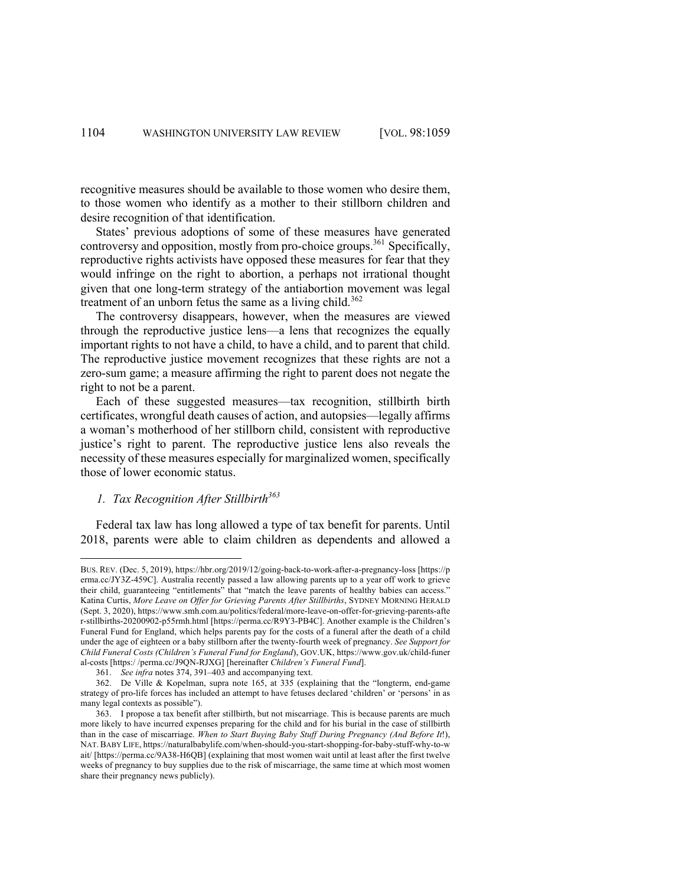recognitive measures should be available to those women who desire them, to those women who identify as a mother to their stillborn children and desire recognition of that identification.

States' previous adoptions of some of these measures have generated controversy and opposition, mostly from pro-choice groups.<sup>361</sup> Specifically, reproductive rights activists have opposed these measures for fear that they would infringe on the right to abortion, a perhaps not irrational thought given that one long-term strategy of the antiabortion movement was legal treatment of an unborn fetus the same as a living child.<sup>362</sup>

The controversy disappears, however, when the measures are viewed through the reproductive justice lens—a lens that recognizes the equally important rights to not have a child, to have a child, and to parent that child. The reproductive justice movement recognizes that these rights are not a zero-sum game; a measure affirming the right to parent does not negate the right to not be a parent.

Each of these suggested measures—tax recognition, stillbirth birth certificates, wrongful death causes of action, and autopsies—legally affirms a woman's motherhood of her stillborn child, consistent with reproductive justice's right to parent. The reproductive justice lens also reveals the necessity of these measures especially for marginalized women, specifically those of lower economic status.

# *1. Tax Recognition After Stillbirth363*

Federal tax law has long allowed a type of tax benefit for parents. Until 2018, parents were able to claim children as dependents and allowed a

BUS. REV. (Dec. 5, 2019), https://hbr.org/2019/12/going-back-to-work-after-a-pregnancy-loss [https://p erma.cc/JY3Z-459C]. Australia recently passed a law allowing parents up to a year off work to grieve their child, guaranteeing "entitlements" that "match the leave parents of healthy babies can access." Katina Curtis, *More Leave on Offer for Grieving Parents After Stillbirths*, SYDNEY MORNING HERALD (Sept. 3, 2020), https://www.smh.com.au/politics/federal/more-leave-on-offer-for-grieving-parents-afte r-stillbirths-20200902-p55rmh.html [https://perma.cc/R9Y3-PB4C]. Another example is the Children's Funeral Fund for England, which helps parents pay for the costs of a funeral after the death of a child under the age of eighteen or a baby stillborn after the twenty-fourth week of pregnancy. *See Support for Child Funeral Costs (Children's Funeral Fund for England*), GOV.UK, https://www.gov.uk/child-funer al-costs [https:/ /perma.cc/J9QN-RJXG] [hereinafter *Children's Funeral Fund*].

<sup>361.</sup> *See infra* notes 374, 391–403 and accompanying text.

<sup>362.</sup> De Ville & Kopelman, supra note 165, at 335 (explaining that the "longterm, end-game strategy of pro-life forces has included an attempt to have fetuses declared 'children' or 'persons' in as many legal contexts as possible").

<sup>363.</sup> I propose a tax benefit after stillbirth, but not miscarriage. This is because parents are much more likely to have incurred expenses preparing for the child and for his burial in the case of stillbirth than in the case of miscarriage. *When to Start Buying Baby Stuff During Pregnancy (And Before It*!), NAT.BABY LIFE, https://naturalbabylife.com/when-should-you-start-shopping-for-baby-stuff-why-to-w ait/ [https://perma.cc/9A38-H6QB] (explaining that most women wait until at least after the first twelve weeks of pregnancy to buy supplies due to the risk of miscarriage, the same time at which most women share their pregnancy news publicly).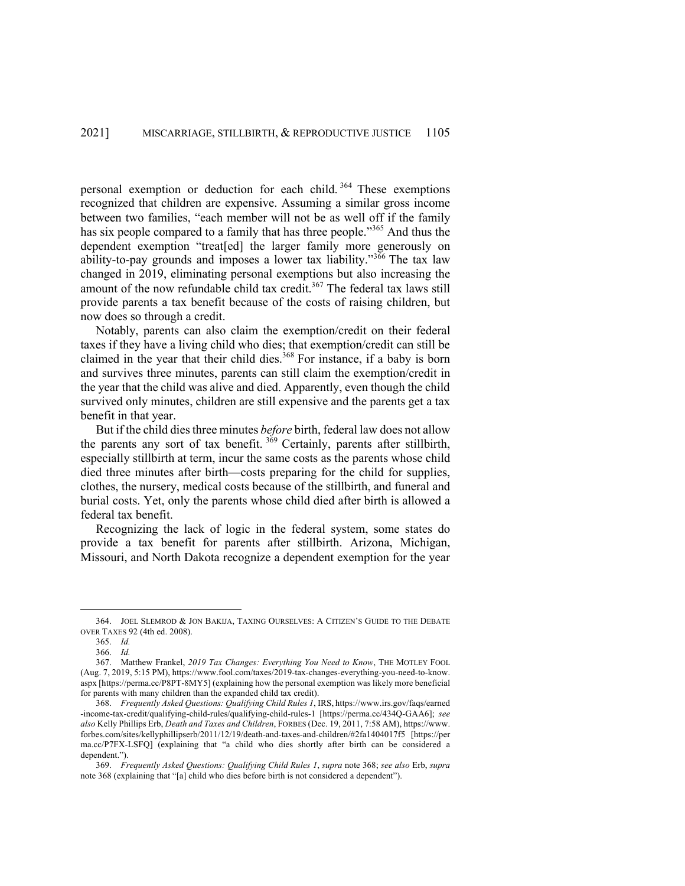personal exemption or deduction for each child. <sup>364</sup> These exemptions recognized that children are expensive. Assuming a similar gross income between two families, "each member will not be as well off if the family has six people compared to a family that has three people."<sup>365</sup> And thus the dependent exemption "treat[ed] the larger family more generously on ability-to-pay grounds and imposes a lower tax liability." $3\frac{366}{1}$  The tax law changed in 2019, eliminating personal exemptions but also increasing the amount of the now refundable child tax credit.<sup>367</sup> The federal tax laws still provide parents a tax benefit because of the costs of raising children, but now does so through a credit.

Notably, parents can also claim the exemption/credit on their federal taxes if they have a living child who dies; that exemption/credit can still be claimed in the year that their child dies.<sup>368</sup> For instance, if a baby is born and survives three minutes, parents can still claim the exemption/credit in the year that the child was alive and died. Apparently, even though the child survived only minutes, children are still expensive and the parents get a tax benefit in that year.

But if the child dies three minutes *before* birth, federal law does not allow the parents any sort of tax benefit.  $369$  Certainly, parents after stillbirth, especially stillbirth at term, incur the same costs as the parents whose child died three minutes after birth—costs preparing for the child for supplies, clothes, the nursery, medical costs because of the stillbirth, and funeral and burial costs. Yet, only the parents whose child died after birth is allowed a federal tax benefit.

Recognizing the lack of logic in the federal system, some states do provide a tax benefit for parents after stillbirth. Arizona, Michigan, Missouri, and North Dakota recognize a dependent exemption for the year

<sup>364.</sup> JOEL SLEMROD & JON BAKIJA, TAXING OURSELVES: A CITIZEN'S GUIDE TO THE DEBATE OVER TAXES 92 (4th ed. 2008).

<sup>365.</sup> *Id.* 

<sup>366.</sup> *Id.*

<sup>367.</sup> Matthew Frankel, *2019 Tax Changes: Everything You Need to Know*, THE MOTLEY FOOL (Aug. 7, 2019, 5:15 PM), https://www.fool.com/taxes/2019-tax-changes-everything-you-need-to-know. aspx [https://perma.cc/P8PT-8MY5] (explaining how the personal exemption was likely more beneficial for parents with many children than the expanded child tax credit).

<sup>368.</sup> *Frequently Asked Questions: Qualifying Child Rules 1*, IRS, https://www.irs.gov/faqs/earned -income-tax-credit/qualifying-child-rules/qualifying-child-rules-1 [https://perma.cc/434Q-GAA6]; *see also* Kelly Phillips Erb, *Death and Taxes and Children*, FORBES (Dec. 19, 2011, 7:58 AM), https://www. forbes.com/sites/kellyphillipserb/2011/12/19/death-and-taxes-and-children/#2fa1404017f5 [https://per ma.cc/P7FX-LSFQ] (explaining that "a child who dies shortly after birth can be considered a dependent.").

<sup>369.</sup> *Frequently Asked Questions: Qualifying Child Rules 1*, *supra* note 368; *see also* Erb, *supra*  note 368 (explaining that "[a] child who dies before birth is not considered a dependent").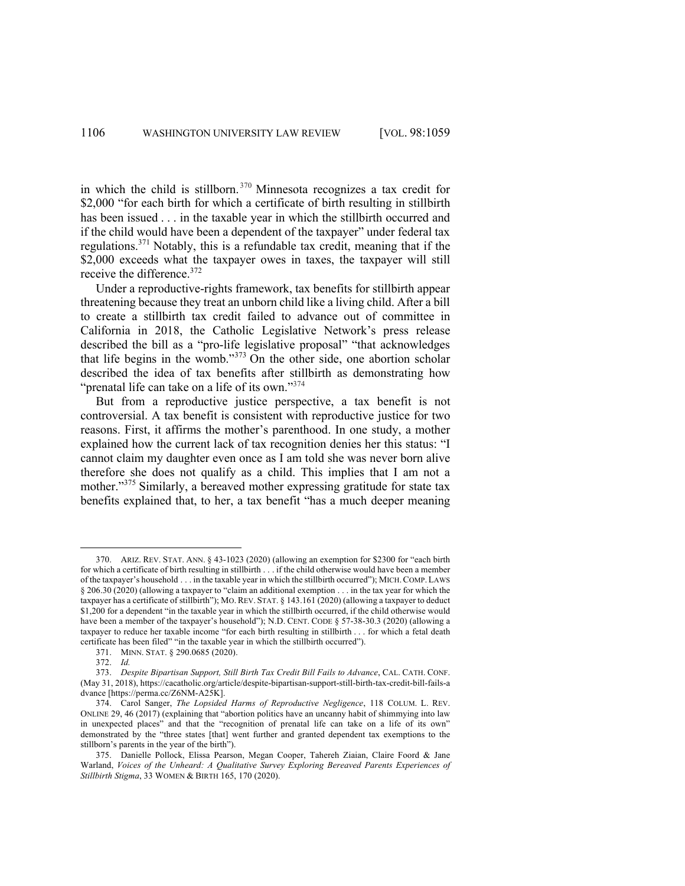in which the child is stillborn. <sup>370</sup> Minnesota recognizes a tax credit for \$2,000 "for each birth for which a certificate of birth resulting in stillbirth has been issued . . . in the taxable year in which the stillbirth occurred and if the child would have been a dependent of the taxpayer" under federal tax regulations.371 Notably, this is a refundable tax credit, meaning that if the \$2,000 exceeds what the taxpayer owes in taxes, the taxpayer will still receive the difference.<sup>372</sup>

Under a reproductive-rights framework, tax benefits for stillbirth appear threatening because they treat an unborn child like a living child. After a bill to create a stillbirth tax credit failed to advance out of committee in California in 2018, the Catholic Legislative Network's press release described the bill as a "pro-life legislative proposal" "that acknowledges that life begins in the womb."<sup>373</sup> On the other side, one abortion scholar described the idea of tax benefits after stillbirth as demonstrating how "prenatal life can take on a life of its own."<sup>374</sup>

But from a reproductive justice perspective, a tax benefit is not controversial. A tax benefit is consistent with reproductive justice for two reasons. First, it affirms the mother's parenthood. In one study, a mother explained how the current lack of tax recognition denies her this status: "I cannot claim my daughter even once as I am told she was never born alive therefore she does not qualify as a child. This implies that I am not a mother."<sup>375</sup> Similarly, a bereaved mother expressing gratitude for state tax benefits explained that, to her, a tax benefit "has a much deeper meaning

<sup>370.</sup> ARIZ. REV. STAT. ANN. § 43-1023 (2020) (allowing an exemption for \$2300 for "each birth for which a certificate of birth resulting in stillbirth . . . if the child otherwise would have been a member of the taxpayer's household . . . in the taxable year in which the stillbirth occurred"); MICH.COMP. LAWS § 206.30 (2020) (allowing a taxpayer to "claim an additional exemption . . . in the tax year for which the taxpayer has a certificate of stillbirth"); MO. REV. STAT. § 143.161 (2020) (allowing a taxpayer to deduct \$1,200 for a dependent "in the taxable year in which the stillbirth occurred, if the child otherwise would have been a member of the taxpayer's household"); N.D. CENT. CODE § 57-38-30.3 (2020) (allowing a taxpayer to reduce her taxable income "for each birth resulting in stillbirth . . . for which a fetal death certificate has been filed" "in the taxable year in which the stillbirth occurred").

<sup>371.</sup> MINN. STAT. § 290.0685 (2020).

<sup>372.</sup> *Id.*

<sup>373.</sup> *Despite Bipartisan Support, Still Birth Tax Credit Bill Fails to Advance*, CAL. CATH. CONF. (May 31, 2018), https://cacatholic.org/article/despite-bipartisan-support-still-birth-tax-credit-bill-fails-a dvance [https://perma.cc/Z6NM-A25K].

<sup>374.</sup> Carol Sanger, *The Lopsided Harms of Reproductive Negligence*, 118 COLUM. L. REV. ONLINE 29, 46 (2017) (explaining that "abortion politics have an uncanny habit of shimmying into law in unexpected places" and that the "recognition of prenatal life can take on a life of its own" demonstrated by the "three states [that] went further and granted dependent tax exemptions to the stillborn's parents in the year of the birth").

<sup>375.</sup> Danielle Pollock, Elissa Pearson, Megan Cooper, Tahereh Ziaian, Claire Foord & Jane Warland, *Voices of the Unheard: A Qualitative Survey Exploring Bereaved Parents Experiences of Stillbirth Stigma*, 33 WOMEN & BIRTH 165, 170 (2020).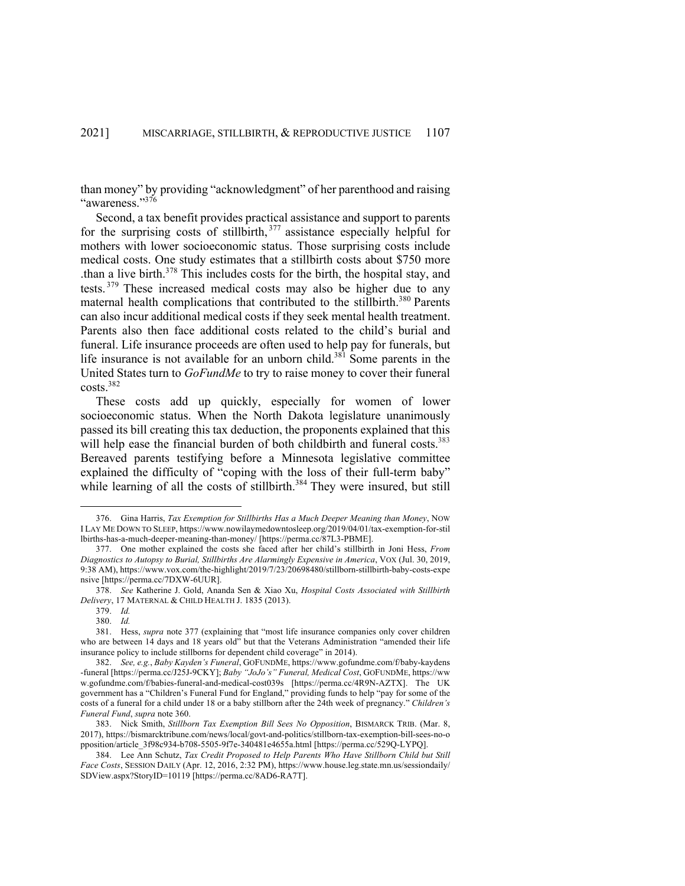than money" by providing "acknowledgment" of her parenthood and raising "awareness."376

Second, a tax benefit provides practical assistance and support to parents for the surprising costs of stillbirth,  $377$  assistance especially helpful for mothers with lower socioeconomic status. Those surprising costs include medical costs. One study estimates that a stillbirth costs about \$750 more than a live birth.<sup>378</sup> This includes costs for the birth, the hospital stay, and tests. <sup>379</sup> These increased medical costs may also be higher due to any maternal health complications that contributed to the stillbirth.<sup>380</sup> Parents can also incur additional medical costs if they seek mental health treatment. Parents also then face additional costs related to the child's burial and funeral. Life insurance proceeds are often used to help pay for funerals, but life insurance is not available for an unborn child.<sup>381</sup> Some parents in the United States turn to *GoFundMe* to try to raise money to cover their funeral costs.382

These costs add up quickly, especially for women of lower socioeconomic status. When the North Dakota legislature unanimously passed its bill creating this tax deduction, the proponents explained that this will help ease the financial burden of both childbirth and funeral costs.<sup>383</sup> Bereaved parents testifying before a Minnesota legislative committee explained the difficulty of "coping with the loss of their full-term baby" while learning of all the costs of stillbirth. $384$  They were insured, but still

379. *Id.*

<sup>376.</sup> Gina Harris, *Tax Exemption for Stillbirths Has a Much Deeper Meaning than Money*, NOW I LAY ME DOWN TO SLEEP, https://www.nowilaymedowntosleep.org/2019/04/01/tax-exemption-for-stil lbirths-has-a-much-deeper-meaning-than-money/ [https://perma.cc/87L3-PBME].

<sup>377.</sup> One mother explained the costs she faced after her child's stillbirth in Joni Hess, *From Diagnostics to Autopsy to Burial, Stillbirths Are Alarmingly Expensive in America*, VOX (Jul. 30, 2019, 9:38 AM), https://www.vox.com/the-highlight/2019/7/23/20698480/stillborn-stillbirth-baby-costs-expe nsive [https://perma.cc/7DXW-6UUR].

<sup>378.</sup> *See* Katherine J. Gold, Ananda Sen & Xiao Xu, *Hospital Costs Associated with Stillbirth Delivery*, 17 MATERNAL & CHILD HEALTH J. 1835 (2013).

<sup>380.</sup> *Id.*

<sup>381.</sup> Hess, *supra* note 377 (explaining that "most life insurance companies only cover children who are between 14 days and 18 years old" but that the Veterans Administration "amended their life insurance policy to include stillborns for dependent child coverage" in 2014).

<sup>382.</sup> *See, e.g.*, *Baby Kayden's Funeral*, GOFUNDME, https://www.gofundme.com/f/baby-kaydens -funeral [https://perma.cc/J25J-9CKY]; *Baby "JoJo's" Funeral, Medical Cost*, GOFUNDME, https://ww w.gofundme.com/f/babies-funeral-and-medical-cost039s [https://perma.cc/4R9N-AZTX]. The UK government has a "Children's Funeral Fund for England," providing funds to help "pay for some of the costs of a funeral for a child under 18 or a baby stillborn after the 24th week of pregnancy." *Children's Funeral Fund*, *supra* note 360.

<sup>383.</sup> Nick Smith, *Stillborn Tax Exemption Bill Sees No Opposition*, BISMARCK TRIB. (Mar. 8, 2017), https://bismarcktribune.com/news/local/govt-and-politics/stillborn-tax-exemption-bill-sees-no-o pposition/article\_3f98c934-b708-5505-9f7e-340481e4655a.html [https://perma.cc/529Q-LYPQ].

<sup>384.</sup> Lee Ann Schutz, *Tax Credit Proposed to Help Parents Who Have Stillborn Child but Still Face Costs*, SESSION DAILY (Apr. 12, 2016, 2:32 PM), https://www.house.leg.state.mn.us/sessiondaily/ SDView.aspx?StoryID=10119 [https://perma.cc/8AD6-RA7T].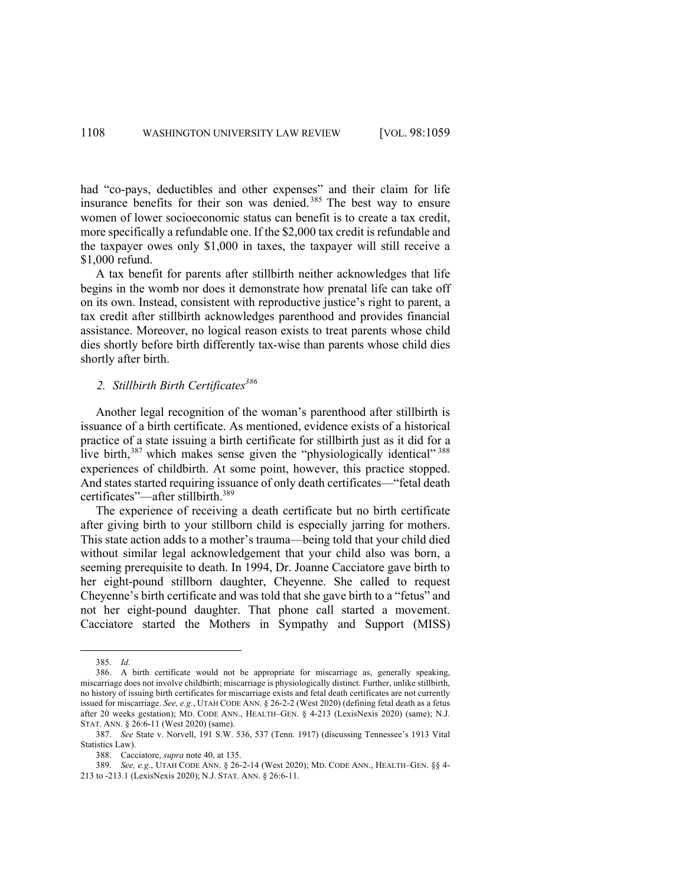had "co-pays, deductibles and other expenses" and their claim for life insurance benefits for their son was denied. <sup>385</sup> The best way to ensure women of lower socioeconomic status can benefit is to create a tax credit, more specifically a refundable one. If the \$2,000 tax credit is refundable and the taxpayer owes only \$1,000 in taxes, the taxpayer will still receive a \$1,000 refund.

A tax benefit for parents after stillbirth neither acknowledges that life begins in the womb nor does it demonstrate how prenatal life can take off on its own. Instead, consistent with reproductive justice's right to parent, a tax credit after stillbirth acknowledges parenthood and provides financial assistance. Moreover, no logical reason exists to treat parents whose child dies shortly before birth differently tax-wise than parents whose child dies shortly after birth.

# 2. *Stillbirth Birth Certificates*<sup>386</sup>

Another legal recognition of the woman's parenthood after stillbirth is issuance of a birth certificate. As mentioned, evidence exists of a historical practice of a state issuing a birth certificate for stillbirth just as it did for a live birth, $387$  which makes sense given the "physiologically identical"  $388$ experiences of childbirth. At some point, however, this practice stopped. And states started requiring issuance of only death certificates—"fetal death certificates"—after stillbirth.<sup>389</sup>

The experience of receiving a death certificate but no birth certificate after giving birth to your stillborn child is especially jarring for mothers. This state action adds to a mother's trauma—being told that your child died without similar legal acknowledgement that your child also was born, a seeming prerequisite to death. In 1994, Dr. Joanne Cacciatore gave birth to her eight-pound stillborn daughter, Cheyenne. She called to request Cheyenne's birth certificate and was told that she gave birth to a "fetus" and not her eight-pound daughter. That phone call started a movement. Cacciatore started the Mothers in Sympathy and Support (MISS)

<sup>385.</sup> *Id.*

<sup>386.</sup> A birth certificate would not be appropriate for miscarriage as, generally speaking, miscarriage does not involve childbirth; miscarriage is physiologically distinct. Further, unlike stillbirth, no history of issuing birth certificates for miscarriage exists and fetal death certificates are not currently issued for miscarriage. *See, e.g.*, UTAH CODE ANN. § 26-2-2 (West 2020) (defining fetal death as a fetus after 20 weeks gestation); MD. CODE ANN., HEALTH–GEN. § 4-213 (LexisNexis 2020) (same); N.J. STAT. ANN. § 26:6-11 (West 2020) (same).

<sup>387.</sup> *See* State v. Norvell, 191 S.W. 536, 537 (Tenn. 1917) (discussing Tennessee's 1913 Vital Statistics Law).

<sup>388.</sup> Cacciatore, *supra* note 40, at 135.

<sup>389.</sup> *See, e.g.*, UTAH CODE ANN. § 26-2-14 (West 2020); MD. CODE ANN., HEALTH–GEN. §§ 4- 213 to -213.1 (LexisNexis 2020); N.J. STAT. ANN. § 26:6-11.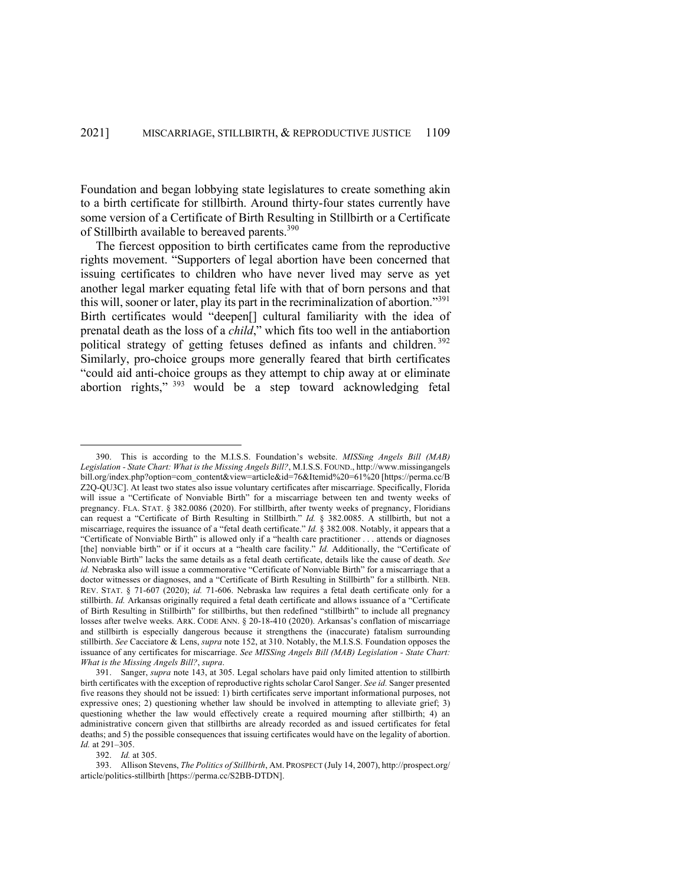Foundation and began lobbying state legislatures to create something akin to a birth certificate for stillbirth. Around thirty-four states currently have some version of a Certificate of Birth Resulting in Stillbirth or a Certificate of Stillbirth available to bereaved parents.<sup>390</sup>

The fiercest opposition to birth certificates came from the reproductive rights movement. "Supporters of legal abortion have been concerned that issuing certificates to children who have never lived may serve as yet another legal marker equating fetal life with that of born persons and that this will, sooner or later, play its part in the recriminalization of abortion."<sup>391</sup> Birth certificates would "deepen[] cultural familiarity with the idea of prenatal death as the loss of a *child*," which fits too well in the antiabortion political strategy of getting fetuses defined as infants and children.<sup>392</sup> Similarly, pro-choice groups more generally feared that birth certificates "could aid anti-choice groups as they attempt to chip away at or eliminate abortion rights," <sup>393</sup> would be a step toward acknowledging fetal

392. *Id.* at 305.

<sup>390.</sup> This is according to the M.I.S.S. Foundation's website. *MISSing Angels Bill (MAB) Legislation - State Chart: What is the Missing Angels Bill?*, M.I.S.S. FOUND., http://www.missingangels bill.org/index.php?option=com\_content&view=article&id=76&Itemid%20=61%20 [https://perma.cc/B Z2Q-QU3C]. At least two states also issue voluntary certificates after miscarriage. Specifically, Florida will issue a "Certificate of Nonviable Birth" for a miscarriage between ten and twenty weeks of pregnancy. FLA. STAT. § 382.0086 (2020). For stillbirth, after twenty weeks of pregnancy, Floridians can request a "Certificate of Birth Resulting in Stillbirth." *Id.* § 382.0085. A stillbirth, but not a miscarriage, requires the issuance of a "fetal death certificate." *Id.* § 382.008. Notably, it appears that a "Certificate of Nonviable Birth" is allowed only if a "health care practitioner . . . attends or diagnoses [the] nonviable birth" or if it occurs at a "health care facility." *Id.* Additionally, the "Certificate of Nonviable Birth" lacks the same details as a fetal death certificate, details like the cause of death. *See id.* Nebraska also will issue a commemorative "Certificate of Nonviable Birth" for a miscarriage that a doctor witnesses or diagnoses, and a "Certificate of Birth Resulting in Stillbirth" for a stillbirth. NEB. REV. STAT. § 71-607 (2020); *id.* 71-606. Nebraska law requires a fetal death certificate only for a stillbirth. *Id.* Arkansas originally required a fetal death certificate and allows issuance of a "Certificate of Birth Resulting in Stillbirth" for stillbirths, but then redefined "stillbirth" to include all pregnancy losses after twelve weeks. ARK. CODE ANN. § 20-18-410 (2020). Arkansas's conflation of miscarriage and stillbirth is especially dangerous because it strengthens the (inaccurate) fatalism surrounding stillbirth. *See* Cacciatore & Lens, *supra* note 152, at 310. Notably, the M.I.S.S. Foundation opposes the issuance of any certificates for miscarriage. *See MISSing Angels Bill (MAB) Legislation - State Chart: What is the Missing Angels Bill?*, *supra*.

<sup>391.</sup> Sanger, *supra* note 143, at 305. Legal scholars have paid only limited attention to stillbirth birth certificates with the exception of reproductive rights scholar Carol Sanger. *See id.* Sanger presented five reasons they should not be issued: 1) birth certificates serve important informational purposes, not expressive ones; 2) questioning whether law should be involved in attempting to alleviate grief; 3) questioning whether the law would effectively create a required mourning after stillbirth; 4) an administrative concern given that stillbirths are already recorded as and issued certificates for fetal deaths; and 5) the possible consequences that issuing certificates would have on the legality of abortion. *Id.* at 291–305.

<sup>393.</sup> Allison Stevens, *The Politics of Stillbirth*, AM. PROSPECT (July 14, 2007), http://prospect.org/ article/politics-stillbirth [https://perma.cc/S2BB-DTDN].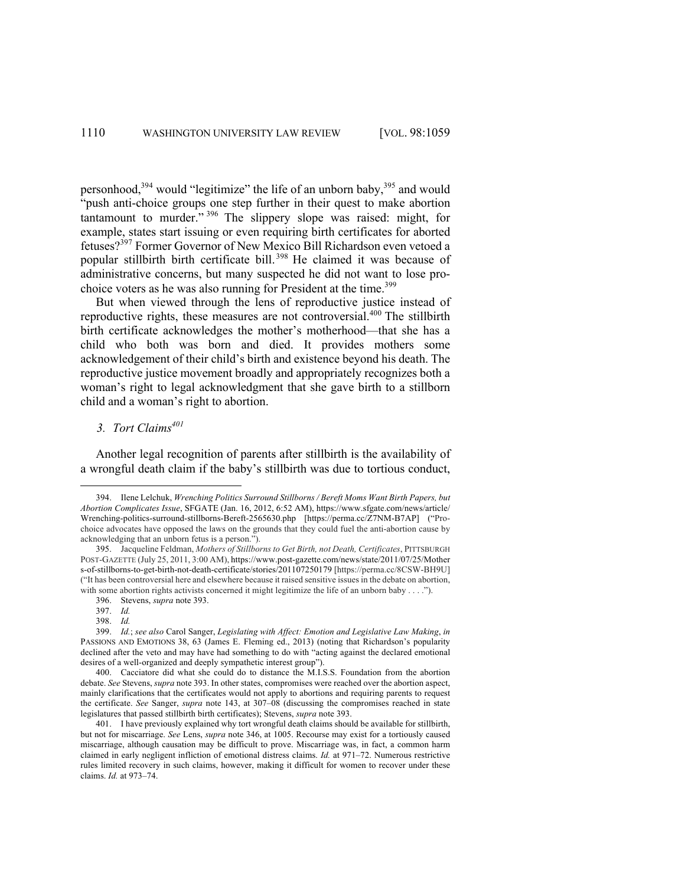personhood,<sup>394</sup> would "legitimize" the life of an unborn baby,<sup>395</sup> and would "push anti-choice groups one step further in their quest to make abortion tantamount to murder." <sup>396</sup> The slippery slope was raised: might, for example, states start issuing or even requiring birth certificates for aborted fetuses?<sup>397</sup> Former Governor of New Mexico Bill Richardson even vetoed a popular stillbirth birth certificate bill.<sup>398</sup> He claimed it was because of administrative concerns, but many suspected he did not want to lose prochoice voters as he was also running for President at the time.<sup>399</sup>

But when viewed through the lens of reproductive justice instead of reproductive rights, these measures are not controversial.<sup>400</sup> The stillbirth birth certificate acknowledges the mother's motherhood—that she has a child who both was born and died. It provides mothers some acknowledgement of their child's birth and existence beyond his death. The reproductive justice movement broadly and appropriately recognizes both a woman's right to legal acknowledgment that she gave birth to a stillborn child and a woman's right to abortion.

# 3. Tort Claims<sup>401</sup>

Another legal recognition of parents after stillbirth is the availability of a wrongful death claim if the baby's stillbirth was due to tortious conduct,

396. Stevens, *supra* note 393.

<sup>394.</sup> Ilene Lelchuk, *Wrenching Politics Surround Stillborns / Bereft Moms Want Birth Papers, but Abortion Complicates Issue*, SFGATE (Jan. 16, 2012, 6:52 AM), https://www.sfgate.com/news/article/ Wrenching-politics-surround-stillborns-Bereft-2565630.php [https://perma.cc/Z7NM-B7AP] ("Prochoice advocates have opposed the laws on the grounds that they could fuel the anti-abortion cause by acknowledging that an unborn fetus is a person.").

<sup>395.</sup> Jacqueline Feldman, *Mothers of Stillborns to Get Birth, not Death, Certificates*, PITTSBURGH POST-GAZETTE (July 25, 2011, 3:00 AM), https://www.post-gazette.com/news/state/2011/07/25/Mother s-of-stillborns-to-get-birth-not-death-certificate/stories/201107250179 [https://perma.cc/8CSW-BH9U] ("It has been controversial here and elsewhere because it raised sensitive issues in the debate on abortion, with some abortion rights activists concerned it might legitimize the life of an unborn baby . . . .").

<sup>397.</sup> *Id.* 

<sup>398.</sup> *Id.* 

<sup>399.</sup> *Id.*; *see also* Carol Sanger, *Legislating with Affect: Emotion and Legislative Law Making*, *in* PASSIONS AND EMOTIONS 38, 63 (James E. Fleming ed., 2013) (noting that Richardson's popularity declined after the veto and may have had something to do with "acting against the declared emotional desires of a well-organized and deeply sympathetic interest group").

<sup>400.</sup> Cacciatore did what she could do to distance the M.I.S.S. Foundation from the abortion debate. *See* Stevens, *supra* note 393. In other states, compromises were reached over the abortion aspect, mainly clarifications that the certificates would not apply to abortions and requiring parents to request the certificate. *See* Sanger, *supra* note 143, at 307–08 (discussing the compromises reached in state legislatures that passed stillbirth birth certificates); Stevens, *supra* note 393.

<sup>401.</sup> I have previously explained why tort wrongful death claims should be available for stillbirth, but not for miscarriage. *See* Lens, *supra* note 346, at 1005. Recourse may exist for a tortiously caused miscarriage, although causation may be difficult to prove. Miscarriage was, in fact, a common harm claimed in early negligent infliction of emotional distress claims. *Id.* at 971–72. Numerous restrictive rules limited recovery in such claims, however, making it difficult for women to recover under these claims. *Id.* at 973–74.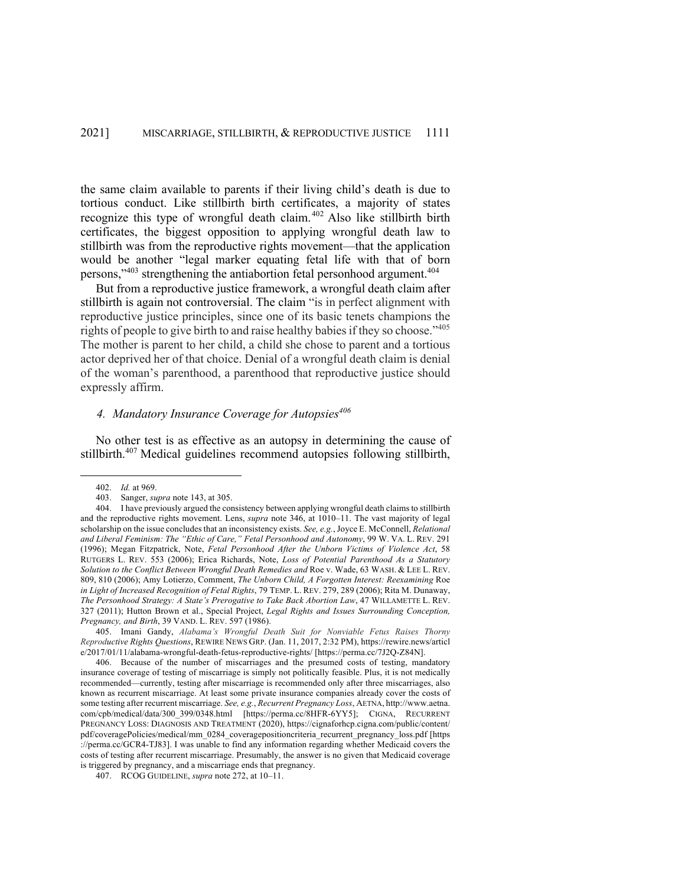the same claim available to parents if their living child's death is due to tortious conduct. Like stillbirth birth certificates, a majority of states recognize this type of wrongful death claim.<sup>402</sup> Also like stillbirth birth certificates, the biggest opposition to applying wrongful death law to stillbirth was from the reproductive rights movement—that the application would be another "legal marker equating fetal life with that of born persons,"<sup>403</sup> strengthening the antiabortion fetal personhood argument.<sup>404</sup>

But from a reproductive justice framework, a wrongful death claim after stillbirth is again not controversial. The claim "is in perfect alignment with reproductive justice principles, since one of its basic tenets champions the rights of people to give birth to and raise healthy babies if they so choose."<sup>405</sup> The mother is parent to her child, a child she chose to parent and a tortious actor deprived her of that choice. Denial of a wrongful death claim is denial of the woman's parenthood, a parenthood that reproductive justice should expressly affirm.

# *4. Mandatory Insurance Coverage for Autopsies<sup>406</sup>*

No other test is as effective as an autopsy in determining the cause of stillbirth.<sup>407</sup> Medical guidelines recommend autopsies following stillbirth,

<sup>402.</sup> *Id.* at 969.

<sup>403.</sup> Sanger, *supra* note 143, at 305.

<sup>404.</sup> I have previously argued the consistency between applying wrongful death claims to stillbirth and the reproductive rights movement. Lens, *supra* note 346, at 1010–11. The vast majority of legal scholarship on the issue concludes that an inconsistency exists. *See, e.g.*, Joyce E. McConnell, *Relational and Liberal Feminism: The "Ethic of Care," Fetal Personhood and Autonomy*, 99 W. VA. L. REV. 291 (1996); Megan Fitzpatrick, Note, *Fetal Personhood After the Unborn Victims of Violence Act*, 58 RUTGERS L. REV. 553 (2006); Erica Richards, Note, *Loss of Potential Parenthood As a Statutory Solution to the Conflict Between Wrongful Death Remedies and* Roe v. Wade, 63 WASH. & LEE L. REV. 809, 810 (2006); Amy Lotierzo, Comment, *The Unborn Child, A Forgotten Interest: Reexamining* Roe *in Light of Increased Recognition of Fetal Rights*, 79 TEMP. L. REV. 279, 289 (2006); Rita M. Dunaway, *The Personhood Strategy: A State's Prerogative to Take Back Abortion Law*, 47 WILLAMETTE L. REV. 327 (2011); Hutton Brown et al., Special Project, *Legal Rights and Issues Surrounding Conception, Pregnancy, and Birth*, 39 VAND. L. REV. 597 (1986).

<sup>405.</sup> Imani Gandy, *Alabama's Wrongful Death Suit for Nonviable Fetus Raises Thorny Reproductive Rights Questions*, REWIRE NEWS GRP. (Jan. 11, 2017, 2:32 PM), https://rewire.news/articl e/2017/01/11/alabama-wrongful-death-fetus-reproductive-rights/ [https://perma.cc/7J2Q-Z84N].

<sup>406.</sup> Because of the number of miscarriages and the presumed costs of testing, mandatory insurance coverage of testing of miscarriage is simply not politically feasible. Plus, it is not medically recommended—currently, testing after miscarriage is recommended only after three miscarriages, also known as recurrent miscarriage. At least some private insurance companies already cover the costs of some testing after recurrent miscarriage. *See, e.g.*, *Recurrent Pregnancy Loss*, AETNA, http://www.aetna. com/cpb/medical/data/300\_399/0348.html [https://perma.cc/8HFR-6YY5]; CIGNA, RECURRENT PREGNANCY LOSS: DIAGNOSIS AND TREATMENT (2020), https://cignaforhcp.cigna.com/public/content/ pdf/coveragePolicies/medical/mm\_0284\_coveragepositioncriteria\_recurrent\_pregnancy\_loss.pdf [https ://perma.cc/GCR4-TJ83]. I was unable to find any information regarding whether Medicaid covers the costs of testing after recurrent miscarriage. Presumably, the answer is no given that Medicaid coverage is triggered by pregnancy, and a miscarriage ends that pregnancy.

<sup>407.</sup> RCOG GUIDELINE, *supra* note 272, at 10–11.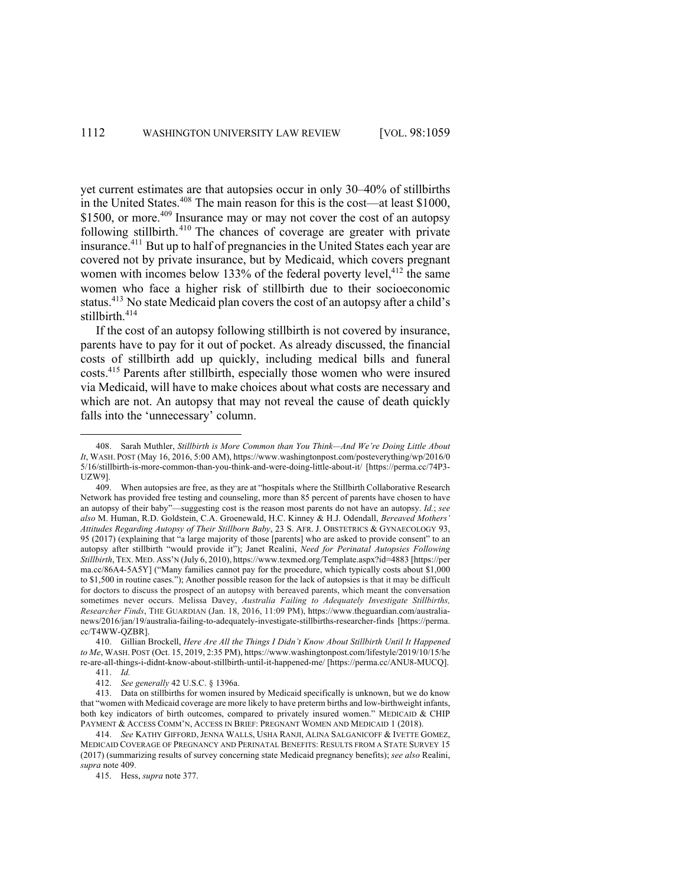yet current estimates are that autopsies occur in only 30–40% of stillbirths in the United States.<sup>408</sup> The main reason for this is the cost—at least \$1000, \$1500, or more.<sup>409</sup> Insurance may or may not cover the cost of an autopsy following stillbirth.<sup>410</sup> The chances of coverage are greater with private insurance.<sup>411</sup> But up to half of pregnancies in the United States each year are covered not by private insurance, but by Medicaid, which covers pregnant women with incomes below 133% of the federal poverty level, $4^{12}$  the same women who face a higher risk of stillbirth due to their socioeconomic status.<sup>413</sup> No state Medicaid plan covers the cost of an autopsy after a child's stillbirth.<sup>414</sup>

If the cost of an autopsy following stillbirth is not covered by insurance, parents have to pay for it out of pocket. As already discussed, the financial costs of stillbirth add up quickly, including medical bills and funeral costs.415 Parents after stillbirth, especially those women who were insured via Medicaid, will have to make choices about what costs are necessary and which are not. An autopsy that may not reveal the cause of death quickly falls into the 'unnecessary' column.

415. Hess, *supra* note 377.

<sup>408.</sup> Sarah Muthler, *Stillbirth is More Common than You Think—And We're Doing Little About It*, WASH. POST (May 16, 2016, 5:00 AM), https://www.washingtonpost.com/posteverything/wp/2016/0 5/16/stillbirth-is-more-common-than-you-think-and-were-doing-little-about-it/ [https://perma.cc/74P3- UZW9].

<sup>409.</sup> When autopsies are free, as they are at "hospitals where the Stillbirth Collaborative Research Network has provided free testing and counseling, more than 85 percent of parents have chosen to have an autopsy of their baby"—suggesting cost is the reason most parents do not have an autopsy. *Id.*; *see also* M. Human, R.D. Goldstein, C.A. Groenewald, H.C. Kinney & H.J. Odendall, *Bereaved Mothers' Attitudes Regarding Autopsy of Their Stillborn Baby*, 23 S. AFR. J. OBSTETRICS & GYNAECOLOGY 93, 95 (2017) (explaining that "a large majority of those [parents] who are asked to provide consent" to an autopsy after stillbirth "would provide it"); Janet Realini, *Need for Perinatal Autopsies Following Stillbirth*, TEX. MED. ASS'N (July 6, 2010), https://www.texmed.org/Template.aspx?id=4883 [https://per ma.cc/86A4-5A5Y] ("Many families cannot pay for the procedure, which typically costs about \$1,000 to \$1,500 in routine cases."); Another possible reason for the lack of autopsies is that it may be difficult for doctors to discuss the prospect of an autopsy with bereaved parents, which meant the conversation sometimes never occurs. Melissa Davey, *Australia Failing to Adequately Investigate Stillbirths, Researcher Finds*, THE GUARDIAN (Jan. 18, 2016, 11:09 PM), https://www.theguardian.com/australianews/2016/jan/19/australia-failing-to-adequately-investigate-stillbirths-researcher-finds [https://perma. cc/T4WW-QZBR].

<sup>410.</sup> Gillian Brockell, *Here Are All the Things I Didn't Know About Stillbirth Until It Happened to Me*, WASH. POST (Oct. 15, 2019, 2:35 PM), https://www.washingtonpost.com/lifestyle/2019/10/15/he re-are-all-things-i-didnt-know-about-stillbirth-until-it-happened-me/ [https://perma.cc/ANU8-MUCQ].

<sup>411.</sup> *Id.*

<sup>412.</sup> *See generally* 42 U.S.C. § 1396a.

<sup>413.</sup> Data on stillbirths for women insured by Medicaid specifically is unknown, but we do know that "women with Medicaid coverage are more likely to have preterm births and low-birthweight infants, both key indicators of birth outcomes, compared to privately insured women." MEDICAID & CHIP PAYMENT & ACCESS COMM'N, ACCESS IN BRIEF: PREGNANT WOMEN AND MEDICAID 1 (2018).

<sup>414.</sup> *See* KATHY GIFFORD, JENNA WALLS, USHA RANJI, ALINA SALGANICOFF & IVETTE GOMEZ, MEDICAID COVERAGE OF PREGNANCY AND PERINATAL BENEFITS: RESULTS FROM A STATE SURVEY 15 (2017) (summarizing results of survey concerning state Medicaid pregnancy benefits); *see also* Realini, *supra* note 409.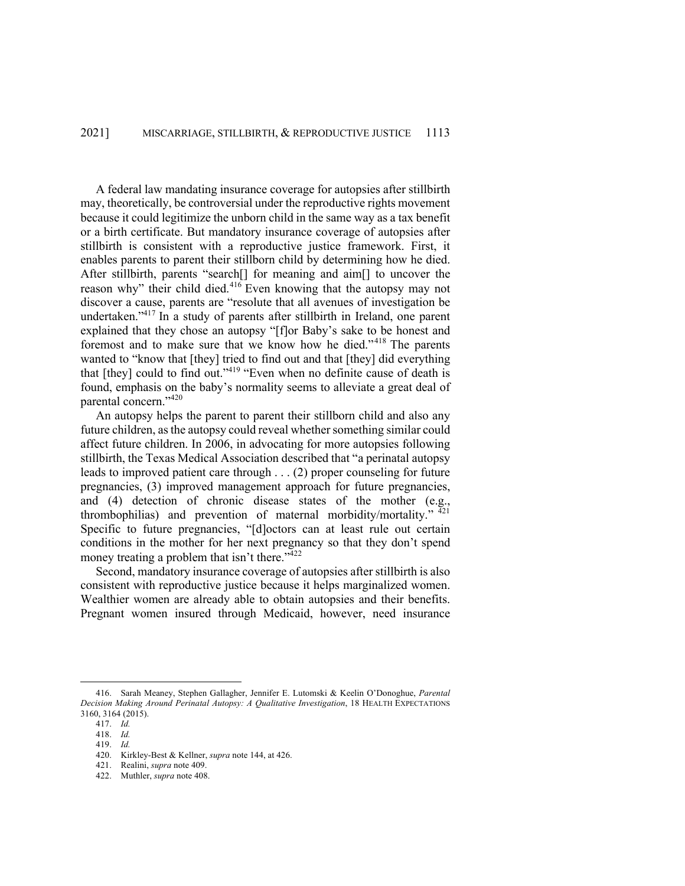A federal law mandating insurance coverage for autopsies after stillbirth may, theoretically, be controversial under the reproductive rights movement because it could legitimize the unborn child in the same way as a tax benefit or a birth certificate. But mandatory insurance coverage of autopsies after stillbirth is consistent with a reproductive justice framework. First, it enables parents to parent their stillborn child by determining how he died. After stillbirth, parents "search[] for meaning and aim[] to uncover the reason why" their child died.<sup>416</sup> Even knowing that the autopsy may not discover a cause, parents are "resolute that all avenues of investigation be undertaken."417 In a study of parents after stillbirth in Ireland, one parent explained that they chose an autopsy "[f]or Baby's sake to be honest and foremost and to make sure that we know how he died."<sup>418</sup> The parents wanted to "know that [they] tried to find out and that [they] did everything that [they] could to find out."<sup>419</sup> "Even when no definite cause of death is found, emphasis on the baby's normality seems to alleviate a great deal of parental concern."420

An autopsy helps the parent to parent their stillborn child and also any future children, as the autopsy could reveal whether something similar could affect future children. In 2006, in advocating for more autopsies following stillbirth, the Texas Medical Association described that "a perinatal autopsy leads to improved patient care through . . . (2) proper counseling for future pregnancies, (3) improved management approach for future pregnancies, and (4) detection of chronic disease states of the mother (e.g., thrombophilias) and prevention of maternal morbidity/mortality."  $\frac{421}{12}$ Specific to future pregnancies, "[d]octors can at least rule out certain conditions in the mother for her next pregnancy so that they don't spend money treating a problem that isn't there."<sup>422</sup>

Second, mandatory insurance coverage of autopsies after stillbirth is also consistent with reproductive justice because it helps marginalized women. Wealthier women are already able to obtain autopsies and their benefits. Pregnant women insured through Medicaid, however, need insurance

<sup>416.</sup> Sarah Meaney, Stephen Gallagher, Jennifer E. Lutomski & Keelin O'Donoghue, *Parental Decision Making Around Perinatal Autopsy: A Qualitative Investigation*, 18 HEALTH EXPECTATIONS 3160, 3164 (2015).

<sup>417.</sup> *Id.*

<sup>418.</sup> *Id.* 419. *Id.*

<sup>420.</sup> Kirkley-Best & Kellner, *supra* note 144, at 426.

<sup>421.</sup> Realini, *supra* note 409.

<sup>422.</sup> Muthler, *supra* note 408.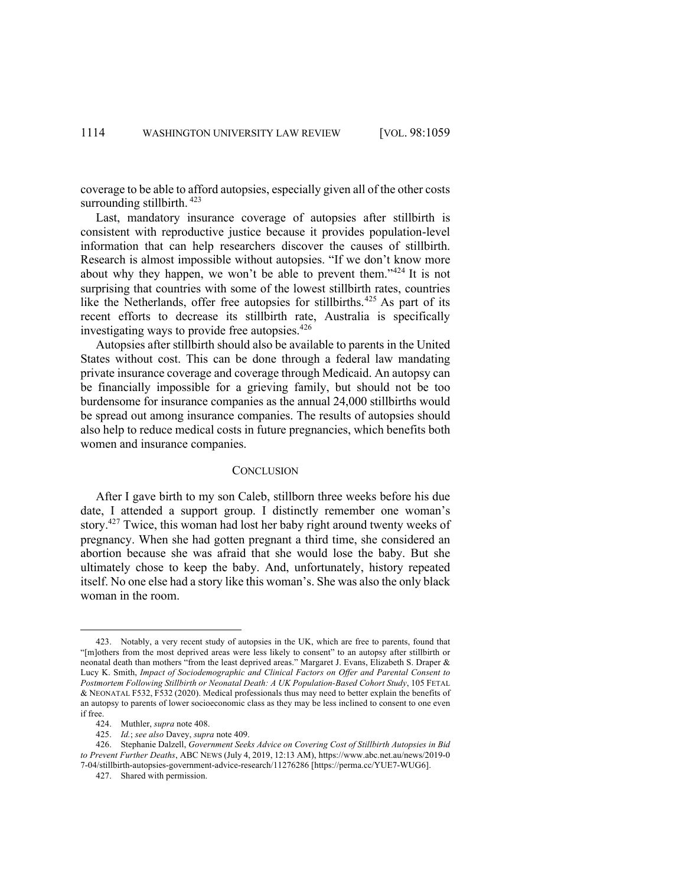coverage to be able to afford autopsies, especially given all of the other costs surrounding stillbirth.  $423$ 

Last, mandatory insurance coverage of autopsies after stillbirth is consistent with reproductive justice because it provides population-level information that can help researchers discover the causes of stillbirth. Research is almost impossible without autopsies. "If we don't know more about why they happen, we won't be able to prevent them."<sup>424</sup> It is not surprising that countries with some of the lowest stillbirth rates, countries like the Netherlands, offer free autopsies for stillbirths.<sup>425</sup> As part of its recent efforts to decrease its stillbirth rate, Australia is specifically investigating ways to provide free autopsies.<sup>426</sup>

Autopsies after stillbirth should also be available to parents in the United States without cost. This can be done through a federal law mandating private insurance coverage and coverage through Medicaid. An autopsy can be financially impossible for a grieving family, but should not be too burdensome for insurance companies as the annual 24,000 stillbirths would be spread out among insurance companies. The results of autopsies should also help to reduce medical costs in future pregnancies, which benefits both women and insurance companies.

#### **CONCLUSION**

After I gave birth to my son Caleb, stillborn three weeks before his due date, I attended a support group. I distinctly remember one woman's story.<sup>427</sup> Twice, this woman had lost her baby right around twenty weeks of pregnancy. When she had gotten pregnant a third time, she considered an abortion because she was afraid that she would lose the baby. But she ultimately chose to keep the baby. And, unfortunately, history repeated itself. No one else had a story like this woman's. She was also the only black woman in the room.

<sup>423.</sup> Notably, a very recent study of autopsies in the UK, which are free to parents, found that "[m]others from the most deprived areas were less likely to consent" to an autopsy after stillbirth or neonatal death than mothers "from the least deprived areas." Margaret J. Evans, Elizabeth S. Draper & Lucy K. Smith, *Impact of Sociodemographic and Clinical Factors on Offer and Parental Consent to Postmortem Following Stillbirth or Neonatal Death: A UK Population-Based Cohort Study*, 105 FETAL & NEONATAL F532, F532 (2020). Medical professionals thus may need to better explain the benefits of an autopsy to parents of lower socioeconomic class as they may be less inclined to consent to one even if free.

<sup>424.</sup> Muthler, *supra* note 408.

<sup>425.</sup> *Id.*; *see also* Davey, *supra* note 409.

<sup>426.</sup> Stephanie Dalzell, *Government Seeks Advice on Covering Cost of Stillbirth Autopsies in Bid to Prevent Further Deaths*, ABC NEWS (July 4, 2019, 12:13 AM), https://www.abc.net.au/news/2019-0 7-04/stillbirth-autopsies-government-advice-research/11276286 [https://perma.cc/YUE7-WUG6].

<sup>427.</sup> Shared with permission.